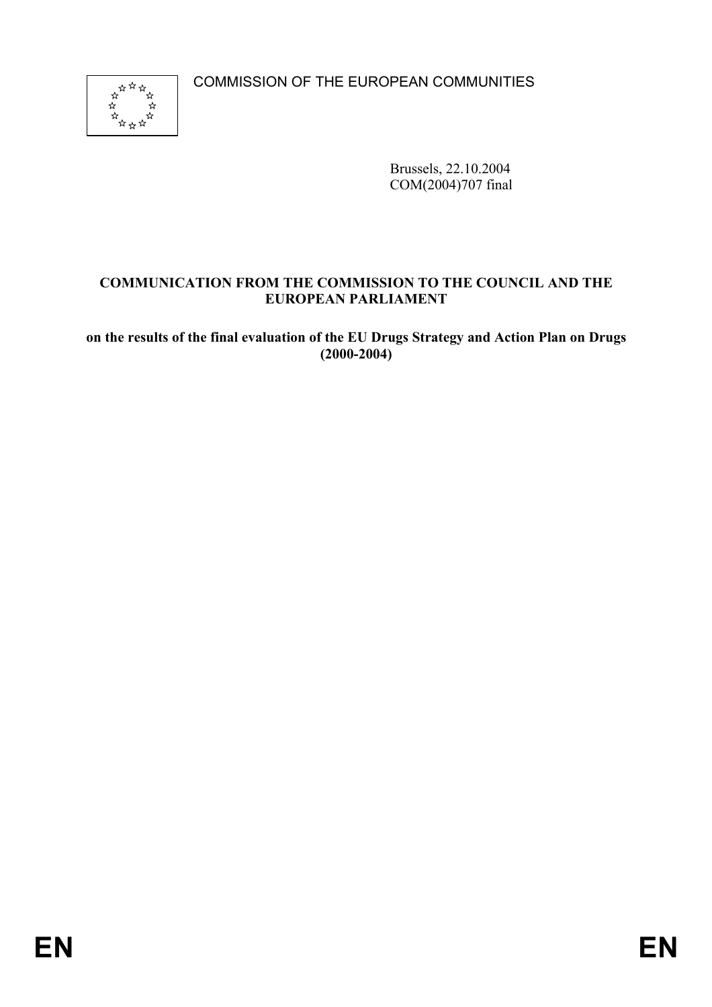COMMISSION OF THE EUROPEAN COMMUNITIES



Brussels, 22.10.2004 COM(2004)707 final

# **COMMUNICATION FROM THE COMMISSION TO THE COUNCIL AND THE EUROPEAN PARLIAMENT**

**on the results of the final evaluation of the EU Drugs Strategy and Action Plan on Drugs (2000-2004)**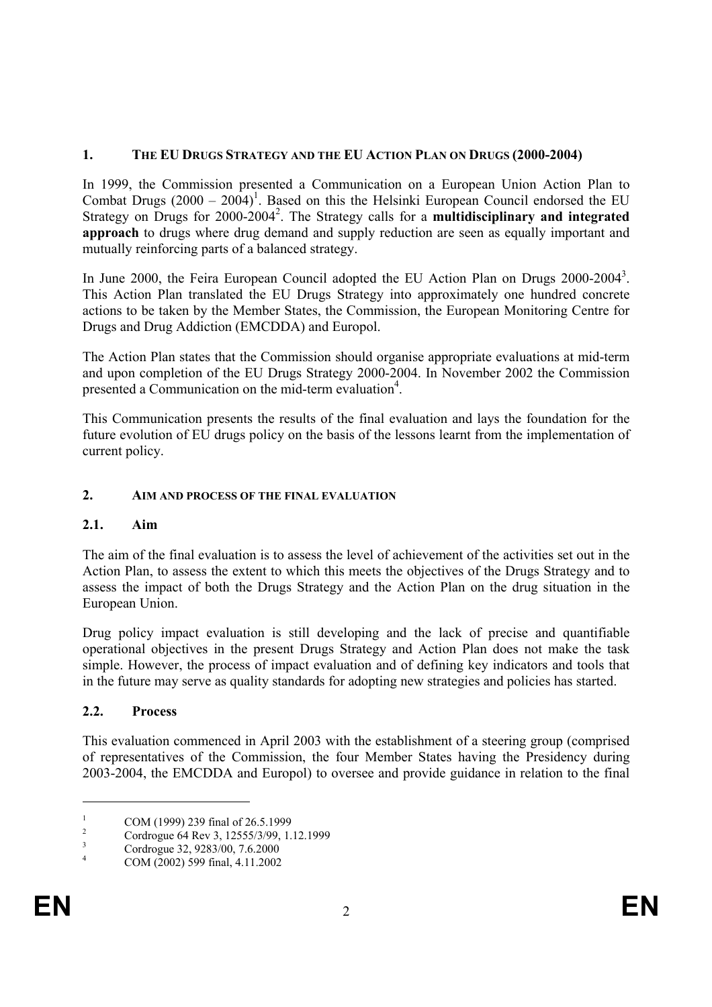# **1. THE EU DRUGS STRATEGY AND THE EU ACTION PLAN ON DRUGS (2000-2004)**

In 1999, the Commission presented a Communication on a European Union Action Plan to Combat Drugs  $(2000 - 2004)^1$ . Based on this the Helsinki European Council endorsed the EU Strategy on Drugs for 2000-2004<sup>2</sup>. The Strategy calls for a **multidisciplinary and integrated approach** to drugs where drug demand and supply reduction are seen as equally important and mutually reinforcing parts of a balanced strategy.

In June 2000, the Feira European Council adopted the EU Action Plan on Drugs 2000-2004<sup>3</sup>. This Action Plan translated the EU Drugs Strategy into approximately one hundred concrete actions to be taken by the Member States, the Commission, the European Monitoring Centre for Drugs and Drug Addiction (EMCDDA) and Europol.

The Action Plan states that the Commission should organise appropriate evaluations at mid-term and upon completion of the EU Drugs Strategy 2000-2004. In November 2002 the Commission presented a Communication on the mid-term evaluation<sup>4</sup>.

This Communication presents the results of the final evaluation and lays the foundation for the future evolution of EU drugs policy on the basis of the lessons learnt from the implementation of current policy.

# **2. AIM AND PROCESS OF THE FINAL EVALUATION**

# **2.1. Aim**

The aim of the final evaluation is to assess the level of achievement of the activities set out in the Action Plan, to assess the extent to which this meets the objectives of the Drugs Strategy and to assess the impact of both the Drugs Strategy and the Action Plan on the drug situation in the European Union.

Drug policy impact evaluation is still developing and the lack of precise and quantifiable operational objectives in the present Drugs Strategy and Action Plan does not make the task simple. However, the process of impact evaluation and of defining key indicators and tools that in the future may serve as quality standards for adopting new strategies and policies has started.

# **2.2. Process**

This evaluation commenced in April 2003 with the establishment of a steering group (comprised of representatives of the Commission, the four Member States having the Presidency during 2003-2004, the EMCDDA and Europol) to oversee and provide guidance in relation to the final

<sup>1</sup> COM (1999) 239 final of 26.5.1999

<sup>2</sup> Cordrogue 64 Rev 3, 12555/3/99, 1.12.1999

<sup>3</sup> Cordrogue 32, 9283/00, 7.6.2000

<sup>4</sup> COM (2002) 599 final, 4.11.2002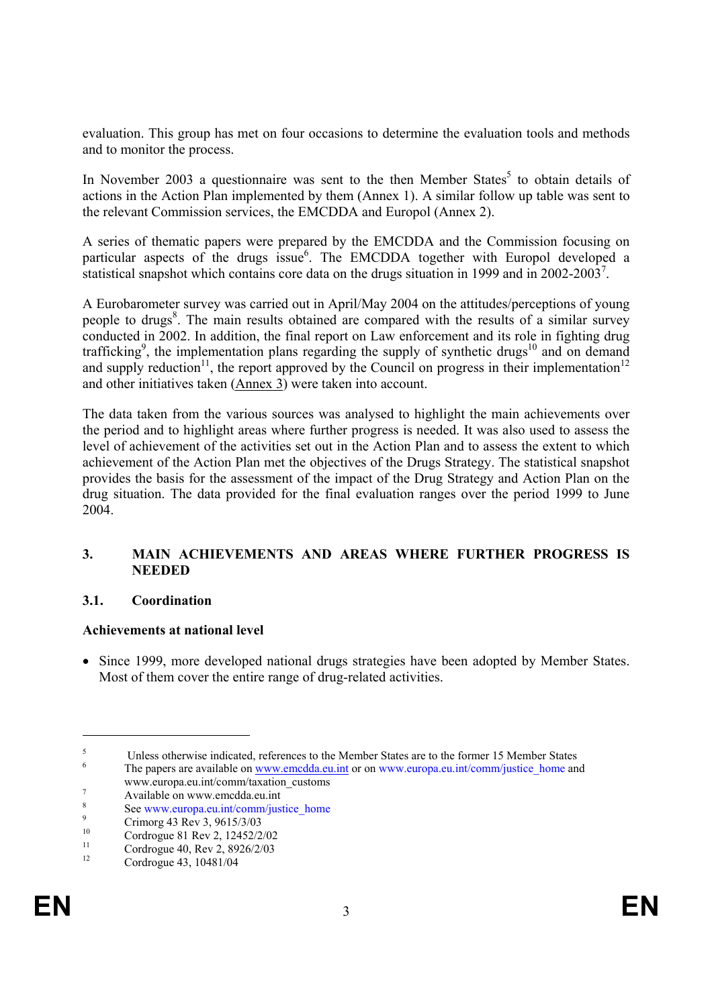evaluation. This group has met on four occasions to determine the evaluation tools and methods and to monitor the process.

In November 2003 a questionnaire was sent to the then Member States<sup>5</sup> to obtain details of actions in the Action Plan implemented by them (Annex 1). A similar follow up table was sent to the relevant Commission services, the EMCDDA and Europol (Annex 2).

A series of thematic papers were prepared by the EMCDDA and the Commission focusing on particular aspects of the drugs issue<sup>6</sup>. The EMCDDA together with Europol developed a statistical snapshot which contains core data on the drugs situation in 1999 and in  $2002-2003^7$ .

A Eurobarometer survey was carried out in April/May 2004 on the attitudes/perceptions of young people to drugs<sup>8</sup>. The main results obtained are compared with the results of a similar survey conducted in 2002. In addition, the final report on Law enforcement and its role in fighting drug trafficking<sup>9</sup>, the implementation plans regarding the supply of synthetic drugs<sup>10</sup> and on demand and supply reduction<sup>11</sup>, the report approved by the Council on progress in their implementation<sup>12</sup> and other initiatives taken (Annex 3) were taken into account.

The data taken from the various sources was analysed to highlight the main achievements over the period and to highlight areas where further progress is needed. It was also used to assess the level of achievement of the activities set out in the Action Plan and to assess the extent to which achievement of the Action Plan met the objectives of the Drugs Strategy. The statistical snapshot provides the basis for the assessment of the impact of the Drug Strategy and Action Plan on the drug situation. The data provided for the final evaluation ranges over the period 1999 to June 2004.

# **3. MAIN ACHIEVEMENTS AND AREAS WHERE FURTHER PROGRESS IS NEEDED**

#### **3.1. Coordination**

#### **Achievements at national level**

• Since 1999, more developed national drugs strategies have been adopted by Member States. Most of them cover the entire range of drug-related activities.

 $\overline{a}$ 

<sup>5</sup> Unless otherwise indicated, references to the Member States are to the former 15 Member States 6

The papers are available on www.emcdda.eu.int or on www.europa.eu.int/comm/justice home and www.europa.eu.int/comm/taxation\_customs 7

Available on www.emcdda.eu.int 8

 $\sum_{n=0}^{\infty}$  See www.europa.eu.int/comm/justice\_home

 $\frac{9}{10}$  Crimorg 43 Rev 3, 9615/3/03

<sup>&</sup>lt;sup>10</sup> Cordrogue 81 Rev 2, 12452/2/02

<sup>&</sup>lt;sup>11</sup> Cordrogue 40, Rev 2, 8926/2/03

<sup>12</sup> Cordrogue 43, 10481/04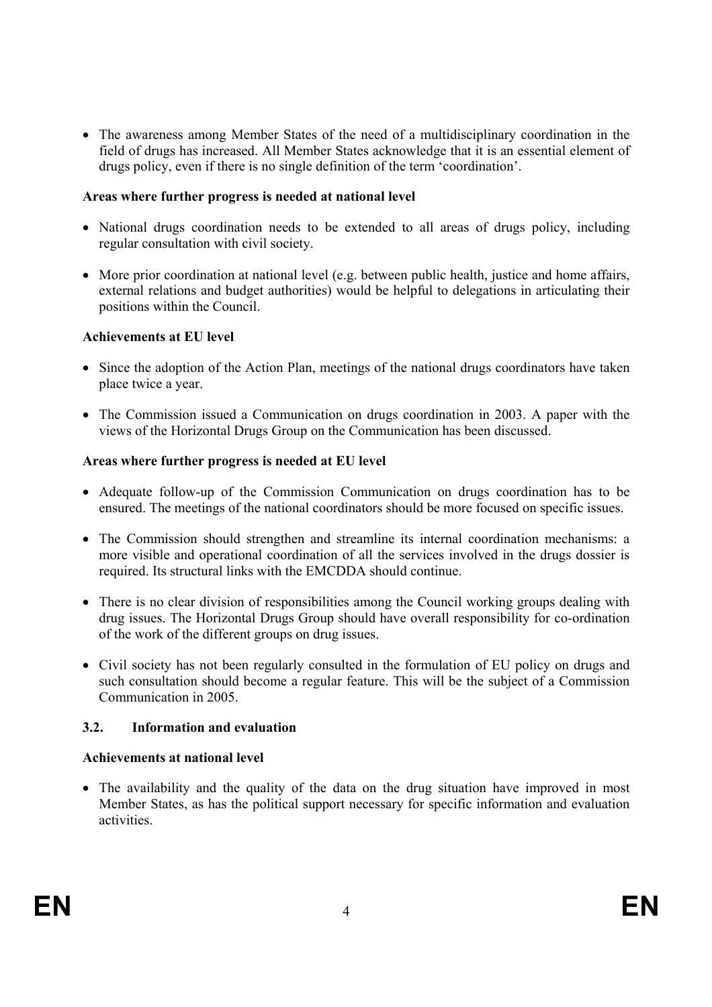• The awareness among Member States of the need of a multidisciplinary coordination in the field of drugs has increased. All Member States acknowledge that it is an essential element of drugs policy, even if there is no single definition of the term 'coordination'.

# **Areas where further progress is needed at national level**

- National drugs coordination needs to be extended to all areas of drugs policy, including regular consultation with civil society.
- More prior coordination at national level (e.g. between public health, justice and home affairs, external relations and budget authorities) would be helpful to delegations in articulating their positions within the Council.

# **Achievements at EU level**

- Since the adoption of the Action Plan, meetings of the national drugs coordinators have taken place twice a year.
- The Commission issued a Communication on drugs coordination in 2003. A paper with the views of the Horizontal Drugs Group on the Communication has been discussed.

# **Areas where further progress is needed at EU level**

- Adequate follow-up of the Commission Communication on drugs coordination has to be ensured. The meetings of the national coordinators should be more focused on specific issues.
- The Commission should strengthen and streamline its internal coordination mechanisms: a more visible and operational coordination of all the services involved in the drugs dossier is required. Its structural links with the EMCDDA should continue.
- There is no clear division of responsibilities among the Council working groups dealing with drug issues. The Horizontal Drugs Group should have overall responsibility for co-ordination of the work of the different groups on drug issues.
- Civil society has not been regularly consulted in the formulation of EU policy on drugs and such consultation should become a regular feature. This will be the subject of a Commission Communication in 2005.

# **3.2. Information and evaluation**

#### **Achievements at national level**

• The availability and the quality of the data on the drug situation have improved in most Member States, as has the political support necessary for specific information and evaluation activities.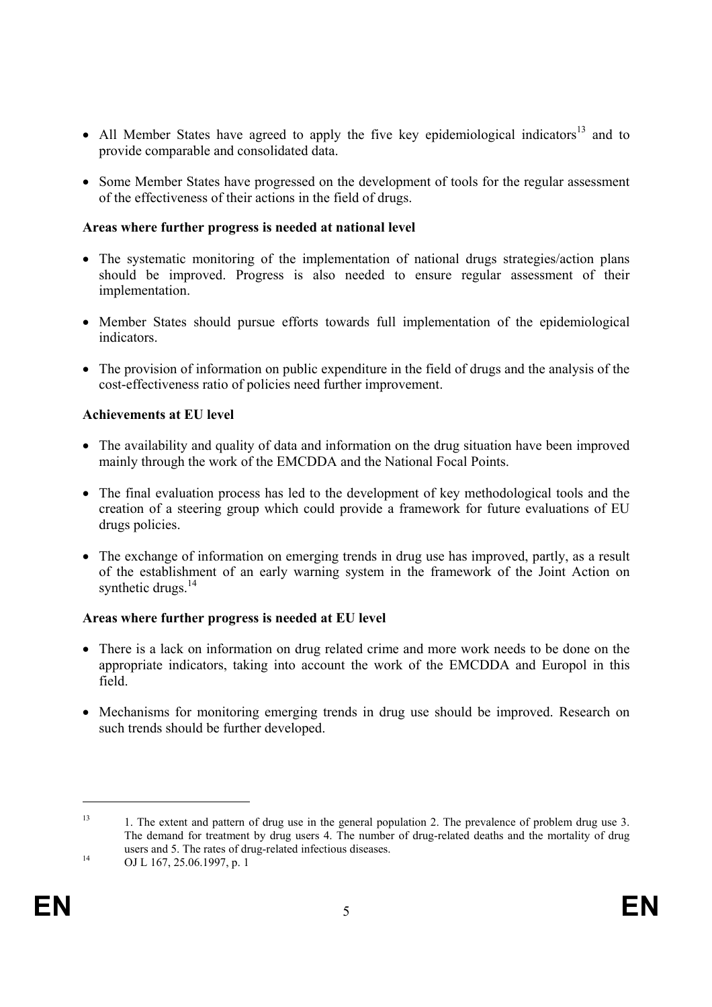- All Member States have agreed to apply the five key epidemiological indicators<sup>13</sup> and to provide comparable and consolidated data.
- Some Member States have progressed on the development of tools for the regular assessment of the effectiveness of their actions in the field of drugs.

# **Areas where further progress is needed at national level**

- The systematic monitoring of the implementation of national drugs strategies/action plans should be improved. Progress is also needed to ensure regular assessment of their implementation.
- Member States should pursue efforts towards full implementation of the epidemiological indicators.
- The provision of information on public expenditure in the field of drugs and the analysis of the cost-effectiveness ratio of policies need further improvement.

# **Achievements at EU level**

- The availability and quality of data and information on the drug situation have been improved mainly through the work of the EMCDDA and the National Focal Points.
- The final evaluation process has led to the development of key methodological tools and the creation of a steering group which could provide a framework for future evaluations of EU drugs policies.
- The exchange of information on emerging trends in drug use has improved, partly, as a result of the establishment of an early warning system in the framework of the Joint Action on synthetic drugs.<sup>14</sup>

#### **Areas where further progress is needed at EU level**

- There is a lack on information on drug related crime and more work needs to be done on the appropriate indicators, taking into account the work of the EMCDDA and Europol in this field.
- Mechanisms for monitoring emerging trends in drug use should be improved. Research on such trends should be further developed.

<sup>&</sup>lt;sup>13</sup> 1. The extent and pattern of drug use in the general population 2. The prevalence of problem drug use 3. The demand for treatment by drug users 4. The number of drug-related deaths and the mortality of drug users and 5. The rates of drug-related infectious diseases.<br>
OJ L 167, 25.06.1997, p. 1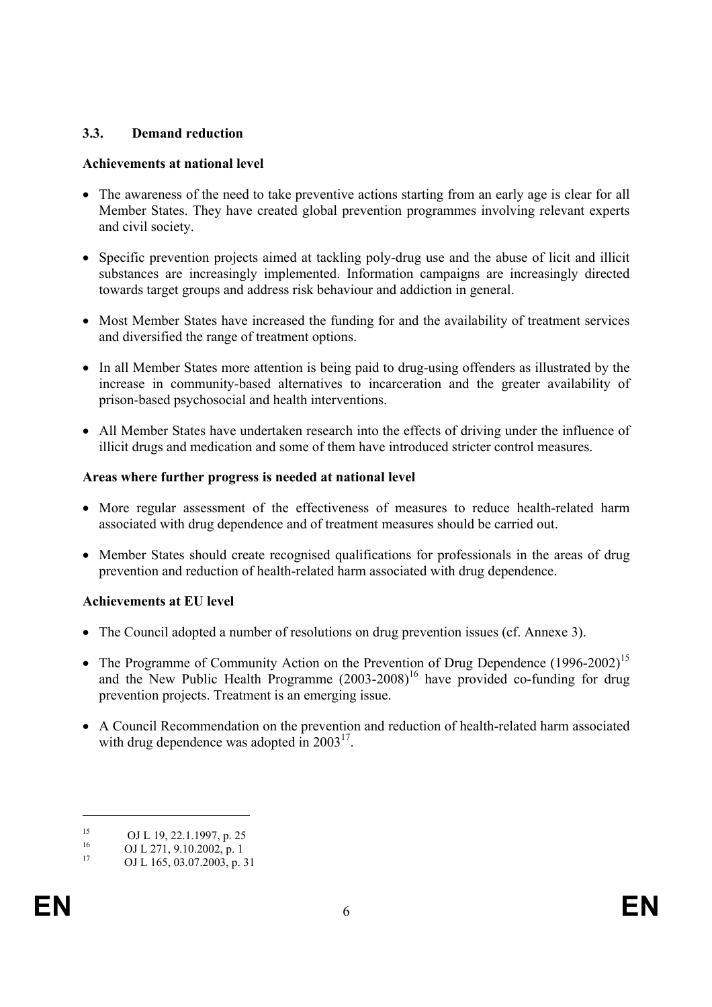# **3.3. Demand reduction**

# **Achievements at national level**

- The awareness of the need to take preventive actions starting from an early age is clear for all Member States. They have created global prevention programmes involving relevant experts and civil society.
- Specific prevention projects aimed at tackling poly-drug use and the abuse of licit and illicit substances are increasingly implemented. Information campaigns are increasingly directed towards target groups and address risk behaviour and addiction in general.
- Most Member States have increased the funding for and the availability of treatment services and diversified the range of treatment options.
- In all Member States more attention is being paid to drug-using offenders as illustrated by the increase in community-based alternatives to incarceration and the greater availability of prison-based psychosocial and health interventions.
- All Member States have undertaken research into the effects of driving under the influence of illicit drugs and medication and some of them have introduced stricter control measures.

# **Areas where further progress is needed at national level**

- More regular assessment of the effectiveness of measures to reduce health-related harm associated with drug dependence and of treatment measures should be carried out.
- Member States should create recognised qualifications for professionals in the areas of drug prevention and reduction of health-related harm associated with drug dependence.

# **Achievements at EU level**

- The Council adopted a number of resolutions on drug prevention issues (cf. Annexe 3).
- The Programme of Community Action on the Prevention of Drug Dependence (1996-2002)<sup>15</sup> and the New Public Health Programme (2003-2008)<sup>16</sup> have provided co-funding for drug prevention projects. Treatment is an emerging issue.
- A Council Recommendation on the prevention and reduction of health-related harm associated with drug dependence was adopted in  $2003^{17}$ .

 $\overline{a}$ 

<sup>&</sup>lt;sup>15</sup> OJ L 19, 22.1.1997, p. 25

 $^{16}$  OJ L 271, 9.10.2002, p. 1

OJ L 165, 03.07.2003, p. 31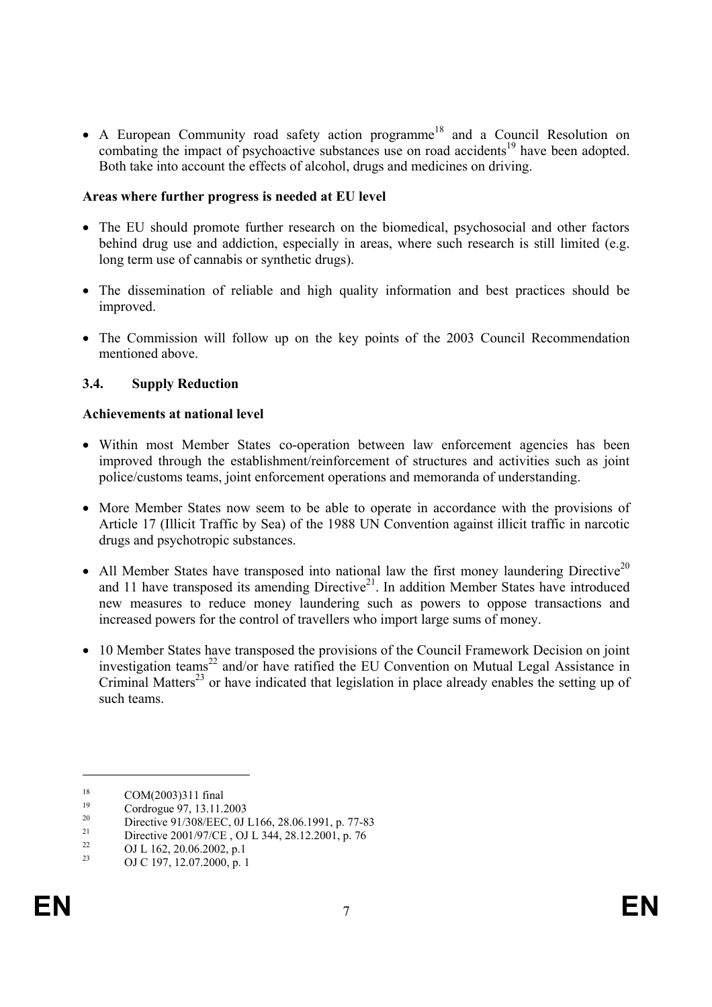• A European Community road safety action programme<sup>18</sup> and a Council Resolution on combating the impact of psychoactive substances use on road accidents<sup>19</sup> have been adopted. Both take into account the effects of alcohol, drugs and medicines on driving.

#### **Areas where further progress is needed at EU level**

- The EU should promote further research on the biomedical, psychosocial and other factors behind drug use and addiction, especially in areas, where such research is still limited (e.g. long term use of cannabis or synthetic drugs).
- The dissemination of reliable and high quality information and best practices should be improved.
- The Commission will follow up on the key points of the 2003 Council Recommendation mentioned above.

# **3.4. Supply Reduction**

#### **Achievements at national level**

- Within most Member States co-operation between law enforcement agencies has been improved through the establishment/reinforcement of structures and activities such as joint police/customs teams, joint enforcement operations and memoranda of understanding.
- More Member States now seem to be able to operate in accordance with the provisions of Article 17 (Illicit Traffic by Sea) of the 1988 UN Convention against illicit traffic in narcotic drugs and psychotropic substances.
- All Member States have transposed into national law the first money laundering Directive<sup>20</sup> and 11 have transposed its amending Directive<sup>21</sup>. In addition Member States have introduced new measures to reduce money laundering such as powers to oppose transactions and increased powers for the control of travellers who import large sums of money.
- 10 Member States have transposed the provisions of the Council Framework Decision on joint investigation teams<sup>22</sup> and/or have ratified the EU Convention on Mutual Legal Assistance in Criminal Matters<sup>23</sup> or have indicated that legislation in place already enables the setting up of such teams.

<sup>&</sup>lt;sup>18</sup> COM(2003)311 final<br><sup>19</sup> Cordress: 07, 12, 11.

 $^{19}$  Cordrogue 97, 13.11.2003

<sup>&</sup>lt;sup>20</sup> Directive 91/308/EEC, 0J L166, 28.06.1991, p. 77-83

<sup>&</sup>lt;sup>21</sup> Directive 2001/97/CE, OJ L 344, 28.12.2001, p. 76

 $^{22}$  OJ L 162, 20.06.2002, p.1

OJ C 197, 12.07.2000, p. 1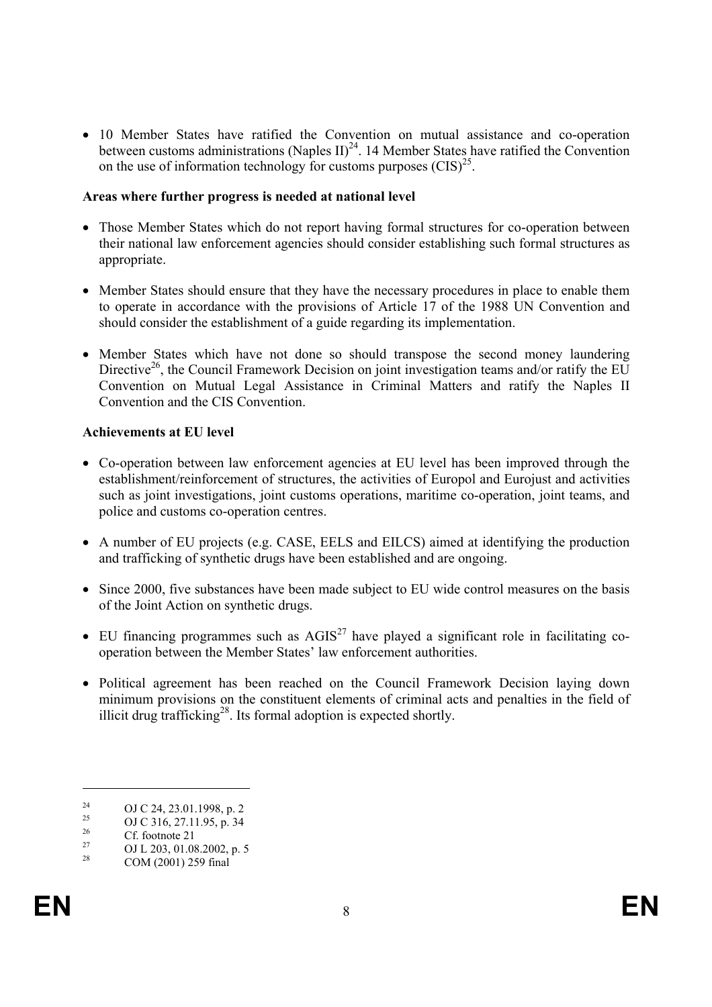• 10 Member States have ratified the Convention on mutual assistance and co-operation between customs administrations (Naples II)<sup>24</sup>. 14 Member States have ratified the Convention on the use of information technology for customs purposes  $(CIS)^{25}$ .

#### **Areas where further progress is needed at national level**

- Those Member States which do not report having formal structures for co-operation between their national law enforcement agencies should consider establishing such formal structures as appropriate.
- Member States should ensure that they have the necessary procedures in place to enable them to operate in accordance with the provisions of Article 17 of the 1988 UN Convention and should consider the establishment of a guide regarding its implementation.
- Member States which have not done so should transpose the second money laundering Directive<sup>26</sup>, the Council Framework Decision on joint investigation teams and/or ratify the EU Convention on Mutual Legal Assistance in Criminal Matters and ratify the Naples II Convention and the CIS Convention.

# **Achievements at EU level**

- Co-operation between law enforcement agencies at EU level has been improved through the establishment/reinforcement of structures, the activities of Europol and Eurojust and activities such as joint investigations, joint customs operations, maritime co-operation, joint teams, and police and customs co-operation centres.
- A number of EU projects (e.g. CASE, EELS and EILCS) aimed at identifying the production and trafficking of synthetic drugs have been established and are ongoing.
- Since 2000, five substances have been made subject to EU wide control measures on the basis of the Joint Action on synthetic drugs.
- EU financing programmes such as  $\text{AGIS}^{27}$  have played a significant role in facilitating cooperation between the Member States' law enforcement authorities.
- Political agreement has been reached on the Council Framework Decision laying down minimum provisions on the constituent elements of criminal acts and penalties in the field of illicit drug trafficking<sup>28</sup>. Its formal adoption is expected shortly.

<sup>&</sup>lt;sup>24</sup> OJ C 24, 23.01.1998, p. 2

<sup>&</sup>lt;sup>25</sup> OJ C 316, 27.11.95, p. 34

 $\frac{26}{27}$  Cf. footnote 21

<sup>&</sup>lt;sup>27</sup> OJ L 203, 01.08.2002, p. 5<br><sup>28</sup> COM (2001) 250 final

COM (2001) 259 final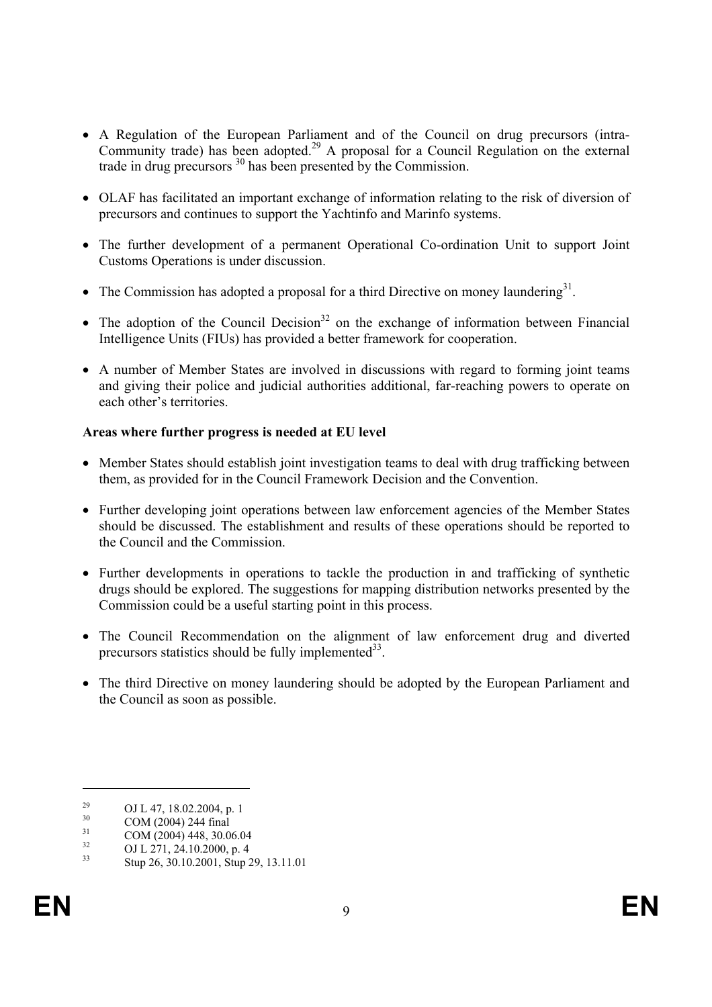- A Regulation of the European Parliament and of the Council on drug precursors (intra-Community trade) has been adopted.<sup>29</sup> A proposal for a Council Regulation on the external trade in drug precursors 30 has been presented by the Commission.
- OLAF has facilitated an important exchange of information relating to the risk of diversion of precursors and continues to support the Yachtinfo and Marinfo systems.
- The further development of a permanent Operational Co-ordination Unit to support Joint Customs Operations is under discussion.
- The Commission has adopted a proposal for a third Directive on money laundering<sup>31</sup>.
- The adoption of the Council Decision<sup>32</sup> on the exchange of information between Financial Intelligence Units (FIUs) has provided a better framework for cooperation.
- A number of Member States are involved in discussions with regard to forming joint teams and giving their police and judicial authorities additional, far-reaching powers to operate on each other's territories.

# **Areas where further progress is needed at EU level**

- Member States should establish joint investigation teams to deal with drug trafficking between them, as provided for in the Council Framework Decision and the Convention.
- Further developing joint operations between law enforcement agencies of the Member States should be discussed. The establishment and results of these operations should be reported to the Council and the Commission.
- Further developments in operations to tackle the production in and trafficking of synthetic drugs should be explored. The suggestions for mapping distribution networks presented by the Commission could be a useful starting point in this process.
- The Council Recommendation on the alignment of law enforcement drug and diverted precursors statistics should be fully implemented $33$ .
- The third Directive on money laundering should be adopted by the European Parliament and the Council as soon as possible.

<sup>&</sup>lt;sup>29</sup> OJ L 47, 18.02.2004, p. 1

 $\frac{30}{31}$  COM (2004) 244 final

 $\frac{31}{32}$  COM (2004) 448, 30.06.04

 $^{32}$  OJ L 271, 24.10.2000, p. 4

<sup>33</sup> Stup 26, 30.10.2001, Stup 29, 13.11.01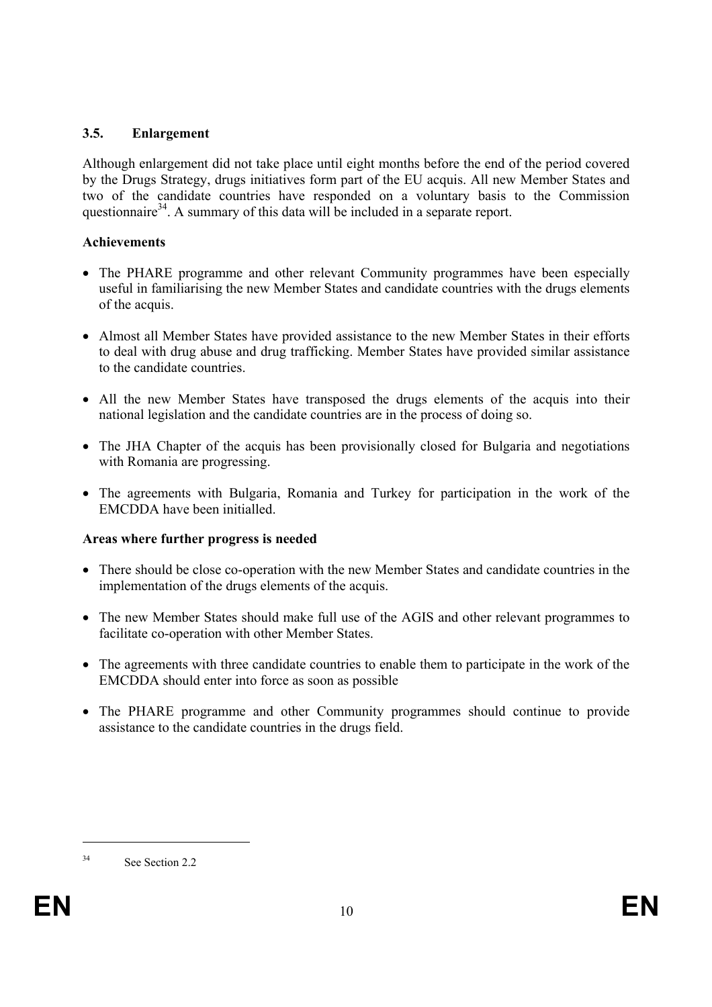# **3.5. Enlargement**

Although enlargement did not take place until eight months before the end of the period covered by the Drugs Strategy, drugs initiatives form part of the EU acquis. All new Member States and two of the candidate countries have responded on a voluntary basis to the Commission questionnaire<sup>34</sup>. A summary of this data will be included in a separate report.

# **Achievements**

- The PHARE programme and other relevant Community programmes have been especially useful in familiarising the new Member States and candidate countries with the drugs elements of the acquis.
- Almost all Member States have provided assistance to the new Member States in their efforts to deal with drug abuse and drug trafficking. Member States have provided similar assistance to the candidate countries.
- All the new Member States have transposed the drugs elements of the acquis into their national legislation and the candidate countries are in the process of doing so.
- The JHA Chapter of the acquis has been provisionally closed for Bulgaria and negotiations with Romania are progressing.
- The agreements with Bulgaria, Romania and Turkey for participation in the work of the EMCDDA have been initialled.

# **Areas where further progress is needed**

- There should be close co-operation with the new Member States and candidate countries in the implementation of the drugs elements of the acquis.
- The new Member States should make full use of the AGIS and other relevant programmes to facilitate co-operation with other Member States.
- The agreements with three candidate countries to enable them to participate in the work of the EMCDDA should enter into force as soon as possible
- The PHARE programme and other Community programmes should continue to provide assistance to the candidate countries in the drugs field.

<sup>&</sup>lt;sup>34</sup> See Section 2.2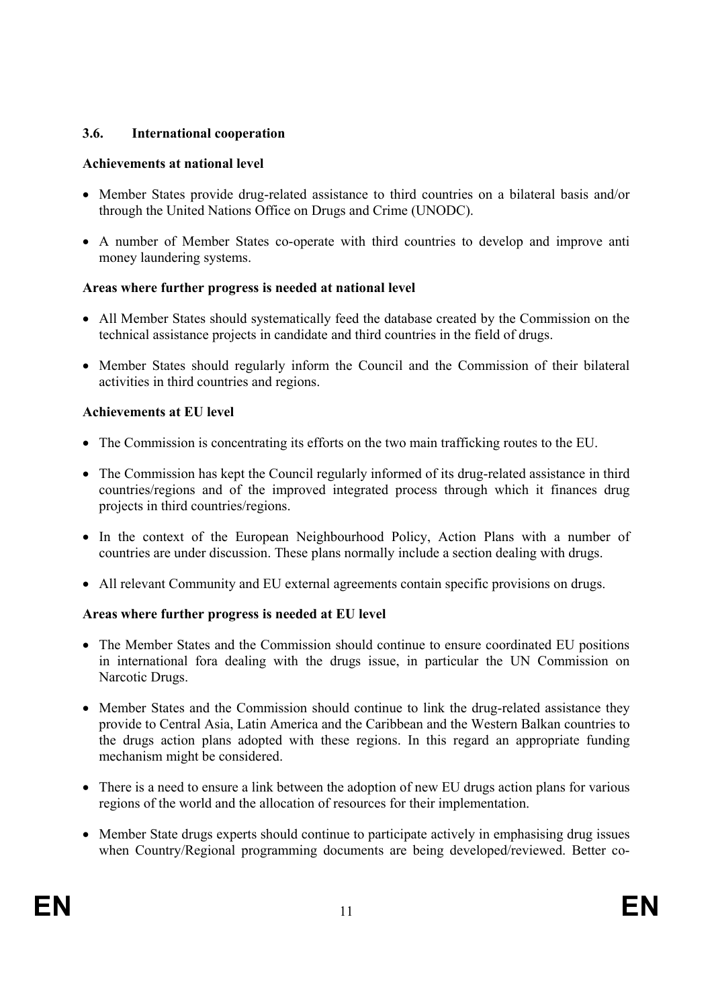# **3.6. International cooperation**

# **Achievements at national level**

- Member States provide drug-related assistance to third countries on a bilateral basis and/or through the United Nations Office on Drugs and Crime (UNODC).
- A number of Member States co-operate with third countries to develop and improve anti money laundering systems.

# **Areas where further progress is needed at national level**

- All Member States should systematically feed the database created by the Commission on the technical assistance projects in candidate and third countries in the field of drugs.
- Member States should regularly inform the Council and the Commission of their bilateral activities in third countries and regions.

# **Achievements at EU level**

- The Commission is concentrating its efforts on the two main trafficking routes to the EU.
- The Commission has kept the Council regularly informed of its drug-related assistance in third countries/regions and of the improved integrated process through which it finances drug projects in third countries/regions.
- In the context of the European Neighbourhood Policy, Action Plans with a number of countries are under discussion. These plans normally include a section dealing with drugs.
- All relevant Community and EU external agreements contain specific provisions on drugs.

# **Areas where further progress is needed at EU level**

- The Member States and the Commission should continue to ensure coordinated EU positions in international fora dealing with the drugs issue, in particular the UN Commission on Narcotic Drugs.
- Member States and the Commission should continue to link the drug-related assistance they provide to Central Asia, Latin America and the Caribbean and the Western Balkan countries to the drugs action plans adopted with these regions. In this regard an appropriate funding mechanism might be considered.
- There is a need to ensure a link between the adoption of new EU drugs action plans for various regions of the world and the allocation of resources for their implementation.
- Member State drugs experts should continue to participate actively in emphasising drug issues when Country/Regional programming documents are being developed/reviewed. Better co-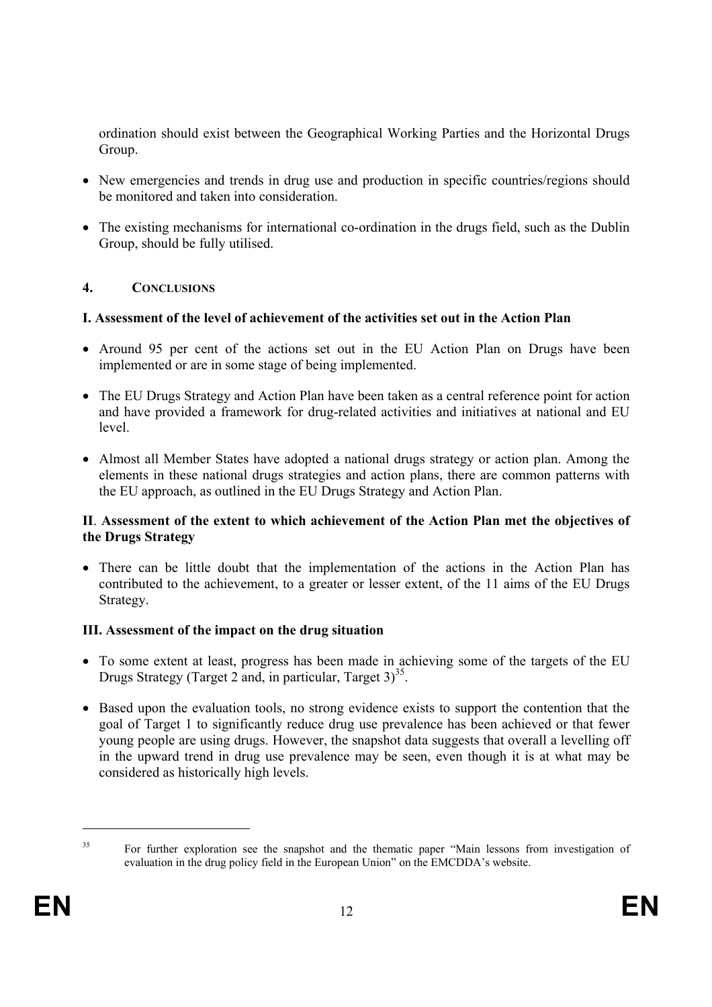ordination should exist between the Geographical Working Parties and the Horizontal Drugs Group.

- New emergencies and trends in drug use and production in specific countries/regions should be monitored and taken into consideration.
- The existing mechanisms for international co-ordination in the drugs field, such as the Dublin Group, should be fully utilised.

# **4. CONCLUSIONS**

# **I. Assessment of the level of achievement of the activities set out in the Action Plan**

- Around 95 per cent of the actions set out in the EU Action Plan on Drugs have been implemented or are in some stage of being implemented.
- The EU Drugs Strategy and Action Plan have been taken as a central reference point for action and have provided a framework for drug-related activities and initiatives at national and EU level.
- Almost all Member States have adopted a national drugs strategy or action plan. Among the elements in these national drugs strategies and action plans, there are common patterns with the EU approach, as outlined in the EU Drugs Strategy and Action Plan.

# **II**. **Assessment of the extent to which achievement of the Action Plan met the objectives of the Drugs Strategy**

• There can be little doubt that the implementation of the actions in the Action Plan has contributed to the achievement, to a greater or lesser extent, of the 11 aims of the EU Drugs Strategy.

# **III. Assessment of the impact on the drug situation**

- To some extent at least, progress has been made in achieving some of the targets of the EU Drugs Strategy (Target 2 and, in particular, Target  $3<sup>35</sup>$ .
- Based upon the evaluation tools, no strong evidence exists to support the contention that the goal of Target 1 to significantly reduce drug use prevalence has been achieved or that fewer young people are using drugs. However, the snapshot data suggests that overall a levelling off in the upward trend in drug use prevalence may be seen, even though it is at what may be considered as historically high levels.

l

<sup>&</sup>lt;sup>35</sup> For further exploration see the snapshot and the thematic paper "Main lessons from investigation of evaluation in the drug policy field in the European Union" on the EMCDDA's website.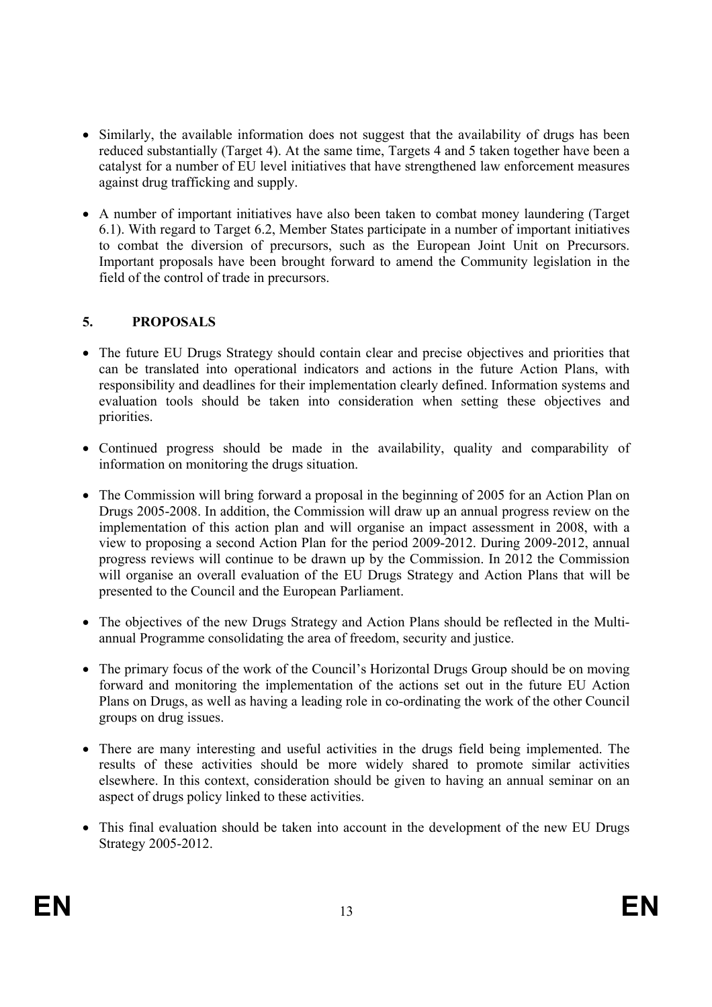- Similarly, the available information does not suggest that the availability of drugs has been reduced substantially (Target 4). At the same time, Targets 4 and 5 taken together have been a catalyst for a number of EU level initiatives that have strengthened law enforcement measures against drug trafficking and supply.
- A number of important initiatives have also been taken to combat money laundering (Target 6.1). With regard to Target 6.2, Member States participate in a number of important initiatives to combat the diversion of precursors, such as the European Joint Unit on Precursors. Important proposals have been brought forward to amend the Community legislation in the field of the control of trade in precursors.

# **5. PROPOSALS**

- The future EU Drugs Strategy should contain clear and precise objectives and priorities that can be translated into operational indicators and actions in the future Action Plans, with responsibility and deadlines for their implementation clearly defined. Information systems and evaluation tools should be taken into consideration when setting these objectives and priorities.
- Continued progress should be made in the availability, quality and comparability of information on monitoring the drugs situation.
- The Commission will bring forward a proposal in the beginning of 2005 for an Action Plan on Drugs 2005-2008. In addition, the Commission will draw up an annual progress review on the implementation of this action plan and will organise an impact assessment in 2008, with a view to proposing a second Action Plan for the period 2009-2012. During 2009-2012, annual progress reviews will continue to be drawn up by the Commission. In 2012 the Commission will organise an overall evaluation of the EU Drugs Strategy and Action Plans that will be presented to the Council and the European Parliament.
- The objectives of the new Drugs Strategy and Action Plans should be reflected in the Multiannual Programme consolidating the area of freedom, security and justice.
- The primary focus of the work of the Council's Horizontal Drugs Group should be on moving forward and monitoring the implementation of the actions set out in the future EU Action Plans on Drugs, as well as having a leading role in co-ordinating the work of the other Council groups on drug issues.
- There are many interesting and useful activities in the drugs field being implemented. The results of these activities should be more widely shared to promote similar activities elsewhere. In this context, consideration should be given to having an annual seminar on an aspect of drugs policy linked to these activities.
- This final evaluation should be taken into account in the development of the new EU Drugs Strategy 2005-2012.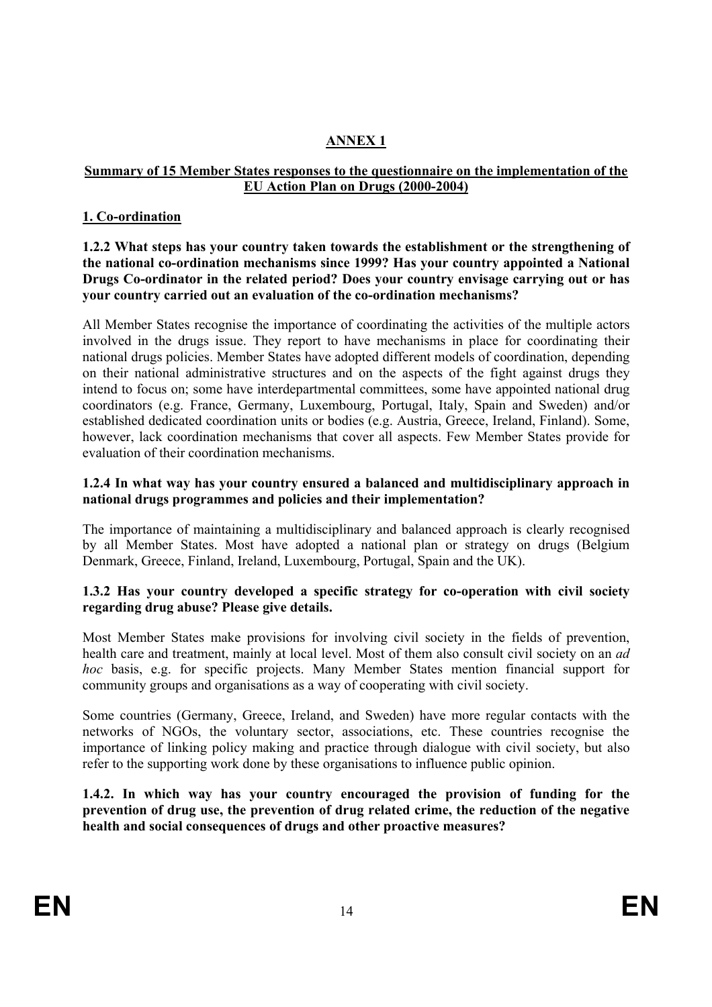# **ANNEX 1**

# **Summary of 15 Member States responses to the questionnaire on the implementation of the EU Action Plan on Drugs (2000-2004)**

# **1. Co-ordination**

**1.2.2 What steps has your country taken towards the establishment or the strengthening of the national co-ordination mechanisms since 1999? Has your country appointed a National Drugs Co-ordinator in the related period? Does your country envisage carrying out or has your country carried out an evaluation of the co-ordination mechanisms?** 

All Member States recognise the importance of coordinating the activities of the multiple actors involved in the drugs issue. They report to have mechanisms in place for coordinating their national drugs policies. Member States have adopted different models of coordination, depending on their national administrative structures and on the aspects of the fight against drugs they intend to focus on; some have interdepartmental committees, some have appointed national drug coordinators (e.g. France, Germany, Luxembourg, Portugal, Italy, Spain and Sweden) and/or established dedicated coordination units or bodies (e.g. Austria, Greece, Ireland, Finland). Some, however, lack coordination mechanisms that cover all aspects. Few Member States provide for evaluation of their coordination mechanisms.

## **1.2.4 In what way has your country ensured a balanced and multidisciplinary approach in national drugs programmes and policies and their implementation?**

The importance of maintaining a multidisciplinary and balanced approach is clearly recognised by all Member States. Most have adopted a national plan or strategy on drugs (Belgium Denmark, Greece, Finland, Ireland, Luxembourg, Portugal, Spain and the UK).

# **1.3.2 Has your country developed a specific strategy for co-operation with civil society regarding drug abuse? Please give details.**

Most Member States make provisions for involving civil society in the fields of prevention, health care and treatment, mainly at local level. Most of them also consult civil society on an *ad hoc* basis, e.g. for specific projects. Many Member States mention financial support for community groups and organisations as a way of cooperating with civil society.

Some countries (Germany, Greece, Ireland, and Sweden) have more regular contacts with the networks of NGOs, the voluntary sector, associations, etc. These countries recognise the importance of linking policy making and practice through dialogue with civil society, but also refer to the supporting work done by these organisations to influence public opinion.

**1.4.2. In which way has your country encouraged the provision of funding for the prevention of drug use, the prevention of drug related crime, the reduction of the negative health and social consequences of drugs and other proactive measures?**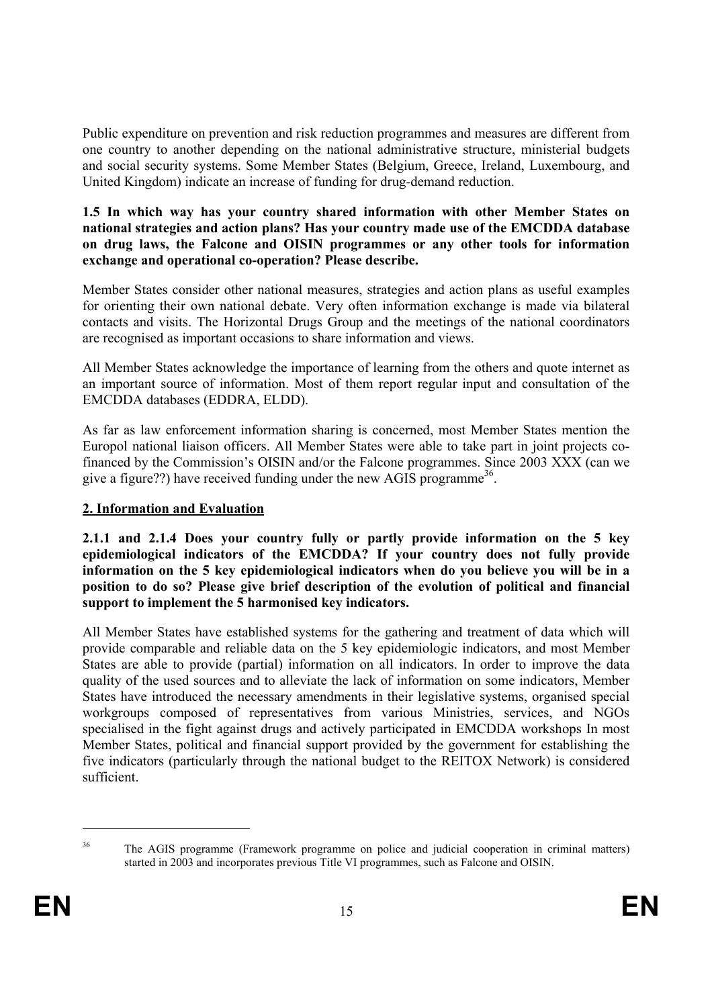Public expenditure on prevention and risk reduction programmes and measures are different from one country to another depending on the national administrative structure, ministerial budgets and social security systems. Some Member States (Belgium, Greece, Ireland, Luxembourg, and United Kingdom) indicate an increase of funding for drug-demand reduction.

# **1.5 In which way has your country shared information with other Member States on national strategies and action plans? Has your country made use of the EMCDDA database on drug laws, the Falcone and OISIN programmes or any other tools for information exchange and operational co-operation? Please describe.**

Member States consider other national measures, strategies and action plans as useful examples for orienting their own national debate. Very often information exchange is made via bilateral contacts and visits. The Horizontal Drugs Group and the meetings of the national coordinators are recognised as important occasions to share information and views.

All Member States acknowledge the importance of learning from the others and quote internet as an important source of information. Most of them report regular input and consultation of the EMCDDA databases (EDDRA, ELDD).

As far as law enforcement information sharing is concerned, most Member States mention the Europol national liaison officers. All Member States were able to take part in joint projects cofinanced by the Commission's OISIN and/or the Falcone programmes. Since 2003 XXX (can we give a figure??) have received funding under the new AGIS programme<sup>36</sup>.

# **2. Information and Evaluation**

**2.1.1 and 2.1.4 Does your country fully or partly provide information on the 5 key epidemiological indicators of the EMCDDA? If your country does not fully provide information on the 5 key epidemiological indicators when do you believe you will be in a position to do so? Please give brief description of the evolution of political and financial support to implement the 5 harmonised key indicators.** 

All Member States have established systems for the gathering and treatment of data which will provide comparable and reliable data on the 5 key epidemiologic indicators, and most Member States are able to provide (partial) information on all indicators. In order to improve the data quality of the used sources and to alleviate the lack of information on some indicators, Member States have introduced the necessary amendments in their legislative systems, organised special workgroups composed of representatives from various Ministries, services, and NGOs specialised in the fight against drugs and actively participated in EMCDDA workshops In most Member States, political and financial support provided by the government for establishing the five indicators (particularly through the national budget to the REITOX Network) is considered sufficient.

l

<sup>&</sup>lt;sup>36</sup> The AGIS programme (Framework programme on police and judicial cooperation in criminal matters) started in 2003 and incorporates previous Title VI programmes, such as Falcone and OISIN.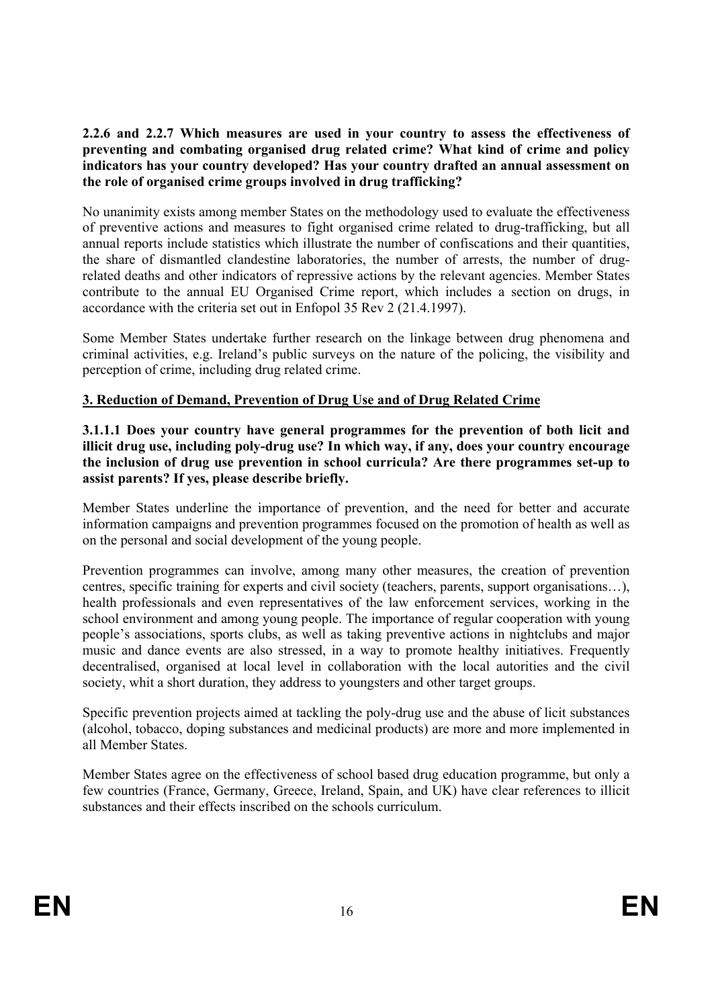# **2.2.6 and 2.2.7 Which measures are used in your country to assess the effectiveness of preventing and combating organised drug related crime? What kind of crime and policy indicators has your country developed? Has your country drafted an annual assessment on the role of organised crime groups involved in drug trafficking?**

No unanimity exists among member States on the methodology used to evaluate the effectiveness of preventive actions and measures to fight organised crime related to drug-trafficking, but all annual reports include statistics which illustrate the number of confiscations and their quantities, the share of dismantled clandestine laboratories, the number of arrests, the number of drugrelated deaths and other indicators of repressive actions by the relevant agencies. Member States contribute to the annual EU Organised Crime report, which includes a section on drugs, in accordance with the criteria set out in Enfopol 35 Rev 2 (21.4.1997).

Some Member States undertake further research on the linkage between drug phenomena and criminal activities, e.g. Ireland's public surveys on the nature of the policing, the visibility and perception of crime, including drug related crime.

# **3. Reduction of Demand, Prevention of Drug Use and of Drug Related Crime**

**3.1.1.1 Does your country have general programmes for the prevention of both licit and illicit drug use, including poly-drug use? In which way, if any, does your country encourage the inclusion of drug use prevention in school curricula? Are there programmes set-up to assist parents? If yes, please describe briefly.** 

Member States underline the importance of prevention, and the need for better and accurate information campaigns and prevention programmes focused on the promotion of health as well as on the personal and social development of the young people.

Prevention programmes can involve, among many other measures, the creation of prevention centres, specific training for experts and civil society (teachers, parents, support organisations…), health professionals and even representatives of the law enforcement services, working in the school environment and among young people. The importance of regular cooperation with young people's associations, sports clubs, as well as taking preventive actions in nightclubs and major music and dance events are also stressed, in a way to promote healthy initiatives. Frequently decentralised, organised at local level in collaboration with the local autorities and the civil society, whit a short duration, they address to youngsters and other target groups.

Specific prevention projects aimed at tackling the poly-drug use and the abuse of licit substances (alcohol, tobacco, doping substances and medicinal products) are more and more implemented in all Member States.

Member States agree on the effectiveness of school based drug education programme, but only a few countries (France, Germany, Greece, Ireland, Spain, and UK) have clear references to illicit substances and their effects inscribed on the schools curriculum.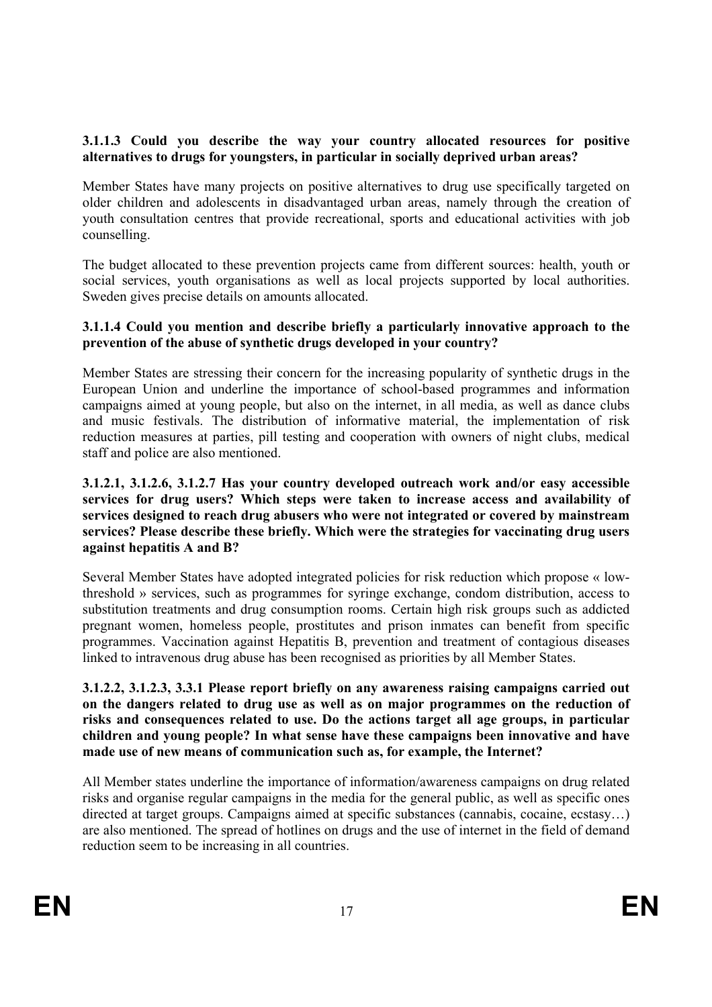# **3.1.1.3 Could you describe the way your country allocated resources for positive alternatives to drugs for youngsters, in particular in socially deprived urban areas?**

Member States have many projects on positive alternatives to drug use specifically targeted on older children and adolescents in disadvantaged urban areas, namely through the creation of youth consultation centres that provide recreational, sports and educational activities with job counselling.

The budget allocated to these prevention projects came from different sources: health, youth or social services, youth organisations as well as local projects supported by local authorities. Sweden gives precise details on amounts allocated.

# **3.1.1.4 Could you mention and describe briefly a particularly innovative approach to the prevention of the abuse of synthetic drugs developed in your country?**

Member States are stressing their concern for the increasing popularity of synthetic drugs in the European Union and underline the importance of school-based programmes and information campaigns aimed at young people, but also on the internet, in all media, as well as dance clubs and music festivals. The distribution of informative material, the implementation of risk reduction measures at parties, pill testing and cooperation with owners of night clubs, medical staff and police are also mentioned.

## **3.1.2.1, 3.1.2.6, 3.1.2.7 Has your country developed outreach work and/or easy accessible services for drug users? Which steps were taken to increase access and availability of services designed to reach drug abusers who were not integrated or covered by mainstream services? Please describe these briefly. Which were the strategies for vaccinating drug users against hepatitis A and B?**

Several Member States have adopted integrated policies for risk reduction which propose « lowthreshold » services, such as programmes for syringe exchange, condom distribution, access to substitution treatments and drug consumption rooms. Certain high risk groups such as addicted pregnant women, homeless people, prostitutes and prison inmates can benefit from specific programmes. Vaccination against Hepatitis B, prevention and treatment of contagious diseases linked to intravenous drug abuse has been recognised as priorities by all Member States.

# **3.1.2.2, 3.1.2.3, 3.3.1 Please report briefly on any awareness raising campaigns carried out on the dangers related to drug use as well as on major programmes on the reduction of risks and consequences related to use. Do the actions target all age groups, in particular children and young people? In what sense have these campaigns been innovative and have made use of new means of communication such as, for example, the Internet?**

All Member states underline the importance of information/awareness campaigns on drug related risks and organise regular campaigns in the media for the general public, as well as specific ones directed at target groups. Campaigns aimed at specific substances (cannabis, cocaine, ecstasy…) are also mentioned. The spread of hotlines on drugs and the use of internet in the field of demand reduction seem to be increasing in all countries.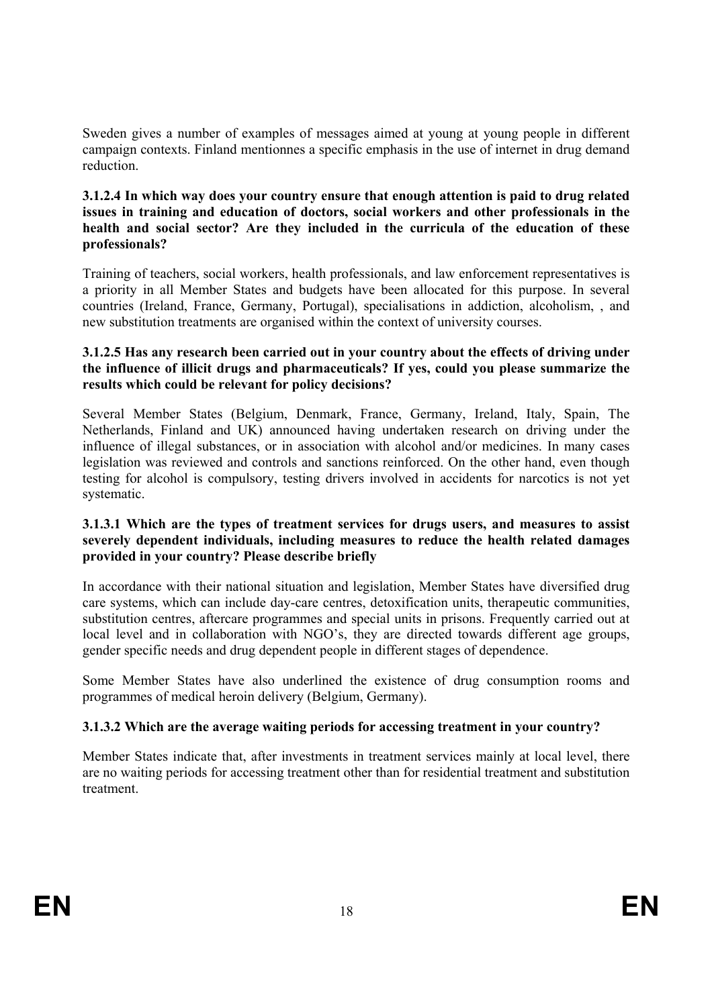Sweden gives a number of examples of messages aimed at young at young people in different campaign contexts. Finland mentionnes a specific emphasis in the use of internet in drug demand reduction.

#### **3.1.2.4 In which way does your country ensure that enough attention is paid to drug related issues in training and education of doctors, social workers and other professionals in the health and social sector? Are they included in the curricula of the education of these professionals?**

Training of teachers, social workers, health professionals, and law enforcement representatives is a priority in all Member States and budgets have been allocated for this purpose. In several countries (Ireland, France, Germany, Portugal), specialisations in addiction, alcoholism, , and new substitution treatments are organised within the context of university courses.

#### **3.1.2.5 Has any research been carried out in your country about the effects of driving under the influence of illicit drugs and pharmaceuticals? If yes, could you please summarize the results which could be relevant for policy decisions?**

Several Member States (Belgium, Denmark, France, Germany, Ireland, Italy, Spain, The Netherlands, Finland and UK) announced having undertaken research on driving under the influence of illegal substances, or in association with alcohol and/or medicines. In many cases legislation was reviewed and controls and sanctions reinforced. On the other hand, even though testing for alcohol is compulsory, testing drivers involved in accidents for narcotics is not yet systematic.

# **3.1.3.1 Which are the types of treatment services for drugs users, and measures to assist severely dependent individuals, including measures to reduce the health related damages provided in your country? Please describe briefly**

In accordance with their national situation and legislation, Member States have diversified drug care systems, which can include day-care centres, detoxification units, therapeutic communities, substitution centres, aftercare programmes and special units in prisons. Frequently carried out at local level and in collaboration with NGO's, they are directed towards different age groups, gender specific needs and drug dependent people in different stages of dependence.

Some Member States have also underlined the existence of drug consumption rooms and programmes of medical heroin delivery (Belgium, Germany).

# **3.1.3.2 Which are the average waiting periods for accessing treatment in your country?**

Member States indicate that, after investments in treatment services mainly at local level, there are no waiting periods for accessing treatment other than for residential treatment and substitution treatment.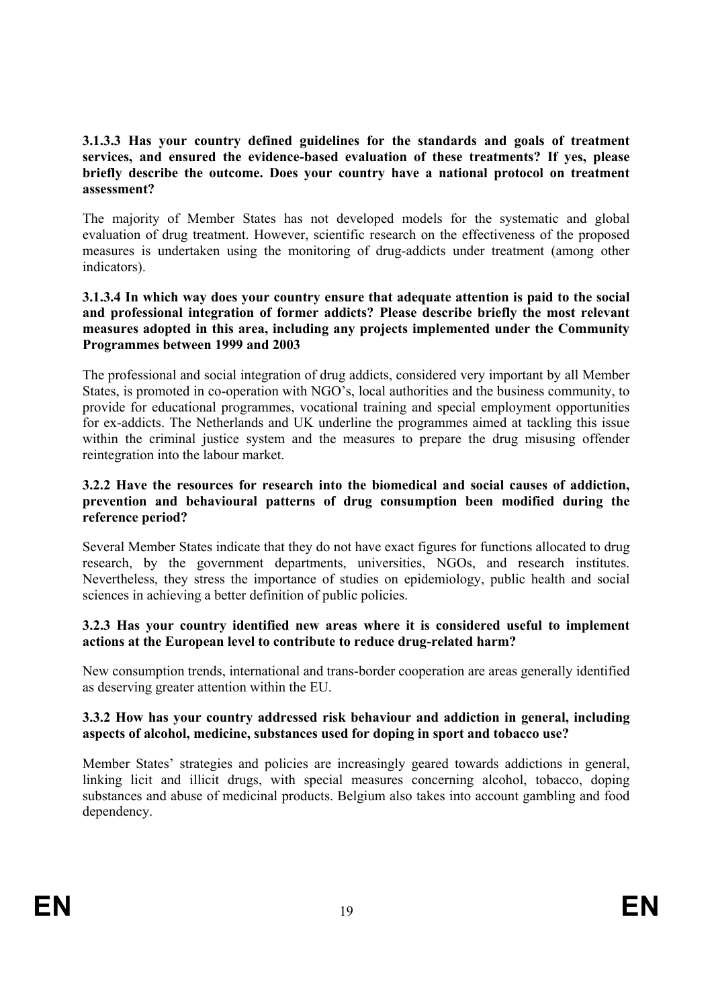# **3.1.3.3 Has your country defined guidelines for the standards and goals of treatment services, and ensured the evidence-based evaluation of these treatments? If yes, please briefly describe the outcome. Does your country have a national protocol on treatment assessment?**

The majority of Member States has not developed models for the systematic and global evaluation of drug treatment. However, scientific research on the effectiveness of the proposed measures is undertaken using the monitoring of drug-addicts under treatment (among other indicators).

# **3.1.3.4 In which way does your country ensure that adequate attention is paid to the social and professional integration of former addicts? Please describe briefly the most relevant measures adopted in this area, including any projects implemented under the Community Programmes between 1999 and 2003**

The professional and social integration of drug addicts, considered very important by all Member States, is promoted in co-operation with NGO's, local authorities and the business community, to provide for educational programmes, vocational training and special employment opportunities for ex-addicts. The Netherlands and UK underline the programmes aimed at tackling this issue within the criminal justice system and the measures to prepare the drug misusing offender reintegration into the labour market.

# **3.2.2 Have the resources for research into the biomedical and social causes of addiction, prevention and behavioural patterns of drug consumption been modified during the reference period?**

Several Member States indicate that they do not have exact figures for functions allocated to drug research, by the government departments, universities, NGOs, and research institutes. Nevertheless, they stress the importance of studies on epidemiology, public health and social sciences in achieving a better definition of public policies.

# **3.2.3 Has your country identified new areas where it is considered useful to implement actions at the European level to contribute to reduce drug-related harm?**

New consumption trends, international and trans-border cooperation are areas generally identified as deserving greater attention within the EU.

# **3.3.2 How has your country addressed risk behaviour and addiction in general, including aspects of alcohol, medicine, substances used for doping in sport and tobacco use?**

Member States' strategies and policies are increasingly geared towards addictions in general, linking licit and illicit drugs, with special measures concerning alcohol, tobacco, doping substances and abuse of medicinal products. Belgium also takes into account gambling and food dependency.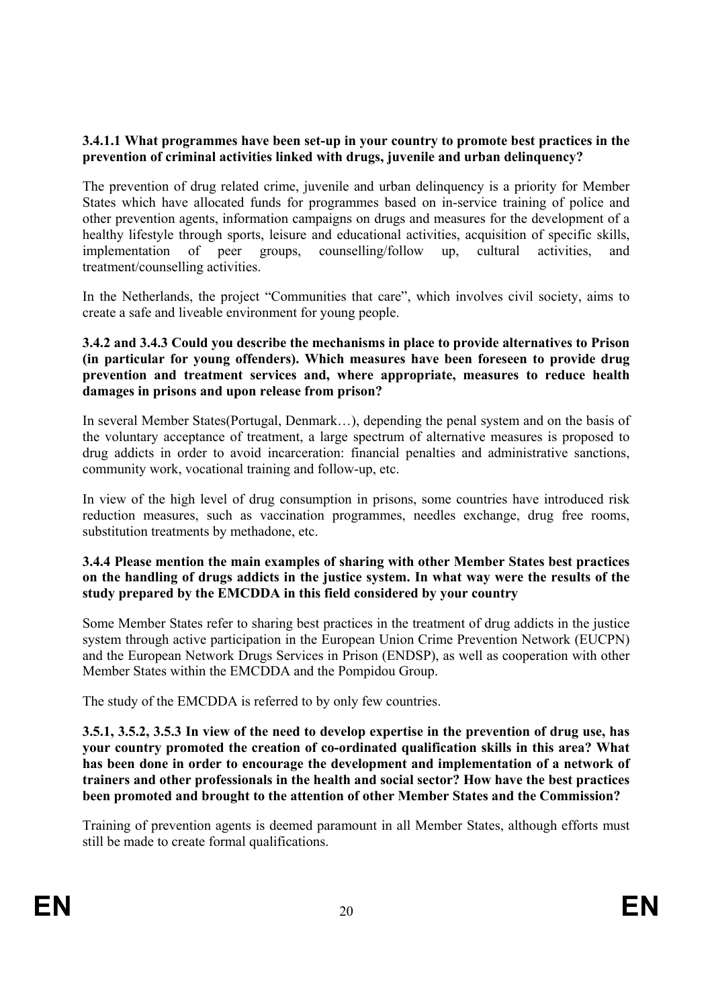# **3.4.1.1 What programmes have been set-up in your country to promote best practices in the prevention of criminal activities linked with drugs, juvenile and urban delinquency?**

The prevention of drug related crime, juvenile and urban delinquency is a priority for Member States which have allocated funds for programmes based on in-service training of police and other prevention agents, information campaigns on drugs and measures for the development of a healthy lifestyle through sports, leisure and educational activities, acquisition of specific skills, implementation of peer groups, counselling/follow up, cultural activities, and treatment/counselling activities.

In the Netherlands, the project "Communities that care", which involves civil society, aims to create a safe and liveable environment for young people.

## **3.4.2 and 3.4.3 Could you describe the mechanisms in place to provide alternatives to Prison (in particular for young offenders). Which measures have been foreseen to provide drug prevention and treatment services and, where appropriate, measures to reduce health damages in prisons and upon release from prison?**

In several Member States(Portugal, Denmark…), depending the penal system and on the basis of the voluntary acceptance of treatment, a large spectrum of alternative measures is proposed to drug addicts in order to avoid incarceration: financial penalties and administrative sanctions, community work, vocational training and follow-up, etc.

In view of the high level of drug consumption in prisons, some countries have introduced risk reduction measures, such as vaccination programmes, needles exchange, drug free rooms, substitution treatments by methadone, etc.

#### **3.4.4 Please mention the main examples of sharing with other Member States best practices on the handling of drugs addicts in the justice system. In what way were the results of the study prepared by the EMCDDA in this field considered by your country**

Some Member States refer to sharing best practices in the treatment of drug addicts in the justice system through active participation in the European Union Crime Prevention Network (EUCPN) and the European Network Drugs Services in Prison (ENDSP), as well as cooperation with other Member States within the EMCDDA and the Pompidou Group.

The study of the EMCDDA is referred to by only few countries.

**3.5.1, 3.5.2, 3.5.3 In view of the need to develop expertise in the prevention of drug use, has your country promoted the creation of co-ordinated qualification skills in this area? What has been done in order to encourage the development and implementation of a network of trainers and other professionals in the health and social sector? How have the best practices been promoted and brought to the attention of other Member States and the Commission?** 

Training of prevention agents is deemed paramount in all Member States, although efforts must still be made to create formal qualifications.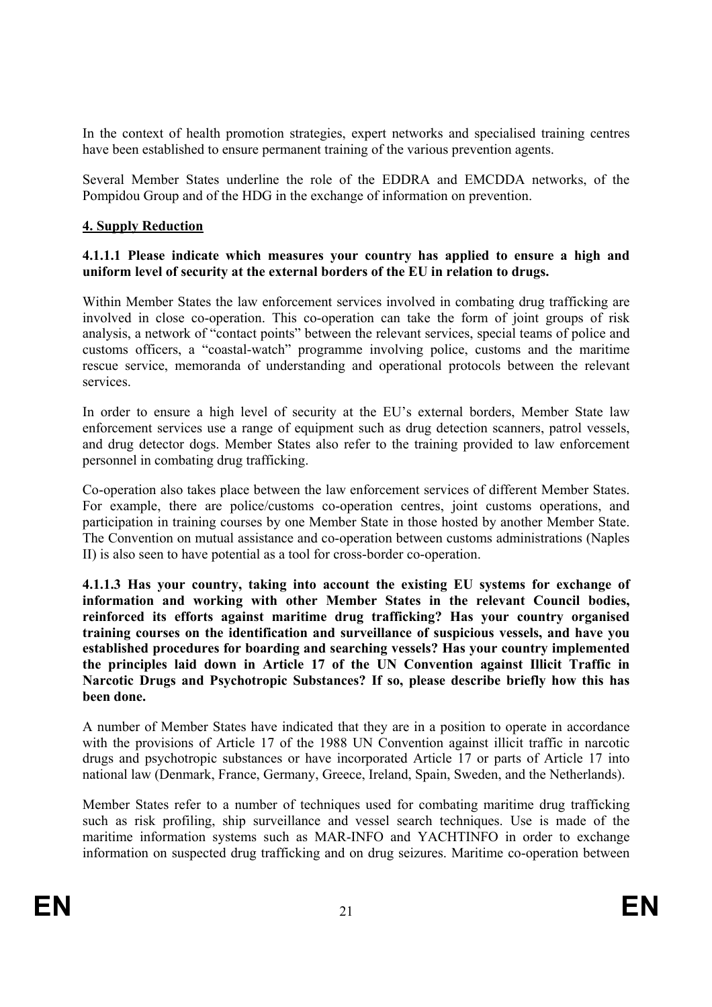In the context of health promotion strategies, expert networks and specialised training centres have been established to ensure permanent training of the various prevention agents.

Several Member States underline the role of the EDDRA and EMCDDA networks, of the Pompidou Group and of the HDG in the exchange of information on prevention.

#### **4. Supply Reduction**

# **4.1.1.1 Please indicate which measures your country has applied to ensure a high and uniform level of security at the external borders of the EU in relation to drugs.**

Within Member States the law enforcement services involved in combating drug trafficking are involved in close co-operation. This co-operation can take the form of joint groups of risk analysis, a network of "contact points" between the relevant services, special teams of police and customs officers, a "coastal-watch" programme involving police, customs and the maritime rescue service, memoranda of understanding and operational protocols between the relevant services.

In order to ensure a high level of security at the EU's external borders, Member State law enforcement services use a range of equipment such as drug detection scanners, patrol vessels, and drug detector dogs. Member States also refer to the training provided to law enforcement personnel in combating drug trafficking.

Co-operation also takes place between the law enforcement services of different Member States. For example, there are police/customs co-operation centres, joint customs operations, and participation in training courses by one Member State in those hosted by another Member State. The Convention on mutual assistance and co-operation between customs administrations (Naples II) is also seen to have potential as a tool for cross-border co-operation.

**4.1.1.3 Has your country, taking into account the existing EU systems for exchange of information and working with other Member States in the relevant Council bodies, reinforced its efforts against maritime drug trafficking? Has your country organised training courses on the identification and surveillance of suspicious vessels, and have you established procedures for boarding and searching vessels? Has your country implemented the principles laid down in Article 17 of the UN Convention against Illicit Traffic in Narcotic Drugs and Psychotropic Substances? If so, please describe briefly how this has been done.** 

A number of Member States have indicated that they are in a position to operate in accordance with the provisions of Article 17 of the 1988 UN Convention against illicit traffic in narcotic drugs and psychotropic substances or have incorporated Article 17 or parts of Article 17 into national law (Denmark, France, Germany, Greece, Ireland, Spain, Sweden, and the Netherlands).

Member States refer to a number of techniques used for combating maritime drug trafficking such as risk profiling, ship surveillance and vessel search techniques. Use is made of the maritime information systems such as MAR-INFO and YACHTINFO in order to exchange information on suspected drug trafficking and on drug seizures. Maritime co-operation between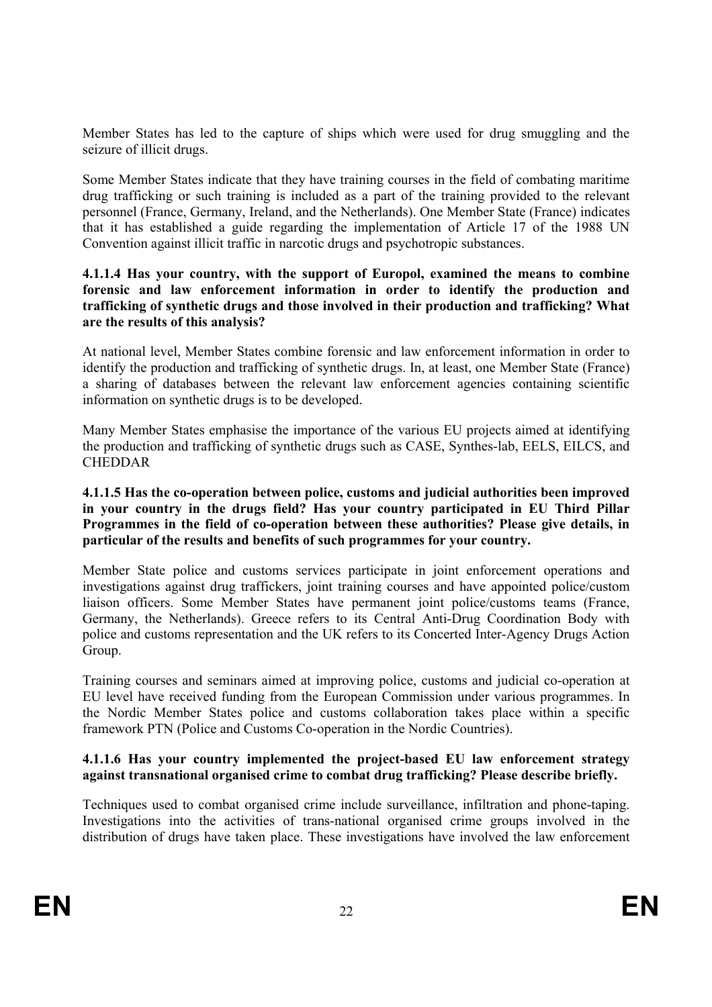Member States has led to the capture of ships which were used for drug smuggling and the seizure of illicit drugs.

Some Member States indicate that they have training courses in the field of combating maritime drug trafficking or such training is included as a part of the training provided to the relevant personnel (France, Germany, Ireland, and the Netherlands). One Member State (France) indicates that it has established a guide regarding the implementation of Article 17 of the 1988 UN Convention against illicit traffic in narcotic drugs and psychotropic substances.

#### **4.1.1.4 Has your country, with the support of Europol, examined the means to combine forensic and law enforcement information in order to identify the production and trafficking of synthetic drugs and those involved in their production and trafficking? What are the results of this analysis?**

At national level, Member States combine forensic and law enforcement information in order to identify the production and trafficking of synthetic drugs. In, at least, one Member State (France) a sharing of databases between the relevant law enforcement agencies containing scientific information on synthetic drugs is to be developed.

Many Member States emphasise the importance of the various EU projects aimed at identifying the production and trafficking of synthetic drugs such as CASE, Synthes-lab, EELS, EILCS, and CHEDDAR

#### **4.1.1.5 Has the co-operation between police, customs and judicial authorities been improved in your country in the drugs field? Has your country participated in EU Third Pillar Programmes in the field of co-operation between these authorities? Please give details, in particular of the results and benefits of such programmes for your country.**

Member State police and customs services participate in joint enforcement operations and investigations against drug traffickers, joint training courses and have appointed police/custom liaison officers. Some Member States have permanent joint police/customs teams (France, Germany, the Netherlands). Greece refers to its Central Anti-Drug Coordination Body with police and customs representation and the UK refers to its Concerted Inter-Agency Drugs Action Group.

Training courses and seminars aimed at improving police, customs and judicial co-operation at EU level have received funding from the European Commission under various programmes. In the Nordic Member States police and customs collaboration takes place within a specific framework PTN (Police and Customs Co-operation in the Nordic Countries).

# **4.1.1.6 Has your country implemented the project-based EU law enforcement strategy against transnational organised crime to combat drug trafficking? Please describe briefly.**

Techniques used to combat organised crime include surveillance, infiltration and phone-taping. Investigations into the activities of trans-national organised crime groups involved in the distribution of drugs have taken place. These investigations have involved the law enforcement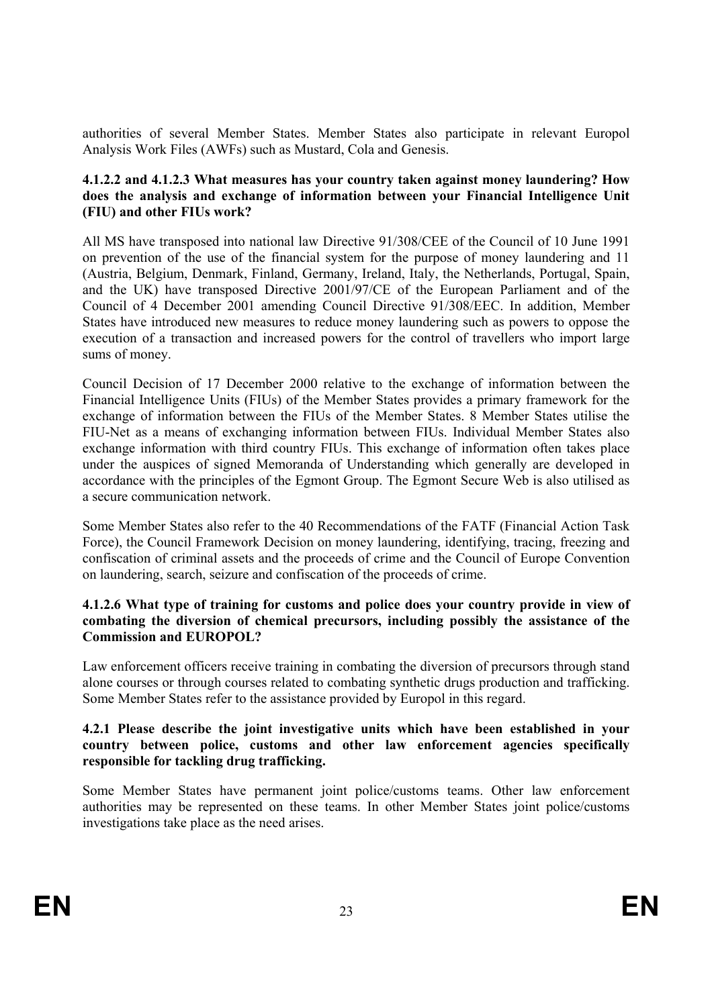authorities of several Member States. Member States also participate in relevant Europol Analysis Work Files (AWFs) such as Mustard, Cola and Genesis.

#### **4.1.2.2 and 4.1.2.3 What measures has your country taken against money laundering? How does the analysis and exchange of information between your Financial Intelligence Unit (FIU) and other FIUs work?**

All MS have transposed into national law Directive 91/308/CEE of the Council of 10 June 1991 on prevention of the use of the financial system for the purpose of money laundering and 11 (Austria, Belgium, Denmark, Finland, Germany, Ireland, Italy, the Netherlands, Portugal, Spain, and the UK) have transposed Directive 2001/97/CE of the European Parliament and of the Council of 4 December 2001 amending Council Directive 91/308/EEC. In addition, Member States have introduced new measures to reduce money laundering such as powers to oppose the execution of a transaction and increased powers for the control of travellers who import large sums of money.

Council Decision of 17 December 2000 relative to the exchange of information between the Financial Intelligence Units (FIUs) of the Member States provides a primary framework for the exchange of information between the FIUs of the Member States. 8 Member States utilise the FIU-Net as a means of exchanging information between FIUs. Individual Member States also exchange information with third country FIUs. This exchange of information often takes place under the auspices of signed Memoranda of Understanding which generally are developed in accordance with the principles of the Egmont Group. The Egmont Secure Web is also utilised as a secure communication network.

Some Member States also refer to the 40 Recommendations of the FATF (Financial Action Task Force), the Council Framework Decision on money laundering, identifying, tracing, freezing and confiscation of criminal assets and the proceeds of crime and the Council of Europe Convention on laundering, search, seizure and confiscation of the proceeds of crime.

# **4.1.2.6 What type of training for customs and police does your country provide in view of combating the diversion of chemical precursors, including possibly the assistance of the Commission and EUROPOL?**

Law enforcement officers receive training in combating the diversion of precursors through stand alone courses or through courses related to combating synthetic drugs production and trafficking. Some Member States refer to the assistance provided by Europol in this regard.

#### **4.2.1 Please describe the joint investigative units which have been established in your country between police, customs and other law enforcement agencies specifically responsible for tackling drug trafficking.**

Some Member States have permanent joint police/customs teams. Other law enforcement authorities may be represented on these teams. In other Member States joint police/customs investigations take place as the need arises.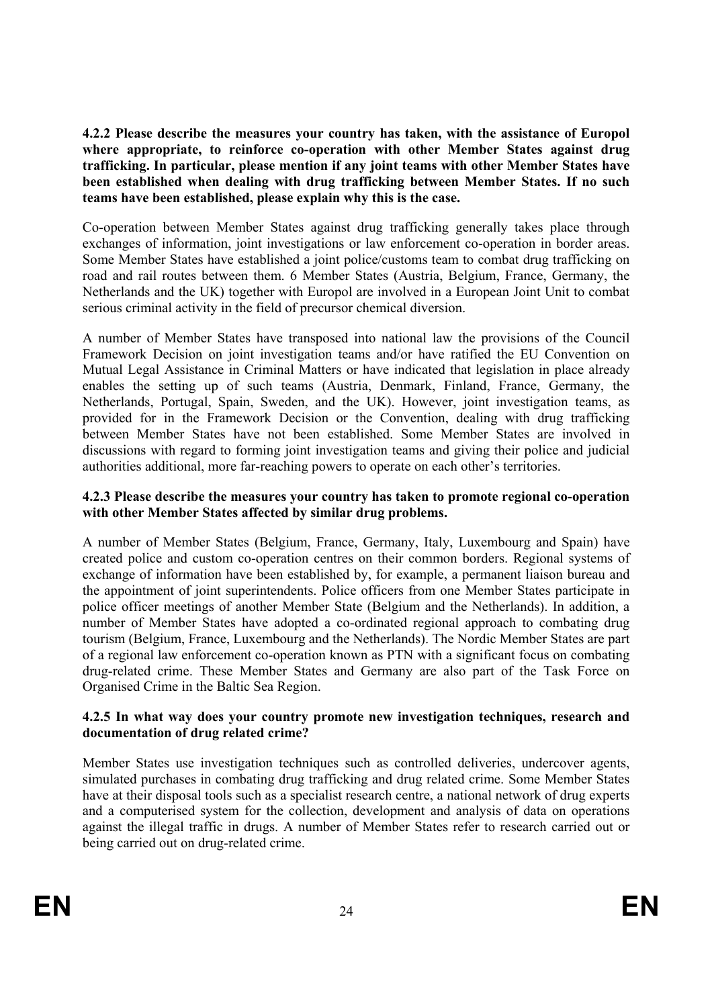**4.2.2 Please describe the measures your country has taken, with the assistance of Europol where appropriate, to reinforce co-operation with other Member States against drug trafficking. In particular, please mention if any joint teams with other Member States have been established when dealing with drug trafficking between Member States. If no such teams have been established, please explain why this is the case.** 

Co-operation between Member States against drug trafficking generally takes place through exchanges of information, joint investigations or law enforcement co-operation in border areas. Some Member States have established a joint police/customs team to combat drug trafficking on road and rail routes between them. 6 Member States (Austria, Belgium, France, Germany, the Netherlands and the UK) together with Europol are involved in a European Joint Unit to combat serious criminal activity in the field of precursor chemical diversion.

A number of Member States have transposed into national law the provisions of the Council Framework Decision on joint investigation teams and/or have ratified the EU Convention on Mutual Legal Assistance in Criminal Matters or have indicated that legislation in place already enables the setting up of such teams (Austria, Denmark, Finland, France, Germany, the Netherlands, Portugal, Spain, Sweden, and the UK). However, joint investigation teams, as provided for in the Framework Decision or the Convention, dealing with drug trafficking between Member States have not been established. Some Member States are involved in discussions with regard to forming joint investigation teams and giving their police and judicial authorities additional, more far-reaching powers to operate on each other's territories.

# **4.2.3 Please describe the measures your country has taken to promote regional co-operation with other Member States affected by similar drug problems.**

A number of Member States (Belgium, France, Germany, Italy, Luxembourg and Spain) have created police and custom co-operation centres on their common borders. Regional systems of exchange of information have been established by, for example, a permanent liaison bureau and the appointment of joint superintendents. Police officers from one Member States participate in police officer meetings of another Member State (Belgium and the Netherlands). In addition, a number of Member States have adopted a co-ordinated regional approach to combating drug tourism (Belgium, France, Luxembourg and the Netherlands). The Nordic Member States are part of a regional law enforcement co-operation known as PTN with a significant focus on combating drug-related crime. These Member States and Germany are also part of the Task Force on Organised Crime in the Baltic Sea Region.

# **4.2.5 In what way does your country promote new investigation techniques, research and documentation of drug related crime?**

Member States use investigation techniques such as controlled deliveries, undercover agents, simulated purchases in combating drug trafficking and drug related crime. Some Member States have at their disposal tools such as a specialist research centre, a national network of drug experts and a computerised system for the collection, development and analysis of data on operations against the illegal traffic in drugs. A number of Member States refer to research carried out or being carried out on drug-related crime.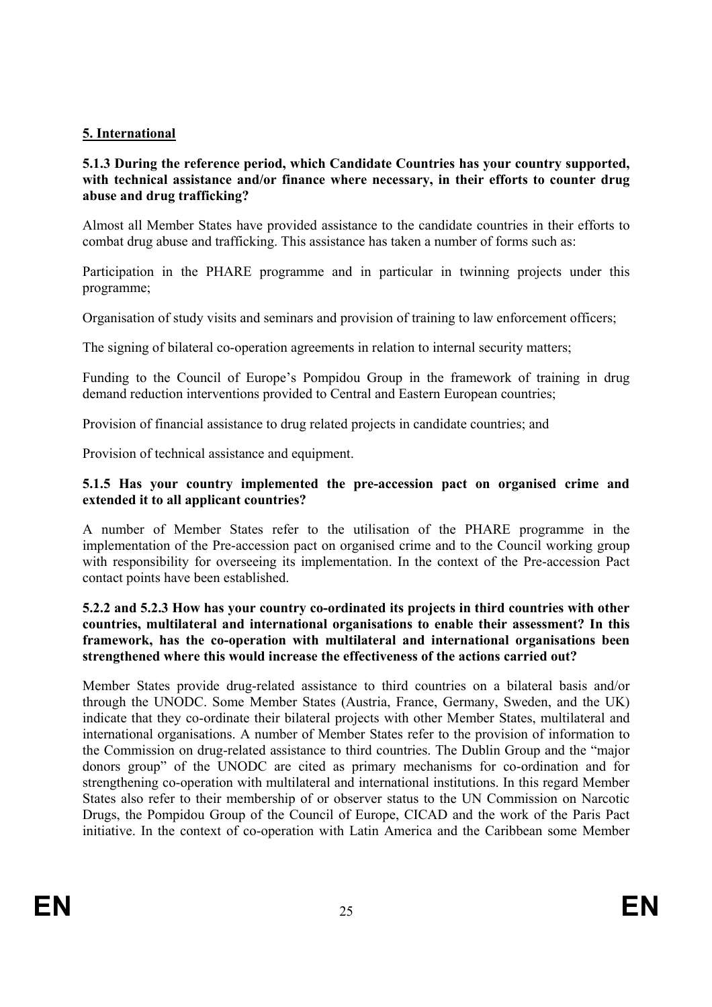# **5. International**

#### **5.1.3 During the reference period, which Candidate Countries has your country supported, with technical assistance and/or finance where necessary, in their efforts to counter drug abuse and drug trafficking?**

Almost all Member States have provided assistance to the candidate countries in their efforts to combat drug abuse and trafficking. This assistance has taken a number of forms such as:

Participation in the PHARE programme and in particular in twinning projects under this programme;

Organisation of study visits and seminars and provision of training to law enforcement officers;

The signing of bilateral co-operation agreements in relation to internal security matters;

Funding to the Council of Europe's Pompidou Group in the framework of training in drug demand reduction interventions provided to Central and Eastern European countries;

Provision of financial assistance to drug related projects in candidate countries; and

Provision of technical assistance and equipment.

# **5.1.5 Has your country implemented the pre-accession pact on organised crime and extended it to all applicant countries?**

A number of Member States refer to the utilisation of the PHARE programme in the implementation of the Pre-accession pact on organised crime and to the Council working group with responsibility for overseeing its implementation. In the context of the Pre-accession Pact contact points have been established.

# **5.2.2 and 5.2.3 How has your country co-ordinated its projects in third countries with other countries, multilateral and international organisations to enable their assessment? In this framework, has the co-operation with multilateral and international organisations been strengthened where this would increase the effectiveness of the actions carried out?**

Member States provide drug-related assistance to third countries on a bilateral basis and/or through the UNODC. Some Member States (Austria, France, Germany, Sweden, and the UK) indicate that they co-ordinate their bilateral projects with other Member States, multilateral and international organisations. A number of Member States refer to the provision of information to the Commission on drug-related assistance to third countries. The Dublin Group and the "major donors group" of the UNODC are cited as primary mechanisms for co-ordination and for strengthening co-operation with multilateral and international institutions. In this regard Member States also refer to their membership of or observer status to the UN Commission on Narcotic Drugs, the Pompidou Group of the Council of Europe, CICAD and the work of the Paris Pact initiative. In the context of co-operation with Latin America and the Caribbean some Member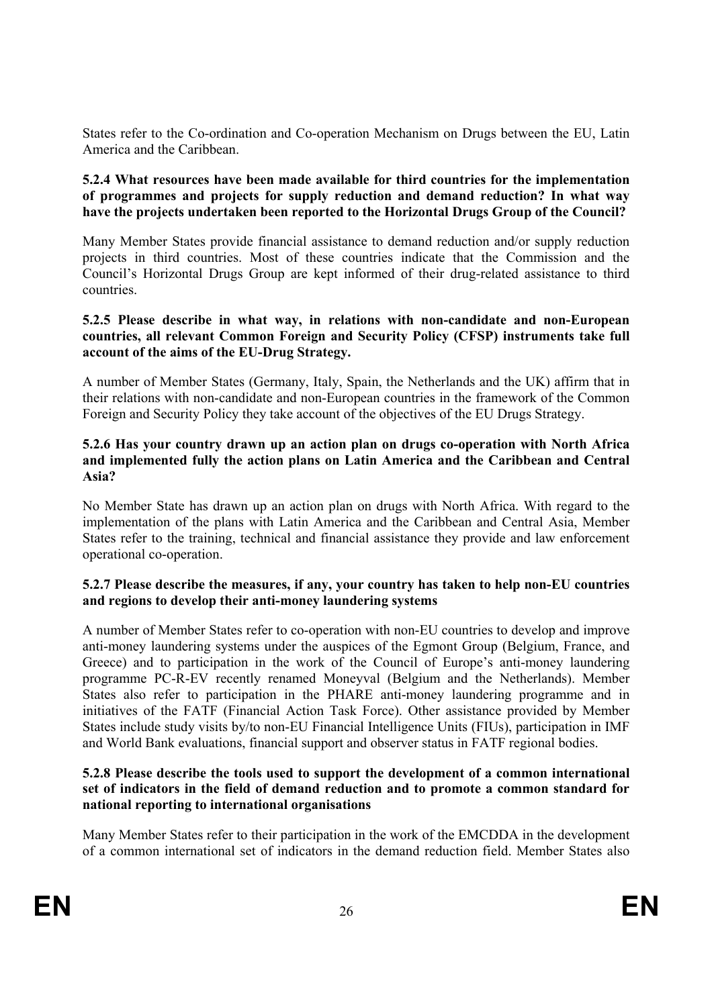States refer to the Co-ordination and Co-operation Mechanism on Drugs between the EU, Latin America and the Caribbean.

#### **5.2.4 What resources have been made available for third countries for the implementation of programmes and projects for supply reduction and demand reduction? In what way have the projects undertaken been reported to the Horizontal Drugs Group of the Council?**

Many Member States provide financial assistance to demand reduction and/or supply reduction projects in third countries. Most of these countries indicate that the Commission and the Council's Horizontal Drugs Group are kept informed of their drug-related assistance to third countries.

#### **5.2.5 Please describe in what way, in relations with non-candidate and non-European countries, all relevant Common Foreign and Security Policy (CFSP) instruments take full account of the aims of the EU-Drug Strategy.**

A number of Member States (Germany, Italy, Spain, the Netherlands and the UK) affirm that in their relations with non-candidate and non-European countries in the framework of the Common Foreign and Security Policy they take account of the objectives of the EU Drugs Strategy.

#### **5.2.6 Has your country drawn up an action plan on drugs co-operation with North Africa and implemented fully the action plans on Latin America and the Caribbean and Central Asia?**

No Member State has drawn up an action plan on drugs with North Africa. With regard to the implementation of the plans with Latin America and the Caribbean and Central Asia, Member States refer to the training, technical and financial assistance they provide and law enforcement operational co-operation.

# **5.2.7 Please describe the measures, if any, your country has taken to help non-EU countries and regions to develop their anti-money laundering systems**

A number of Member States refer to co-operation with non-EU countries to develop and improve anti-money laundering systems under the auspices of the Egmont Group (Belgium, France, and Greece) and to participation in the work of the Council of Europe's anti-money laundering programme PC-R-EV recently renamed Moneyval (Belgium and the Netherlands). Member States also refer to participation in the PHARE anti-money laundering programme and in initiatives of the FATF (Financial Action Task Force). Other assistance provided by Member States include study visits by/to non-EU Financial Intelligence Units (FIUs), participation in IMF and World Bank evaluations, financial support and observer status in FATF regional bodies.

#### **5.2.8 Please describe the tools used to support the development of a common international set of indicators in the field of demand reduction and to promote a common standard for national reporting to international organisations**

Many Member States refer to their participation in the work of the EMCDDA in the development of a common international set of indicators in the demand reduction field. Member States also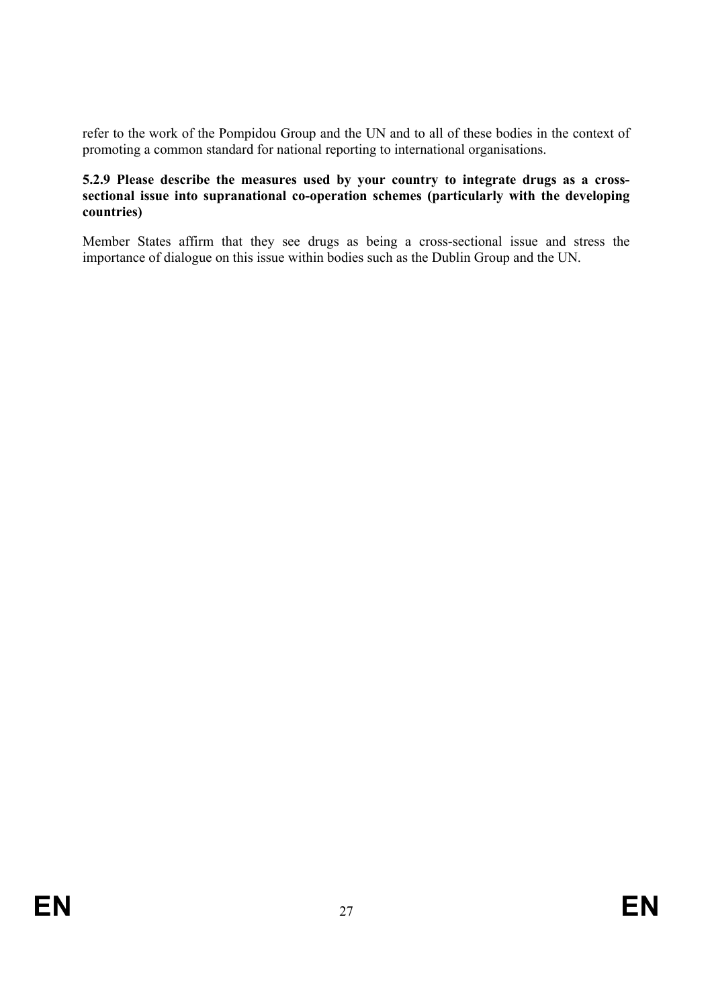refer to the work of the Pompidou Group and the UN and to all of these bodies in the context of promoting a common standard for national reporting to international organisations.

#### **5.2.9 Please describe the measures used by your country to integrate drugs as a cross**sectional issue into supranational co-operation schemes (particularly with the developing **countries)**

Member States affirm that they see drugs as being a cross-sectional issue and stress the importance of dialogue on this issue within bodies such as the Dublin Group and the UN.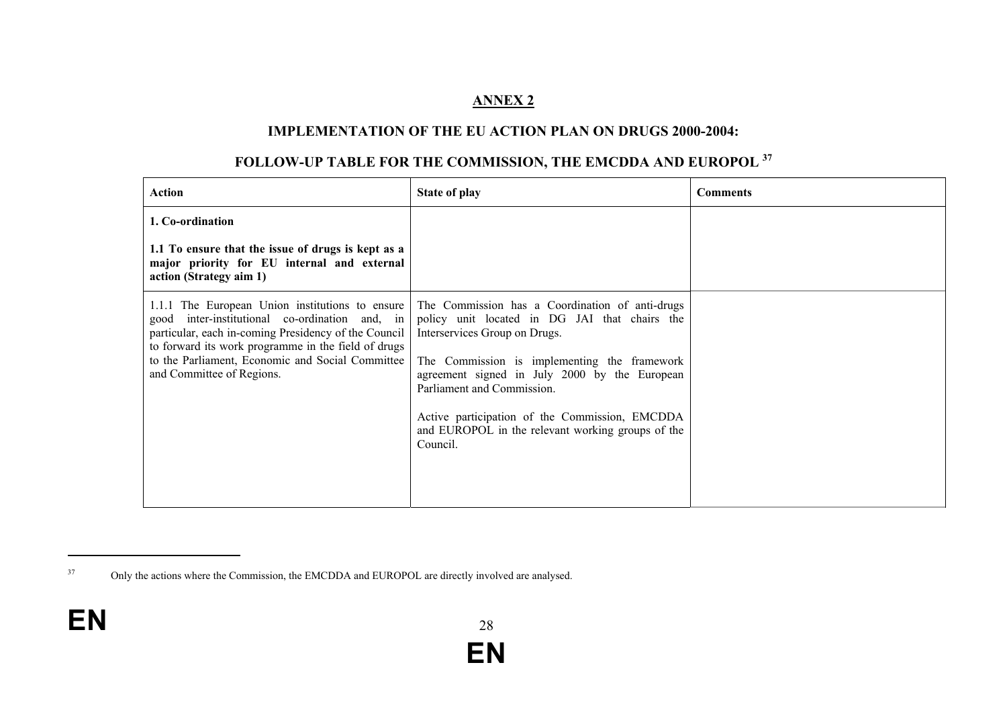# **ANNEX 2**

#### **IMPLEMENTATION OF THE EU ACTION PLAN ON DRUGS 2000-2004:**

# **FOLLOW-UP TABLE FOR THE COMMISSION, THE EMCDDA AND EUROPOL <sup>37</sup>**

| <b>Action</b>                                                                                                                                                                                                                                                                                        | <b>State of play</b>                                                                                                                                                                                                                                                                                                                                                                | <b>Comments</b> |
|------------------------------------------------------------------------------------------------------------------------------------------------------------------------------------------------------------------------------------------------------------------------------------------------------|-------------------------------------------------------------------------------------------------------------------------------------------------------------------------------------------------------------------------------------------------------------------------------------------------------------------------------------------------------------------------------------|-----------------|
| 1. Co-ordination                                                                                                                                                                                                                                                                                     |                                                                                                                                                                                                                                                                                                                                                                                     |                 |
| 1.1 To ensure that the issue of drugs is kept as a<br>major priority for EU internal and external<br>action (Strategy aim 1)                                                                                                                                                                         |                                                                                                                                                                                                                                                                                                                                                                                     |                 |
| 1.1.1 The European Union institutions to ensure<br>inter-institutional co-ordination and, in<br>good<br>particular, each in-coming Presidency of the Council<br>to forward its work programme in the field of drugs<br>to the Parliament, Economic and Social Committee<br>and Committee of Regions. | The Commission has a Coordination of anti-drugs<br>policy unit located in DG JAI that chairs the<br>Interservices Group on Drugs.<br>The Commission is implementing the framework<br>agreement signed in July 2000 by the European<br>Parliament and Commission.<br>Active participation of the Commission, EMCDDA<br>and EUROPOL in the relevant working groups of the<br>Council. |                 |

<sup>&</sup>lt;sup>37</sup> Only the actions where the Commission, the EMCDDA and EUROPOL are directly involved are analysed.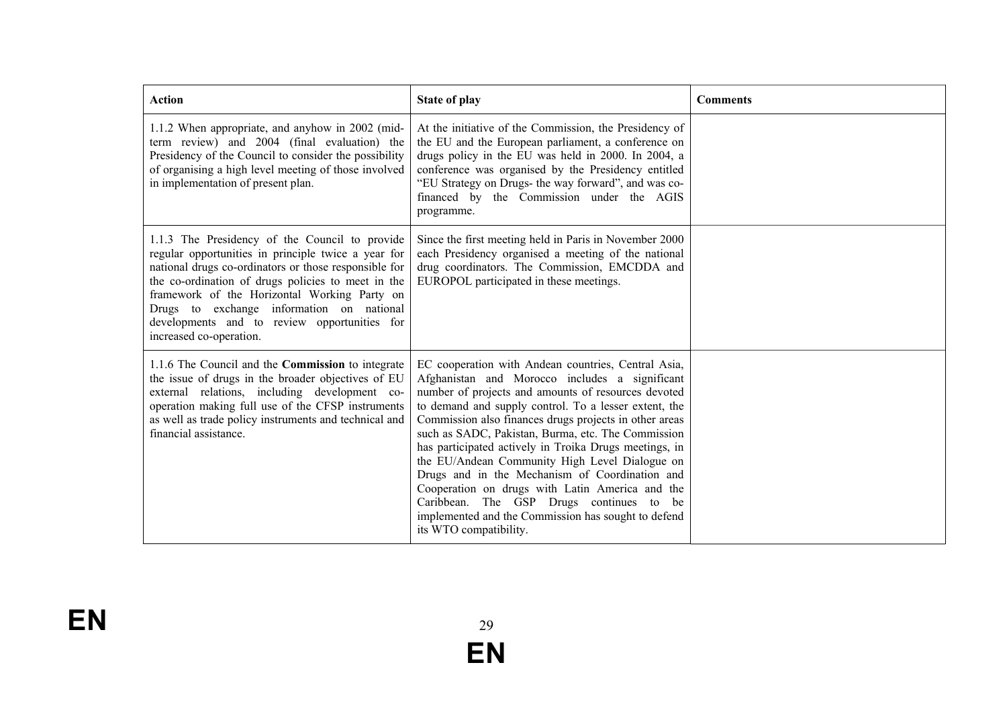| <b>Action</b>                                                                                                                                                                                                                                                                                                                                                                                | <b>State of play</b>                                                                                                                                                                                                                                                                                                                                                                                                                                                                                                                                                                                                                                                                | <b>Comments</b> |
|----------------------------------------------------------------------------------------------------------------------------------------------------------------------------------------------------------------------------------------------------------------------------------------------------------------------------------------------------------------------------------------------|-------------------------------------------------------------------------------------------------------------------------------------------------------------------------------------------------------------------------------------------------------------------------------------------------------------------------------------------------------------------------------------------------------------------------------------------------------------------------------------------------------------------------------------------------------------------------------------------------------------------------------------------------------------------------------------|-----------------|
| 1.1.2 When appropriate, and anyhow in 2002 (mid-<br>term review) and 2004 (final evaluation) the<br>Presidency of the Council to consider the possibility<br>of organising a high level meeting of those involved<br>in implementation of present plan.                                                                                                                                      | At the initiative of the Commission, the Presidency of<br>the EU and the European parliament, a conference on<br>drugs policy in the EU was held in 2000. In 2004, a<br>conference was organised by the Presidency entitled<br>"EU Strategy on Drugs- the way forward", and was co-<br>financed by the Commission under the AGIS<br>programme.                                                                                                                                                                                                                                                                                                                                      |                 |
| 1.1.3 The Presidency of the Council to provide<br>regular opportunities in principle twice a year for<br>national drugs co-ordinators or those responsible for<br>the co-ordination of drugs policies to meet in the<br>framework of the Horizontal Working Party on<br>Drugs to exchange information on national<br>developments and to review opportunities for<br>increased co-operation. | Since the first meeting held in Paris in November 2000<br>each Presidency organised a meeting of the national<br>drug coordinators. The Commission, EMCDDA and<br>EUROPOL participated in these meetings.                                                                                                                                                                                                                                                                                                                                                                                                                                                                           |                 |
| 1.1.6 The Council and the <b>Commission</b> to integrate<br>the issue of drugs in the broader objectives of EU<br>external relations, including development co-<br>operation making full use of the CFSP instruments<br>as well as trade policy instruments and technical and<br>financial assistance.                                                                                       | EC cooperation with Andean countries, Central Asia,<br>Afghanistan and Morocco includes a significant<br>number of projects and amounts of resources devoted<br>to demand and supply control. To a lesser extent, the<br>Commission also finances drugs projects in other areas<br>such as SADC, Pakistan, Burma, etc. The Commission<br>has participated actively in Troika Drugs meetings, in<br>the EU/Andean Community High Level Dialogue on<br>Drugs and in the Mechanism of Coordination and<br>Cooperation on drugs with Latin America and the<br>Caribbean. The GSP Drugs continues to be<br>implemented and the Commission has sought to defend<br>its WTO compatibility. |                 |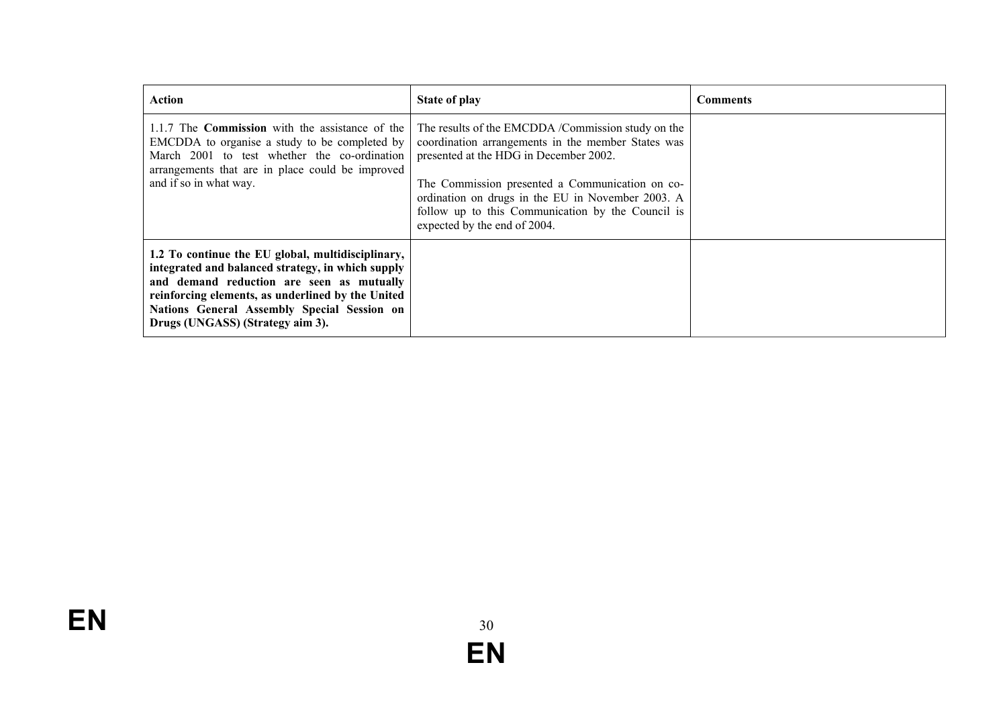| Action                                                                                                                                                                                                                                                                                      | State of play                                                                                                                                                                                                                                                                                                                                   | Comments |
|---------------------------------------------------------------------------------------------------------------------------------------------------------------------------------------------------------------------------------------------------------------------------------------------|-------------------------------------------------------------------------------------------------------------------------------------------------------------------------------------------------------------------------------------------------------------------------------------------------------------------------------------------------|----------|
| 1.1.7 The <b>Commission</b> with the assistance of the<br>EMCDDA to organise a study to be completed by<br>March 2001 to test whether the co-ordination<br>arrangements that are in place could be improved<br>and if so in what way.                                                       | The results of the EMCDDA /Commission study on the<br>coordination arrangements in the member States was<br>presented at the HDG in December 2002.<br>The Commission presented a Communication on co-<br>ordination on drugs in the EU in November 2003. A<br>follow up to this Communication by the Council is<br>expected by the end of 2004. |          |
| 1.2 To continue the EU global, multidisciplinary,<br>integrated and balanced strategy, in which supply<br>and demand reduction are seen as mutually<br>reinforcing elements, as underlined by the United<br>Nations General Assembly Special Session on<br>Drugs (UNGASS) (Strategy aim 3). |                                                                                                                                                                                                                                                                                                                                                 |          |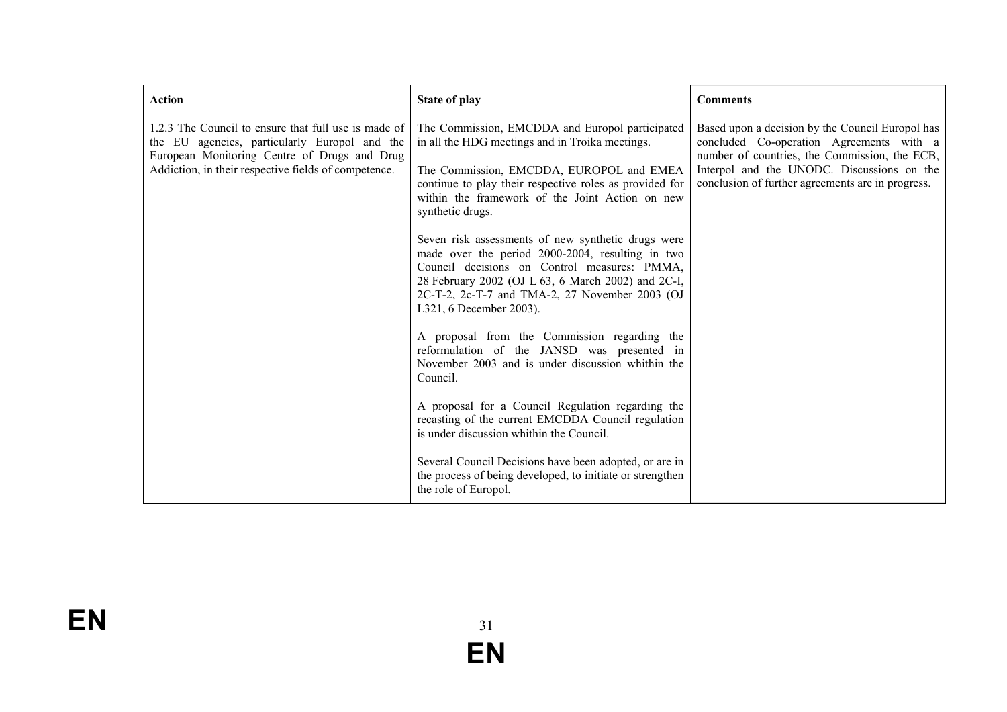| <b>Action</b>                                                                                                                                                                                                 | <b>State of play</b>                                                                                                                                                                                                                                                                      | <b>Comments</b>                                                                                                                                                                                                                                  |
|---------------------------------------------------------------------------------------------------------------------------------------------------------------------------------------------------------------|-------------------------------------------------------------------------------------------------------------------------------------------------------------------------------------------------------------------------------------------------------------------------------------------|--------------------------------------------------------------------------------------------------------------------------------------------------------------------------------------------------------------------------------------------------|
| 1.2.3 The Council to ensure that full use is made of<br>the EU agencies, particularly Europol and the<br>European Monitoring Centre of Drugs and Drug<br>Addiction, in their respective fields of competence. | The Commission, EMCDDA and Europol participated<br>in all the HDG meetings and in Troika meetings.<br>The Commission, EMCDDA, EUROPOL and EMEA<br>continue to play their respective roles as provided for<br>within the framework of the Joint Action on new<br>synthetic drugs.          | Based upon a decision by the Council Europol has<br>concluded Co-operation Agreements with a<br>number of countries, the Commission, the ECB,<br>Interpol and the UNODC. Discussions on the<br>conclusion of further agreements are in progress. |
|                                                                                                                                                                                                               | Seven risk assessments of new synthetic drugs were<br>made over the period 2000-2004, resulting in two<br>Council decisions on Control measures: PMMA,<br>28 February 2002 (OJ L 63, 6 March 2002) and 2C-I,<br>2C-T-2, 2c-T-7 and TMA-2, 27 November 2003 (OJ<br>L321, 6 December 2003). |                                                                                                                                                                                                                                                  |
|                                                                                                                                                                                                               | A proposal from the Commission regarding the<br>reformulation of the JANSD was presented in<br>November 2003 and is under discussion whithin the<br>Council.                                                                                                                              |                                                                                                                                                                                                                                                  |
|                                                                                                                                                                                                               | A proposal for a Council Regulation regarding the<br>recasting of the current EMCDDA Council regulation<br>is under discussion whithin the Council.                                                                                                                                       |                                                                                                                                                                                                                                                  |
|                                                                                                                                                                                                               | Several Council Decisions have been adopted, or are in<br>the process of being developed, to initiate or strengthen<br>the role of Europol.                                                                                                                                               |                                                                                                                                                                                                                                                  |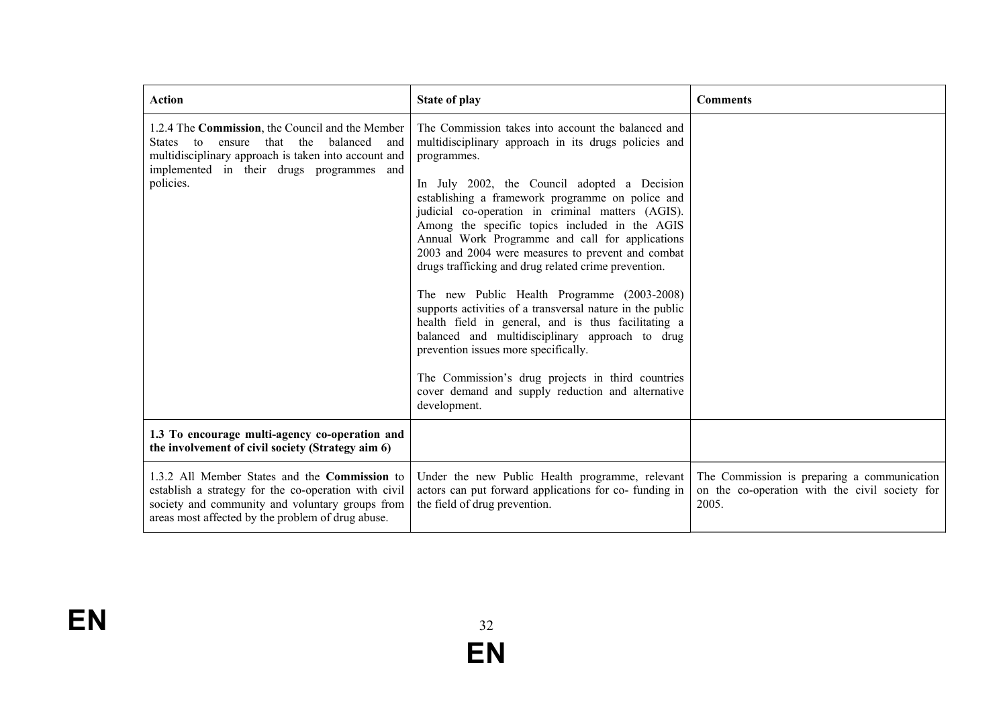| <b>Action</b>                                                                                                                                                                                                            | <b>State of play</b>                                                                                                                                                                                                                                                                                                                                                                                                                                                                                                                                                                                                                                                                                                                                                                                                                                                                         | <b>Comments</b>                                                                                        |
|--------------------------------------------------------------------------------------------------------------------------------------------------------------------------------------------------------------------------|----------------------------------------------------------------------------------------------------------------------------------------------------------------------------------------------------------------------------------------------------------------------------------------------------------------------------------------------------------------------------------------------------------------------------------------------------------------------------------------------------------------------------------------------------------------------------------------------------------------------------------------------------------------------------------------------------------------------------------------------------------------------------------------------------------------------------------------------------------------------------------------------|--------------------------------------------------------------------------------------------------------|
| 1.2.4 The Commission, the Council and the Member<br>that the<br>balanced<br>States to<br>ensure<br>and<br>multidisciplinary approach is taken into account and<br>implemented in their drugs programmes and<br>policies. | The Commission takes into account the balanced and<br>multidisciplinary approach in its drugs policies and<br>programmes.<br>In July 2002, the Council adopted a Decision<br>establishing a framework programme on police and<br>judicial co-operation in criminal matters (AGIS).<br>Among the specific topics included in the AGIS<br>Annual Work Programme and call for applications<br>2003 and 2004 were measures to prevent and combat<br>drugs trafficking and drug related crime prevention.<br>The new Public Health Programme (2003-2008)<br>supports activities of a transversal nature in the public<br>health field in general, and is thus facilitating a<br>balanced and multidisciplinary approach to drug<br>prevention issues more specifically.<br>The Commission's drug projects in third countries<br>cover demand and supply reduction and alternative<br>development. |                                                                                                        |
| 1.3 To encourage multi-agency co-operation and<br>the involvement of civil society (Strategy aim 6)                                                                                                                      |                                                                                                                                                                                                                                                                                                                                                                                                                                                                                                                                                                                                                                                                                                                                                                                                                                                                                              |                                                                                                        |
| 1.3.2 All Member States and the Commission to<br>establish a strategy for the co-operation with civil<br>society and community and voluntary groups from<br>areas most affected by the problem of drug abuse.            | Under the new Public Health programme, relevant<br>actors can put forward applications for co- funding in<br>the field of drug prevention.                                                                                                                                                                                                                                                                                                                                                                                                                                                                                                                                                                                                                                                                                                                                                   | The Commission is preparing a communication<br>on the co-operation with the civil society for<br>2005. |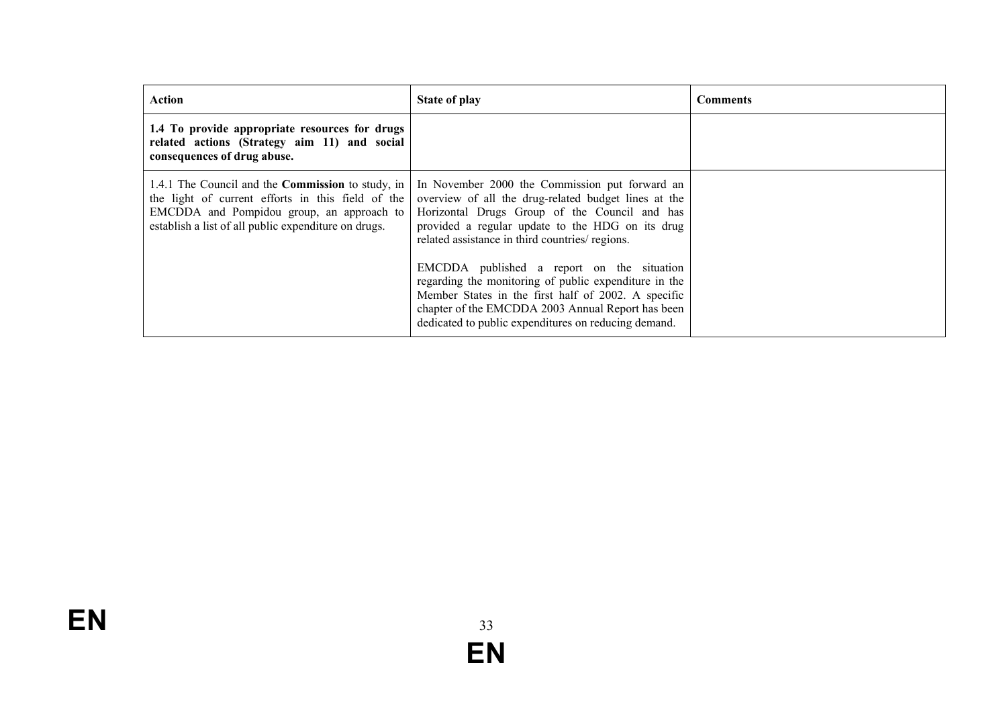| Action                                                                                                                                                                                                             | <b>State of play</b>                                                                                                                                                                                                                                                                                                                                                                                                                                                                                                                      | <b>Comments</b> |
|--------------------------------------------------------------------------------------------------------------------------------------------------------------------------------------------------------------------|-------------------------------------------------------------------------------------------------------------------------------------------------------------------------------------------------------------------------------------------------------------------------------------------------------------------------------------------------------------------------------------------------------------------------------------------------------------------------------------------------------------------------------------------|-----------------|
| 1.4 To provide appropriate resources for drugs<br>related actions (Strategy aim 11) and social<br>consequences of drug abuse.                                                                                      |                                                                                                                                                                                                                                                                                                                                                                                                                                                                                                                                           |                 |
| 1.4.1 The Council and the <b>Commission</b> to study, in<br>the light of current efforts in this field of the<br>EMCDDA and Pompidou group, an approach to<br>establish a list of all public expenditure on drugs. | In November 2000 the Commission put forward an<br>overview of all the drug-related budget lines at the<br>Horizontal Drugs Group of the Council and has<br>provided a regular update to the HDG on its drug<br>related assistance in third countries/ regions.<br>EMCDDA published a report on the situation<br>regarding the monitoring of public expenditure in the<br>Member States in the first half of 2002. A specific<br>chapter of the EMCDDA 2003 Annual Report has been<br>dedicated to public expenditures on reducing demand. |                 |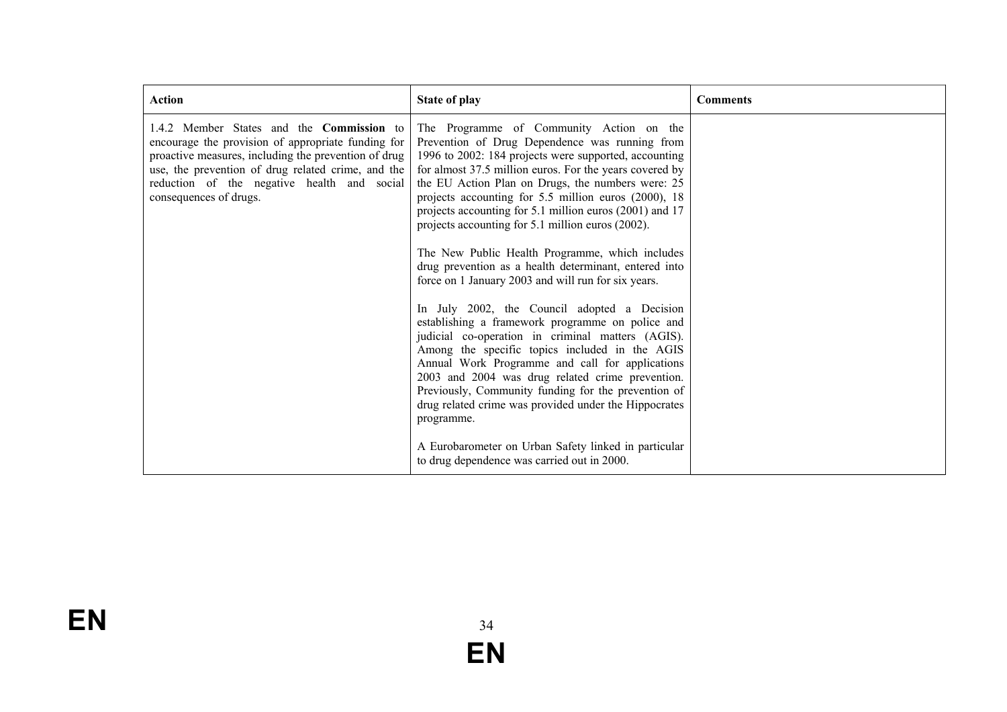| <b>Action</b>                                                                                                                                                                                                                                                                                 | <b>State of play</b>                                                                                                                                                                                                                                                                                                                                                                                                                                                                                                                                                                                                                                                                                                                                                                                                                                                                                                                                                                                                                                           | <b>Comments</b> |
|-----------------------------------------------------------------------------------------------------------------------------------------------------------------------------------------------------------------------------------------------------------------------------------------------|----------------------------------------------------------------------------------------------------------------------------------------------------------------------------------------------------------------------------------------------------------------------------------------------------------------------------------------------------------------------------------------------------------------------------------------------------------------------------------------------------------------------------------------------------------------------------------------------------------------------------------------------------------------------------------------------------------------------------------------------------------------------------------------------------------------------------------------------------------------------------------------------------------------------------------------------------------------------------------------------------------------------------------------------------------------|-----------------|
| 1.4.2 Member States and the <b>Commission</b> to<br>encourage the provision of appropriate funding for<br>proactive measures, including the prevention of drug<br>use, the prevention of drug related crime, and the<br>reduction of the negative health and social<br>consequences of drugs. | The Programme of Community Action on the<br>Prevention of Drug Dependence was running from<br>1996 to 2002: 184 projects were supported, accounting<br>for almost 37.5 million euros. For the years covered by<br>the EU Action Plan on Drugs, the numbers were: 25<br>projects accounting for 5.5 million euros (2000), 18<br>projects accounting for 5.1 million euros (2001) and 17<br>projects accounting for 5.1 million euros (2002).<br>The New Public Health Programme, which includes<br>drug prevention as a health determinant, entered into<br>force on 1 January 2003 and will run for six years.<br>In July 2002, the Council adopted a Decision<br>establishing a framework programme on police and<br>judicial co-operation in criminal matters (AGIS).<br>Among the specific topics included in the AGIS<br>Annual Work Programme and call for applications<br>2003 and 2004 was drug related crime prevention.<br>Previously, Community funding for the prevention of<br>drug related crime was provided under the Hippocrates<br>programme. |                 |
|                                                                                                                                                                                                                                                                                               | A Eurobarometer on Urban Safety linked in particular<br>to drug dependence was carried out in 2000.                                                                                                                                                                                                                                                                                                                                                                                                                                                                                                                                                                                                                                                                                                                                                                                                                                                                                                                                                            |                 |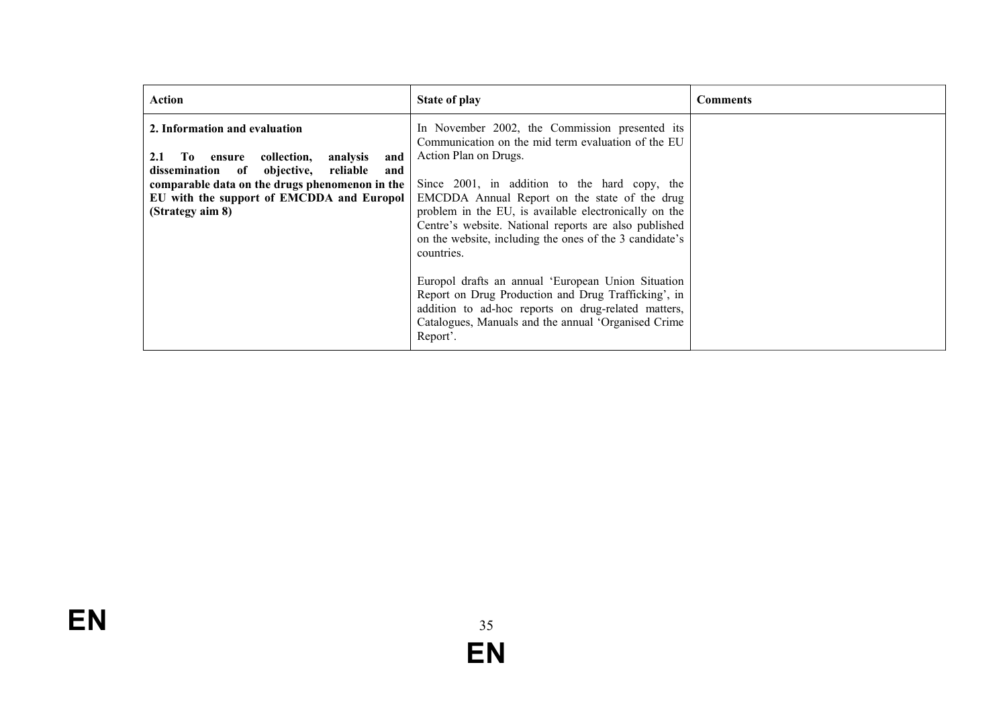| Action                                                                                                                                                                                                                                                     | <b>State of play</b>                                                                                                                                                                                                                                                                                                                                                                                                                                                                                                                                                                                                                                              | <b>Comments</b> |
|------------------------------------------------------------------------------------------------------------------------------------------------------------------------------------------------------------------------------------------------------------|-------------------------------------------------------------------------------------------------------------------------------------------------------------------------------------------------------------------------------------------------------------------------------------------------------------------------------------------------------------------------------------------------------------------------------------------------------------------------------------------------------------------------------------------------------------------------------------------------------------------------------------------------------------------|-----------------|
| 2. Information and evaluation<br>2.1<br>collection,<br>analysis<br>To T<br>ensure<br>and<br>dissemination of objective, reliable<br>and<br>comparable data on the drugs phenomenon in the<br>EU with the support of EMCDDA and Europol<br>(Strategy aim 8) | In November 2002, the Commission presented its<br>Communication on the mid term evaluation of the EU<br>Action Plan on Drugs.<br>Since 2001, in addition to the hard copy, the<br>EMCDDA Annual Report on the state of the drug<br>problem in the EU, is available electronically on the<br>Centre's website. National reports are also published<br>on the website, including the ones of the 3 candidate's<br>countries.<br>Europol drafts an annual 'European Union Situation<br>Report on Drug Production and Drug Trafficking', in<br>addition to ad-hoc reports on drug-related matters,<br>Catalogues, Manuals and the annual 'Organised Crime<br>Report'. |                 |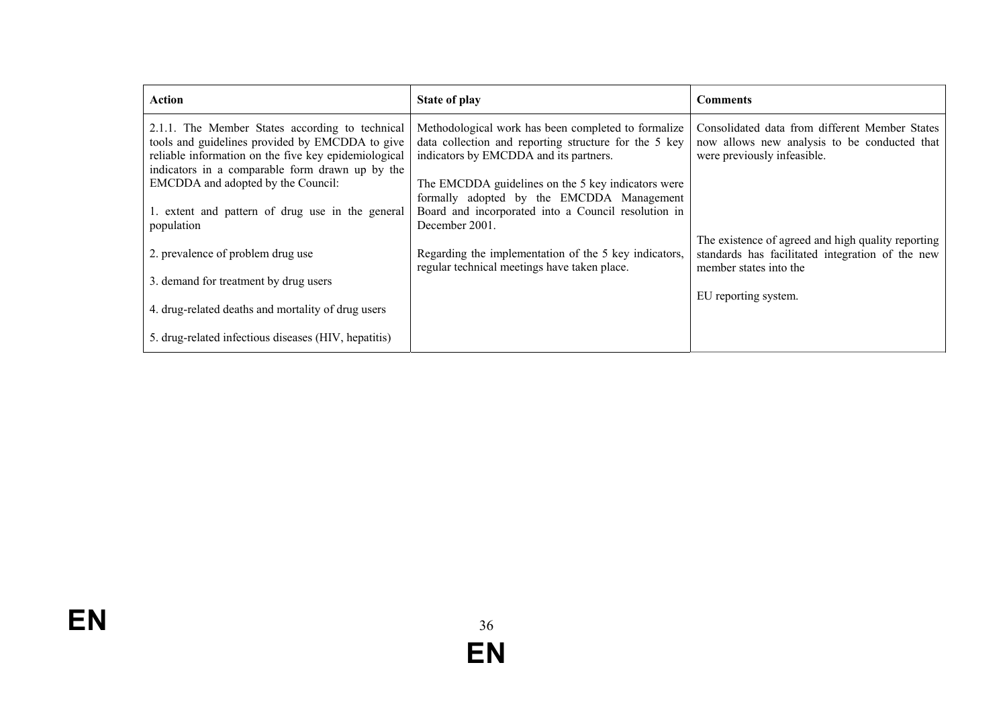| Action                                                                                                                                                                                                        | <b>State of play</b>                                                                                                                                   | <b>Comments</b>                                                                                                                  |
|---------------------------------------------------------------------------------------------------------------------------------------------------------------------------------------------------------------|--------------------------------------------------------------------------------------------------------------------------------------------------------|----------------------------------------------------------------------------------------------------------------------------------|
| 2.1.1. The Member States according to technical<br>tools and guidelines provided by EMCDDA to give<br>reliable information on the five key epidemiological<br>indicators in a comparable form drawn up by the | Methodological work has been completed to formalize<br>data collection and reporting structure for the 5 key<br>indicators by EMCDDA and its partners. | Consolidated data from different Member States<br>now allows new analysis to be conducted that<br>were previously infeasible.    |
| EMCDDA and adopted by the Council:<br>1. extent and pattern of drug use in the general                                                                                                                        | The EMCDDA guidelines on the 5 key indicators were<br>formally adopted by the EMCDDA Management<br>Board and incorporated into a Council resolution in |                                                                                                                                  |
| population                                                                                                                                                                                                    | December 2001.                                                                                                                                         |                                                                                                                                  |
| 2. prevalence of problem drug use                                                                                                                                                                             | Regarding the implementation of the 5 key indicators,<br>regular technical meetings have taken place.                                                  | The existence of agreed and high quality reporting<br>standards has facilitated integration of the new<br>member states into the |
| 3. demand for treatment by drug users                                                                                                                                                                         |                                                                                                                                                        |                                                                                                                                  |
| 4. drug-related deaths and mortality of drug users                                                                                                                                                            |                                                                                                                                                        | EU reporting system.                                                                                                             |
| 5. drug-related infectious diseases (HIV, hepatitis)                                                                                                                                                          |                                                                                                                                                        |                                                                                                                                  |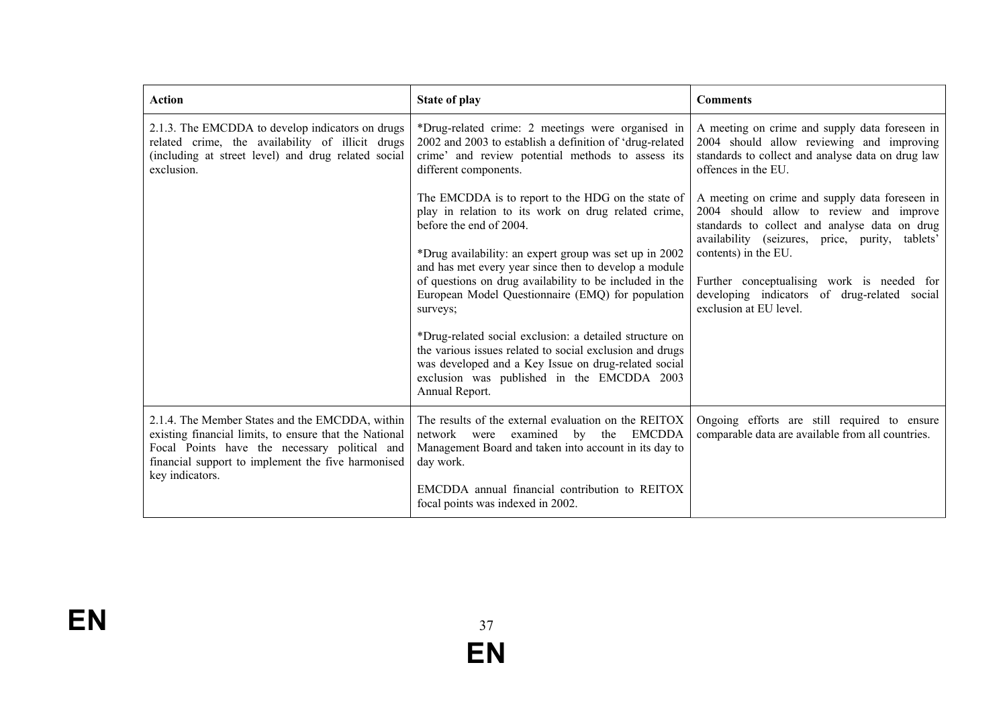| <b>Action</b>                                                                                                                                                                                                                       | <b>State of play</b>                                                                                                                                                                                                                                                                                                                                                                                                                                                                                                                                                                                                               | <b>Comments</b>                                                                                                                                                                                                                                                                                                                               |
|-------------------------------------------------------------------------------------------------------------------------------------------------------------------------------------------------------------------------------------|------------------------------------------------------------------------------------------------------------------------------------------------------------------------------------------------------------------------------------------------------------------------------------------------------------------------------------------------------------------------------------------------------------------------------------------------------------------------------------------------------------------------------------------------------------------------------------------------------------------------------------|-----------------------------------------------------------------------------------------------------------------------------------------------------------------------------------------------------------------------------------------------------------------------------------------------------------------------------------------------|
| 2.1.3. The EMCDDA to develop indicators on drugs<br>related crime, the availability of illicit drugs<br>(including at street level) and drug related social<br>exclusion.                                                           | *Drug-related crime: 2 meetings were organised in<br>2002 and 2003 to establish a definition of 'drug-related<br>crime' and review potential methods to assess its<br>different components.                                                                                                                                                                                                                                                                                                                                                                                                                                        | A meeting on crime and supply data foreseen in<br>2004 should allow reviewing and improving<br>standards to collect and analyse data on drug law<br>offences in the EU.                                                                                                                                                                       |
|                                                                                                                                                                                                                                     | The EMCDDA is to report to the HDG on the state of<br>play in relation to its work on drug related crime,<br>before the end of 2004.<br>*Drug availability: an expert group was set up in 2002<br>and has met every year since then to develop a module<br>of questions on drug availability to be included in the<br>European Model Questionnaire (EMQ) for population<br>surveys;<br>*Drug-related social exclusion: a detailed structure on<br>the various issues related to social exclusion and drugs<br>was developed and a Key Issue on drug-related social<br>exclusion was published in the EMCDDA 2003<br>Annual Report. | A meeting on crime and supply data foreseen in<br>2004 should allow to review and improve<br>standards to collect and analyse data on drug<br>availability (seizures, price, purity, tablets'<br>contents) in the EU.<br>Further conceptualising work is needed for<br>developing indicators of drug-related social<br>exclusion at EU level. |
| 2.1.4. The Member States and the EMCDDA, within<br>existing financial limits, to ensure that the National<br>Focal Points have the necessary political and<br>financial support to implement the five harmonised<br>key indicators. | The results of the external evaluation on the REITOX<br>network<br>the<br>EMCDDA<br>examined<br>were<br>by<br>Management Board and taken into account in its day to<br>day work.<br>EMCDDA annual financial contribution to REITOX<br>focal points was indexed in 2002.                                                                                                                                                                                                                                                                                                                                                            | Ongoing efforts are still required to ensure<br>comparable data are available from all countries.                                                                                                                                                                                                                                             |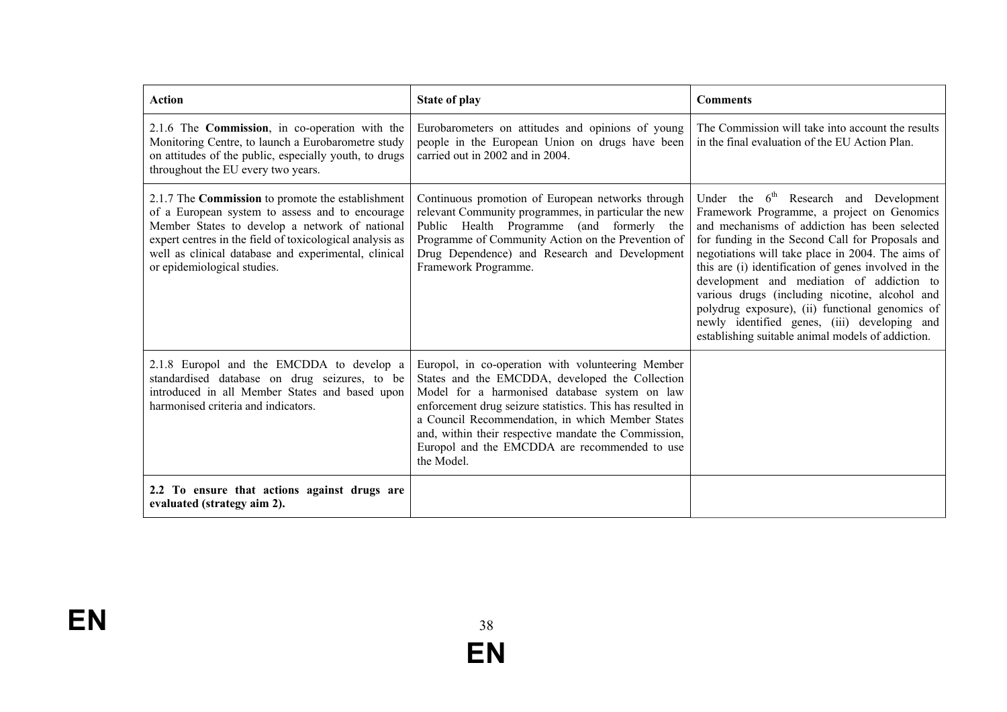| <b>Action</b>                                                                                                                                                                                                                                                                                             | <b>State of play</b>                                                                                                                                                                                                                                                                                                                                                                          | <b>Comments</b>                                                                                                                                                                                                                                                                                                                                                                                                                                                                                                                                                           |
|-----------------------------------------------------------------------------------------------------------------------------------------------------------------------------------------------------------------------------------------------------------------------------------------------------------|-----------------------------------------------------------------------------------------------------------------------------------------------------------------------------------------------------------------------------------------------------------------------------------------------------------------------------------------------------------------------------------------------|---------------------------------------------------------------------------------------------------------------------------------------------------------------------------------------------------------------------------------------------------------------------------------------------------------------------------------------------------------------------------------------------------------------------------------------------------------------------------------------------------------------------------------------------------------------------------|
| 2.1.6 The Commission, in co-operation with the<br>Monitoring Centre, to launch a Eurobarometre study<br>on attitudes of the public, especially youth, to drugs<br>throughout the EU every two years.                                                                                                      | Eurobarometers on attitudes and opinions of young<br>people in the European Union on drugs have been<br>carried out in 2002 and in 2004.                                                                                                                                                                                                                                                      | The Commission will take into account the results<br>in the final evaluation of the EU Action Plan.                                                                                                                                                                                                                                                                                                                                                                                                                                                                       |
| 2.1.7 The Commission to promote the establishment<br>of a European system to assess and to encourage<br>Member States to develop a network of national<br>expert centres in the field of toxicological analysis as<br>well as clinical database and experimental, clinical<br>or epidemiological studies. | Continuous promotion of European networks through<br>relevant Community programmes, in particular the new<br>Public Health Programme (and formerly the<br>Programme of Community Action on the Prevention of<br>Drug Dependence) and Research and Development<br>Framework Programme.                                                                                                         | Under the 6 <sup>th</sup> Research and Development<br>Framework Programme, a project on Genomics<br>and mechanisms of addiction has been selected<br>for funding in the Second Call for Proposals and<br>negotiations will take place in 2004. The aims of<br>this are (i) identification of genes involved in the<br>development and mediation of addiction to<br>various drugs (including nicotine, alcohol and<br>polydrug exposure), (ii) functional genomics of<br>newly identified genes, (iii) developing and<br>establishing suitable animal models of addiction. |
| 2.1.8 Europol and the EMCDDA to develop a<br>standardised database on drug seizures, to be<br>introduced in all Member States and based upon<br>harmonised criteria and indicators.                                                                                                                       | Europol, in co-operation with volunteering Member<br>States and the EMCDDA, developed the Collection<br>Model for a harmonised database system on law<br>enforcement drug seizure statistics. This has resulted in<br>a Council Recommendation, in which Member States<br>and, within their respective mandate the Commission,<br>Europol and the EMCDDA are recommended to use<br>the Model. |                                                                                                                                                                                                                                                                                                                                                                                                                                                                                                                                                                           |
| 2.2 To ensure that actions against drugs are<br>evaluated (strategy aim 2).                                                                                                                                                                                                                               |                                                                                                                                                                                                                                                                                                                                                                                               |                                                                                                                                                                                                                                                                                                                                                                                                                                                                                                                                                                           |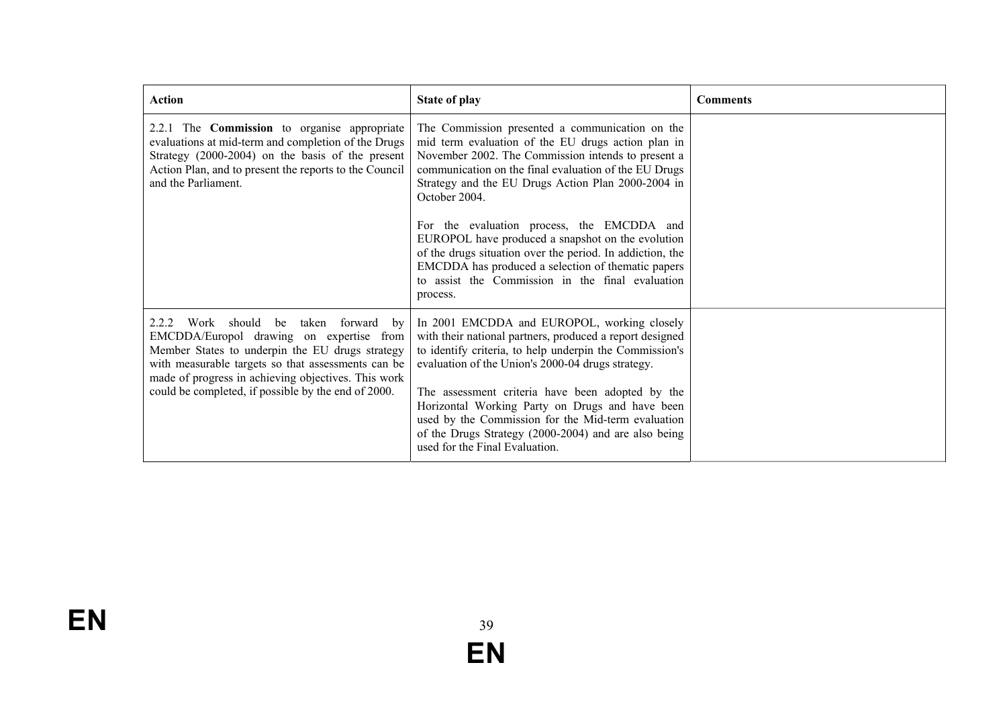| <b>Action</b>                                                                                                                                                                                                                                                                                            | <b>State of play</b>                                                                                                                                                                                                                                                                                                                                                                                                                                                                                                                                                              | <b>Comments</b> |
|----------------------------------------------------------------------------------------------------------------------------------------------------------------------------------------------------------------------------------------------------------------------------------------------------------|-----------------------------------------------------------------------------------------------------------------------------------------------------------------------------------------------------------------------------------------------------------------------------------------------------------------------------------------------------------------------------------------------------------------------------------------------------------------------------------------------------------------------------------------------------------------------------------|-----------------|
| 2.2.1 The <b>Commission</b> to organise appropriate<br>evaluations at mid-term and completion of the Drugs<br>Strategy (2000-2004) on the basis of the present<br>Action Plan, and to present the reports to the Council<br>and the Parliament.                                                          | The Commission presented a communication on the<br>mid term evaluation of the EU drugs action plan in<br>November 2002. The Commission intends to present a<br>communication on the final evaluation of the EU Drugs<br>Strategy and the EU Drugs Action Plan 2000-2004 in<br>October 2004.<br>For the evaluation process, the EMCDDA and<br>EUROPOL have produced a snapshot on the evolution<br>of the drugs situation over the period. In addiction, the<br>EMCDDA has produced a selection of thematic papers<br>to assist the Commission in the final evaluation<br>process. |                 |
| 2.2.2 Work should be taken forward by<br>EMCDDA/Europol drawing on expertise from<br>Member States to underpin the EU drugs strategy<br>with measurable targets so that assessments can be<br>made of progress in achieving objectives. This work<br>could be completed, if possible by the end of 2000. | In 2001 EMCDDA and EUROPOL, working closely<br>with their national partners, produced a report designed<br>to identify criteria, to help underpin the Commission's<br>evaluation of the Union's 2000-04 drugs strategy.<br>The assessment criteria have been adopted by the<br>Horizontal Working Party on Drugs and have been<br>used by the Commission for the Mid-term evaluation<br>of the Drugs Strategy (2000-2004) and are also being<br>used for the Final Evaluation.                                                                                                    |                 |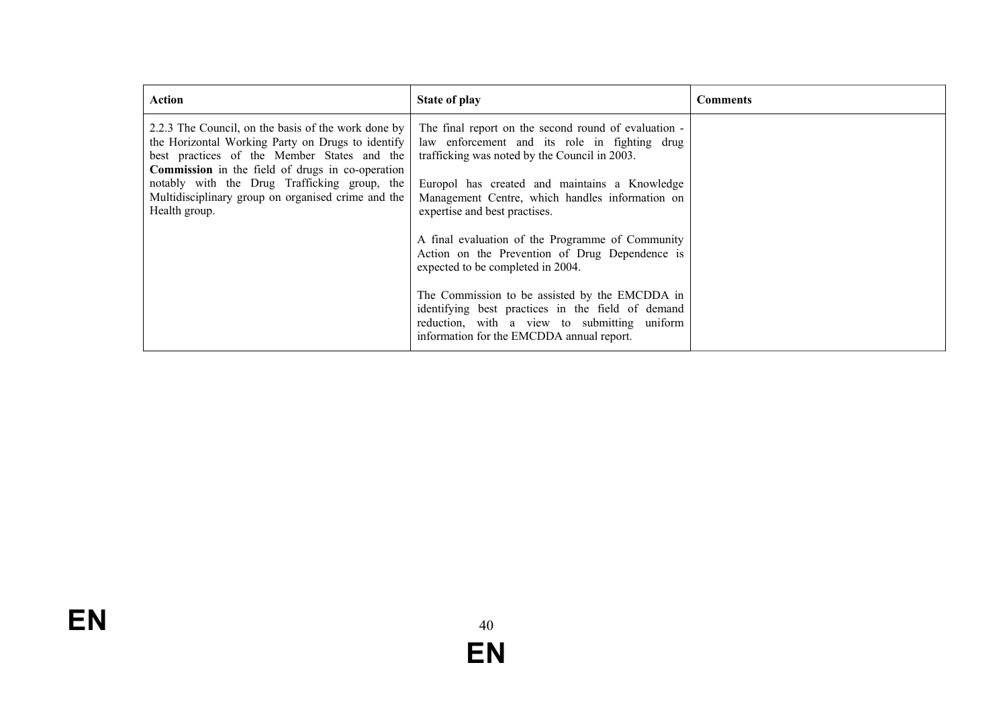| Action                                                                                                                                                                                                                                                                                                                                    | State of play                                                                                                                                                                                                                                                                                                                                                                                     | <b>Comments</b> |
|-------------------------------------------------------------------------------------------------------------------------------------------------------------------------------------------------------------------------------------------------------------------------------------------------------------------------------------------|---------------------------------------------------------------------------------------------------------------------------------------------------------------------------------------------------------------------------------------------------------------------------------------------------------------------------------------------------------------------------------------------------|-----------------|
| 2.2.3 The Council, on the basis of the work done by<br>the Horizontal Working Party on Drugs to identify<br>best practices of the Member States and the<br><b>Commission</b> in the field of drugs in co-operation<br>notably with the Drug Trafficking group, the<br>Multidisciplinary group on organised crime and the<br>Health group. | The final report on the second round of evaluation -<br>law enforcement and its role in fighting drug<br>trafficking was noted by the Council in 2003.<br>Europol has created and maintains a Knowledge<br>Management Centre, which handles information on<br>expertise and best practises.<br>A final evaluation of the Programme of Community<br>Action on the Prevention of Drug Dependence is |                 |
|                                                                                                                                                                                                                                                                                                                                           | expected to be completed in 2004.<br>The Commission to be assisted by the EMCDDA in<br>identifying best practices in the field of demand<br>reduction, with a view to submitting uniform<br>information for the EMCDDA annual report.                                                                                                                                                             |                 |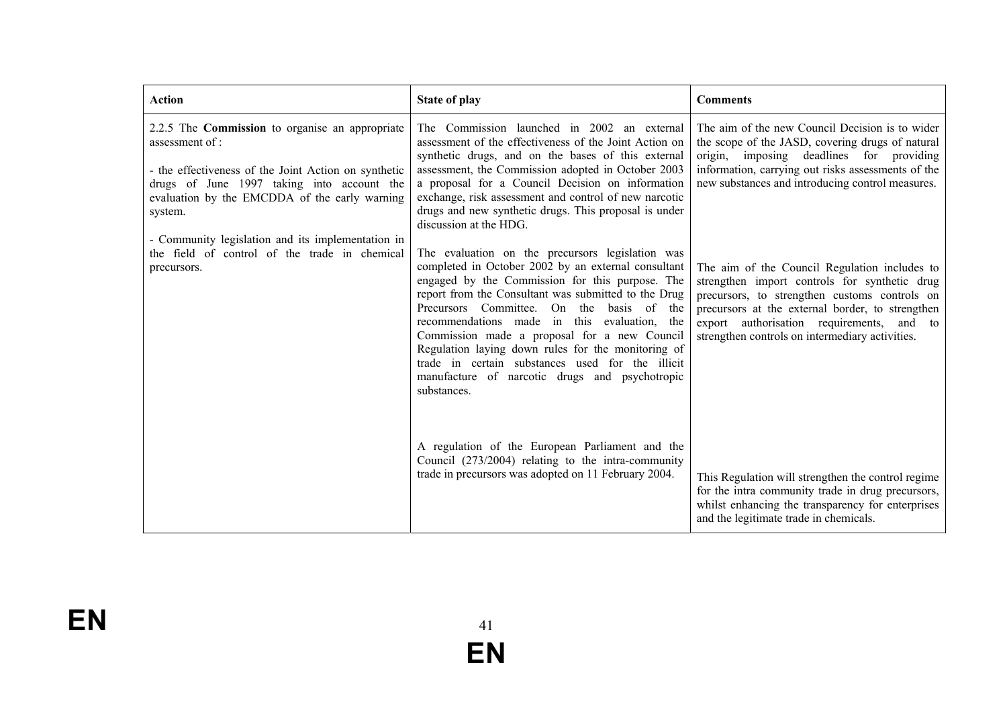| <b>Action</b>                                                                                                                                                                                                                                                                                    | <b>State of play</b>                                                                                                                                                                                                                                                                                                                                                                                                                                                                                                                       | <b>Comments</b>                                                                                                                                                                                                                                                                                        |
|--------------------------------------------------------------------------------------------------------------------------------------------------------------------------------------------------------------------------------------------------------------------------------------------------|--------------------------------------------------------------------------------------------------------------------------------------------------------------------------------------------------------------------------------------------------------------------------------------------------------------------------------------------------------------------------------------------------------------------------------------------------------------------------------------------------------------------------------------------|--------------------------------------------------------------------------------------------------------------------------------------------------------------------------------------------------------------------------------------------------------------------------------------------------------|
| 2.2.5 The <b>Commission</b> to organise an appropriate<br>assessment of :<br>- the effectiveness of the Joint Action on synthetic<br>drugs of June 1997 taking into account the<br>evaluation by the EMCDDA of the early warning<br>system.<br>- Community legislation and its implementation in | The Commission launched in 2002 an external<br>assessment of the effectiveness of the Joint Action on<br>synthetic drugs, and on the bases of this external<br>assessment, the Commission adopted in October 2003<br>a proposal for a Council Decision on information<br>exchange, risk assessment and control of new narcotic<br>drugs and new synthetic drugs. This proposal is under<br>discussion at the HDG.                                                                                                                          | The aim of the new Council Decision is to wider<br>the scope of the JASD, covering drugs of natural<br>origin, imposing deadlines for providing<br>information, carrying out risks assessments of the<br>new substances and introducing control measures.                                              |
| the field of control of the trade in chemical<br>precursors.                                                                                                                                                                                                                                     | The evaluation on the precursors legislation was<br>completed in October 2002 by an external consultant<br>engaged by the Commission for this purpose. The<br>report from the Consultant was submitted to the Drug<br>Precursors Committee. On the basis of the<br>recommendations made in this evaluation, the<br>Commission made a proposal for a new Council<br>Regulation laying down rules for the monitoring of<br>trade in certain substances used for the illicit<br>manufacture of narcotic drugs and psychotropic<br>substances. | The aim of the Council Regulation includes to<br>strengthen import controls for synthetic drug<br>precursors, to strengthen customs controls on<br>precursors at the external border, to strengthen<br>export authorisation requirements, and<br>to<br>strengthen controls on intermediary activities. |
|                                                                                                                                                                                                                                                                                                  | A regulation of the European Parliament and the<br>Council (273/2004) relating to the intra-community<br>trade in precursors was adopted on 11 February 2004.                                                                                                                                                                                                                                                                                                                                                                              | This Regulation will strengthen the control regime<br>for the intra community trade in drug precursors,<br>whilst enhancing the transparency for enterprises<br>and the legitimate trade in chemicals.                                                                                                 |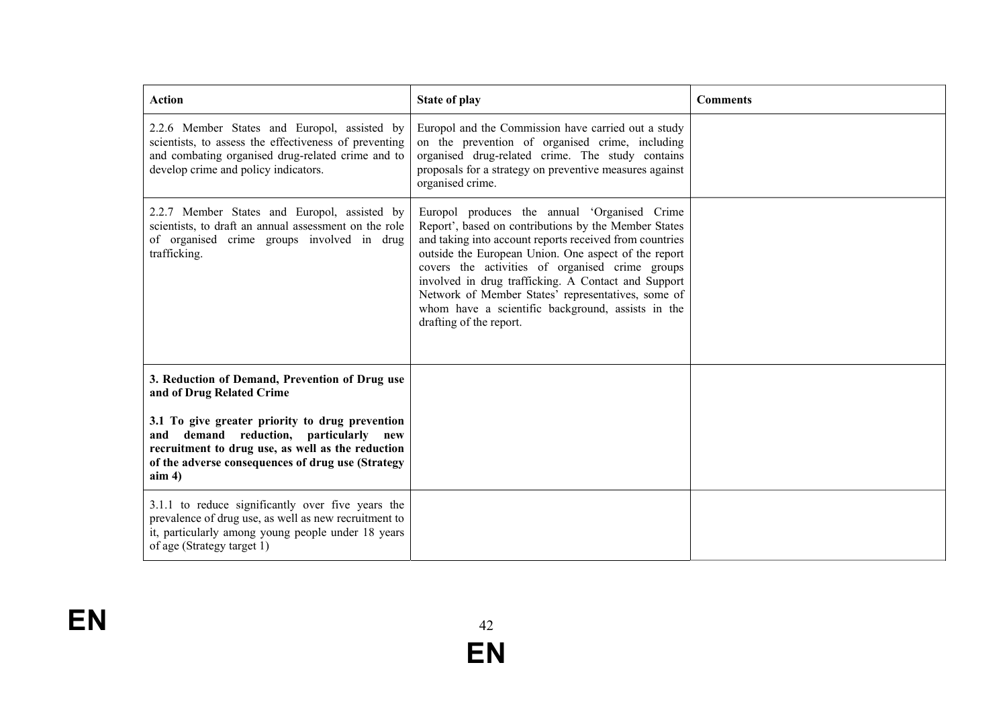| <b>Action</b>                                                                                                                                                                                                      | <b>State of play</b>                                                                                                                                                                                                                                                                                                                                                                                                                                                    | <b>Comments</b> |
|--------------------------------------------------------------------------------------------------------------------------------------------------------------------------------------------------------------------|-------------------------------------------------------------------------------------------------------------------------------------------------------------------------------------------------------------------------------------------------------------------------------------------------------------------------------------------------------------------------------------------------------------------------------------------------------------------------|-----------------|
| 2.2.6 Member States and Europol, assisted by<br>scientists, to assess the effectiveness of preventing<br>and combating organised drug-related crime and to<br>develop crime and policy indicators.                 | Europol and the Commission have carried out a study<br>on the prevention of organised crime, including<br>organised drug-related crime. The study contains<br>proposals for a strategy on preventive measures against<br>organised crime.                                                                                                                                                                                                                               |                 |
| 2.2.7 Member States and Europol, assisted by<br>scientists, to draft an annual assessment on the role<br>of organised crime groups involved in drug<br>trafficking.                                                | Europol produces the annual 'Organised Crime<br>Report', based on contributions by the Member States<br>and taking into account reports received from countries<br>outside the European Union. One aspect of the report<br>covers the activities of organised crime groups<br>involved in drug trafficking. A Contact and Support<br>Network of Member States' representatives, some of<br>whom have a scientific background, assists in the<br>drafting of the report. |                 |
| 3. Reduction of Demand, Prevention of Drug use<br>and of Drug Related Crime                                                                                                                                        |                                                                                                                                                                                                                                                                                                                                                                                                                                                                         |                 |
| 3.1 To give greater priority to drug prevention<br>and demand reduction, particularly<br>new<br>recruitment to drug use, as well as the reduction<br>of the adverse consequences of drug use (Strategy<br>$\lim 4$ |                                                                                                                                                                                                                                                                                                                                                                                                                                                                         |                 |
| 3.1.1 to reduce significantly over five years the<br>prevalence of drug use, as well as new recruitment to<br>it, particularly among young people under 18 years<br>of age (Strategy target 1)                     |                                                                                                                                                                                                                                                                                                                                                                                                                                                                         |                 |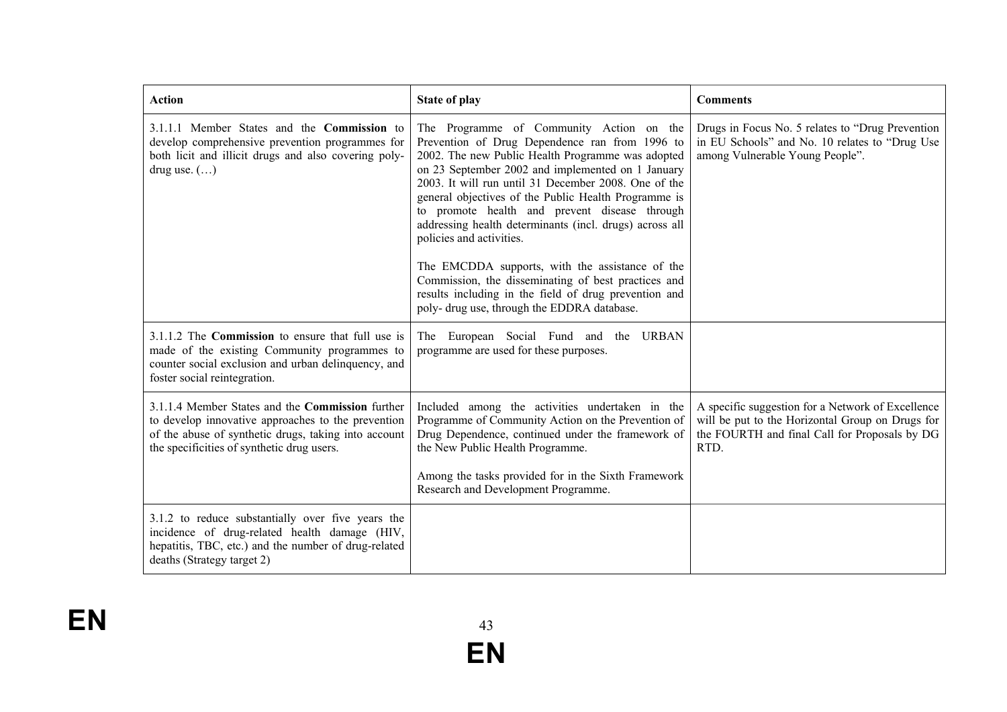| <b>Action</b>                                                                                                                                                                                                       | <b>State of play</b>                                                                                                                                                                                                                                                                                                                                                                                                                                                                                                                                                                                                                                                           | <b>Comments</b>                                                                                                                                                |
|---------------------------------------------------------------------------------------------------------------------------------------------------------------------------------------------------------------------|--------------------------------------------------------------------------------------------------------------------------------------------------------------------------------------------------------------------------------------------------------------------------------------------------------------------------------------------------------------------------------------------------------------------------------------------------------------------------------------------------------------------------------------------------------------------------------------------------------------------------------------------------------------------------------|----------------------------------------------------------------------------------------------------------------------------------------------------------------|
| 3.1.1.1 Member States and the <b>Commission</b> to<br>develop comprehensive prevention programmes for<br>both licit and illicit drugs and also covering poly-<br>drug use. $(\ldots)$                               | The Programme of Community Action on the<br>Prevention of Drug Dependence ran from 1996 to<br>2002. The new Public Health Programme was adopted<br>on 23 September 2002 and implemented on 1 January<br>2003. It will run until 31 December 2008. One of the<br>general objectives of the Public Health Programme is<br>to promote health and prevent disease through<br>addressing health determinants (incl. drugs) across all<br>policies and activities.<br>The EMCDDA supports, with the assistance of the<br>Commission, the disseminating of best practices and<br>results including in the field of drug prevention and<br>poly- drug use, through the EDDRA database. | Drugs in Focus No. 5 relates to "Drug Prevention"<br>in EU Schools" and No. 10 relates to "Drug Use<br>among Vulnerable Young People".                         |
| 3.1.1.2 The Commission to ensure that full use is<br>made of the existing Community programmes to<br>counter social exclusion and urban delinquency, and<br>foster social reintegration.                            | The European Social Fund and the URBAN<br>programme are used for these purposes.                                                                                                                                                                                                                                                                                                                                                                                                                                                                                                                                                                                               |                                                                                                                                                                |
| 3.1.1.4 Member States and the <b>Commission</b> further<br>to develop innovative approaches to the prevention<br>of the abuse of synthetic drugs, taking into account<br>the specificities of synthetic drug users. | Included among the activities undertaken in the<br>Programme of Community Action on the Prevention of<br>Drug Dependence, continued under the framework of<br>the New Public Health Programme.<br>Among the tasks provided for in the Sixth Framework<br>Research and Development Programme.                                                                                                                                                                                                                                                                                                                                                                                   | A specific suggestion for a Network of Excellence<br>will be put to the Horizontal Group on Drugs for<br>the FOURTH and final Call for Proposals by DG<br>RTD. |
| 3.1.2 to reduce substantially over five years the<br>incidence of drug-related health damage (HIV,<br>hepatitis, TBC, etc.) and the number of drug-related<br>deaths (Strategy target 2)                            |                                                                                                                                                                                                                                                                                                                                                                                                                                                                                                                                                                                                                                                                                |                                                                                                                                                                |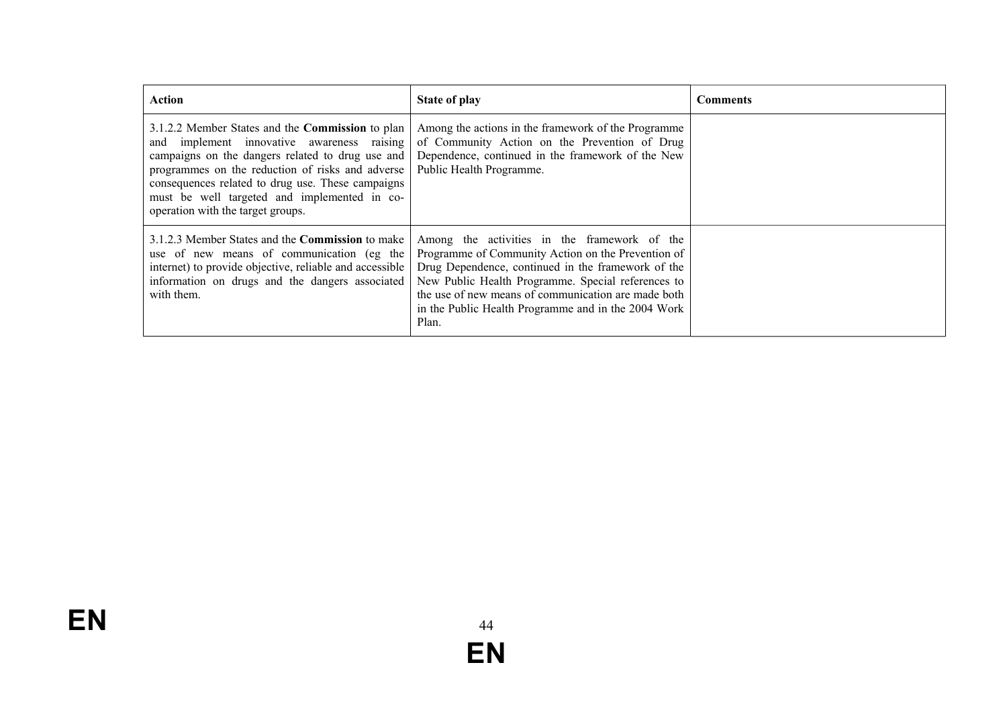| Action                                                                                                                                                                                                                                                                                                                                                  | State of play                                                                                                                                                                                                                                                                                                                         | <b>Comments</b> |
|---------------------------------------------------------------------------------------------------------------------------------------------------------------------------------------------------------------------------------------------------------------------------------------------------------------------------------------------------------|---------------------------------------------------------------------------------------------------------------------------------------------------------------------------------------------------------------------------------------------------------------------------------------------------------------------------------------|-----------------|
| 3.1.2.2 Member States and the <b>Commission</b> to plan<br>and implement innovative awareness raising<br>campaigns on the dangers related to drug use and<br>programmes on the reduction of risks and adverse<br>consequences related to drug use. These campaigns<br>must be well targeted and implemented in co-<br>operation with the target groups. | Among the actions in the framework of the Programme<br>of Community Action on the Prevention of Drug<br>Dependence, continued in the framework of the New<br>Public Health Programme.                                                                                                                                                 |                 |
| 3.1.2.3 Member States and the <b>Commission</b> to make<br>use of new means of communication (eg the<br>internet) to provide objective, reliable and accessible<br>information on drugs and the dangers associated<br>with them.                                                                                                                        | Among the activities in the framework of the<br>Programme of Community Action on the Prevention of<br>Drug Dependence, continued in the framework of the<br>New Public Health Programme. Special references to<br>the use of new means of communication are made both<br>in the Public Health Programme and in the 2004 Work<br>Plan. |                 |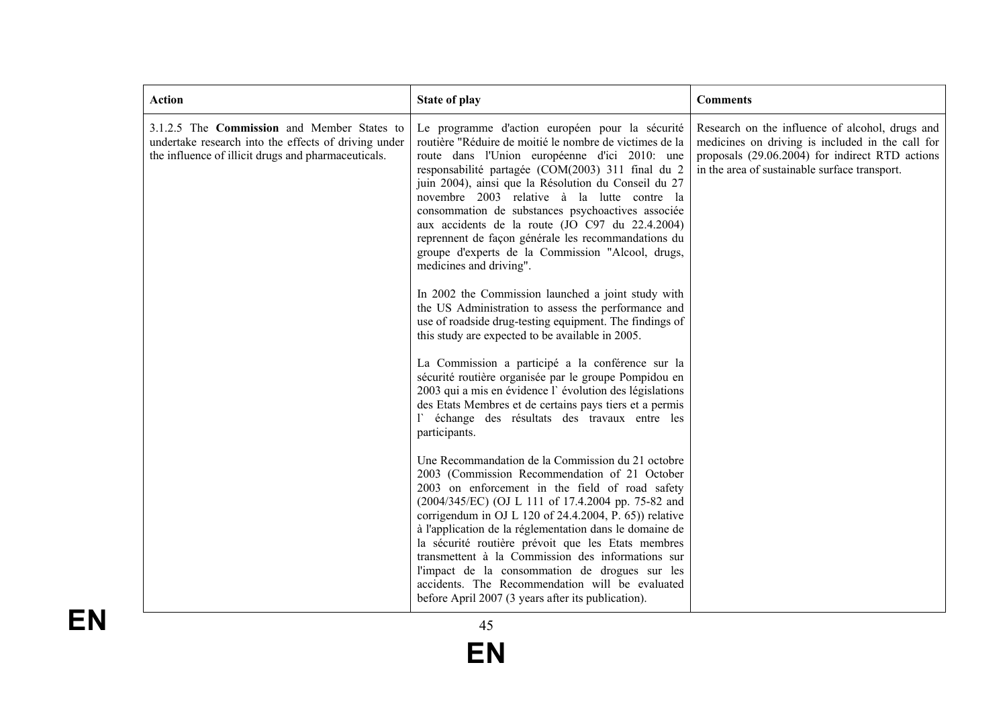| 3.1.2.5 The Commission and Member States to<br>Le programme d'action européen pour la sécurité<br>undertake research into the effects of driving under<br>routière "Réduire de moitié le nombre de victimes de la<br>the influence of illicit drugs and pharmaceuticals.<br>route dans l'Union européenne d'ici 2010: une<br>responsabilité partagée (COM(2003) 311 final du 2<br>in the area of sustainable surface transport.<br>juin 2004), ainsi que la Résolution du Conseil du 27<br>novembre 2003 relative à la lutte contre la<br>consommation de substances psychoactives associée<br>aux accidents de la route (JO C97 du 22.4.2004)<br>reprennent de façon générale les recommandations du<br>groupe d'experts de la Commission "Alcool, drugs,<br>medicines and driving".<br>In 2002 the Commission launched a joint study with<br>the US Administration to assess the performance and<br>use of roadside drug-testing equipment. The findings of<br>this study are expected to be available in 2005.<br>La Commission a participé a la conférence sur la<br>sécurité routière organisée par le groupe Pompidou en<br>2003 qui a mis en évidence l'évolution des législations<br>des Etats Membres et de certains pays tiers et a permis<br>l'échange des résultats des travaux entre les<br>participants.<br>Une Recommandation de la Commission du 21 octobre<br>2003 (Commission Recommendation of 21 October<br>2003 on enforcement in the field of road safety<br>(2004/345/EC) (OJ L 111 of 17.4.2004 pp. 75-82 and<br>corrigendum in OJ L 120 of 24.4.2004, P. 65)) relative<br>à l'application de la réglementation dans le domaine de<br>la sécurité routière prévoit que les Etats membres<br>transmettent à la Commission des informations sur<br>l'impact de la consommation de drogues sur les<br>accidents. The Recommendation will be evaluated | <b>Action</b> | <b>State of play</b> | <b>Comments</b>                                                                                                                                        |
|----------------------------------------------------------------------------------------------------------------------------------------------------------------------------------------------------------------------------------------------------------------------------------------------------------------------------------------------------------------------------------------------------------------------------------------------------------------------------------------------------------------------------------------------------------------------------------------------------------------------------------------------------------------------------------------------------------------------------------------------------------------------------------------------------------------------------------------------------------------------------------------------------------------------------------------------------------------------------------------------------------------------------------------------------------------------------------------------------------------------------------------------------------------------------------------------------------------------------------------------------------------------------------------------------------------------------------------------------------------------------------------------------------------------------------------------------------------------------------------------------------------------------------------------------------------------------------------------------------------------------------------------------------------------------------------------------------------------------------------------------------------------------------------------------------------------------------------------------------------------------|---------------|----------------------|--------------------------------------------------------------------------------------------------------------------------------------------------------|
|                                                                                                                                                                                                                                                                                                                                                                                                                                                                                                                                                                                                                                                                                                                                                                                                                                                                                                                                                                                                                                                                                                                                                                                                                                                                                                                                                                                                                                                                                                                                                                                                                                                                                                                                                                                                                                                                            |               |                      | Research on the influence of alcohol, drugs and<br>medicines on driving is included in the call for<br>proposals (29.06.2004) for indirect RTD actions |

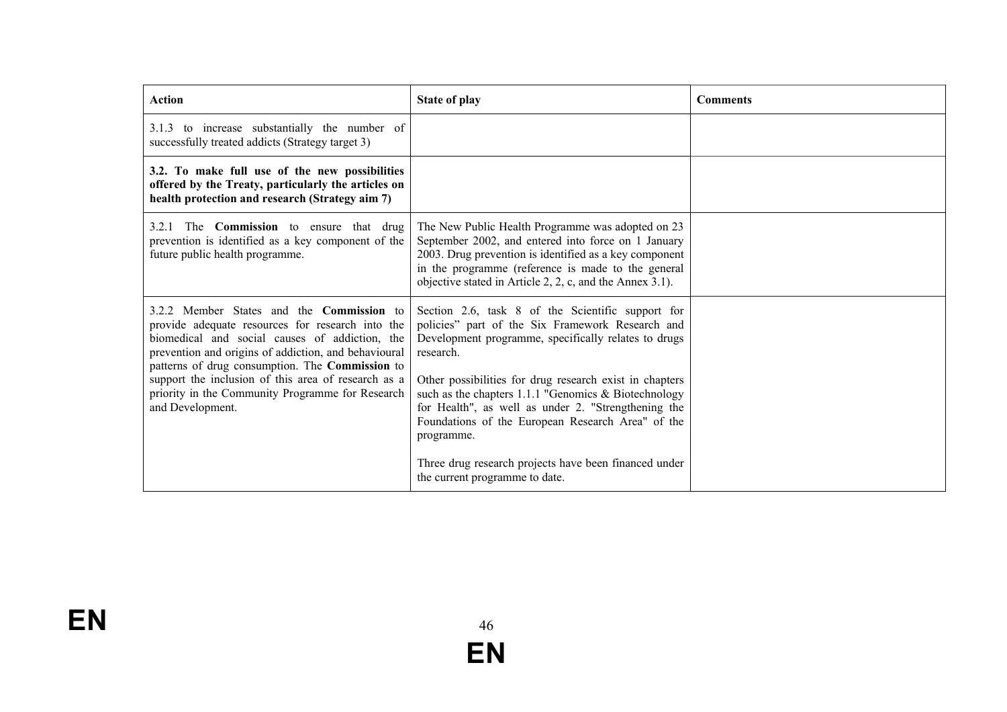| <b>Action</b>                                                                                                                                                                                                                                                                                                                                                                                    | <b>State of play</b>                                                                                                                                                                                                                                                                                                                                                                                                      | <b>Comments</b> |
|--------------------------------------------------------------------------------------------------------------------------------------------------------------------------------------------------------------------------------------------------------------------------------------------------------------------------------------------------------------------------------------------------|---------------------------------------------------------------------------------------------------------------------------------------------------------------------------------------------------------------------------------------------------------------------------------------------------------------------------------------------------------------------------------------------------------------------------|-----------------|
| 3.1.3 to increase substantially the number of<br>successfully treated addicts (Strategy target 3)                                                                                                                                                                                                                                                                                                |                                                                                                                                                                                                                                                                                                                                                                                                                           |                 |
| 3.2. To make full use of the new possibilities<br>offered by the Treaty, particularly the articles on<br>health protection and research (Strategy aim 7)                                                                                                                                                                                                                                         |                                                                                                                                                                                                                                                                                                                                                                                                                           |                 |
| 3.2.1 The <b>Commission</b> to ensure that drug<br>prevention is identified as a key component of the<br>future public health programme.                                                                                                                                                                                                                                                         | The New Public Health Programme was adopted on 23<br>September 2002, and entered into force on 1 January<br>2003. Drug prevention is identified as a key component<br>in the programme (reference is made to the general<br>objective stated in Article 2, 2, c, and the Annex 3.1).                                                                                                                                      |                 |
| 3.2.2 Member States and the <b>Commission</b> to<br>provide adequate resources for research into the<br>biomedical and social causes of addiction, the<br>prevention and origins of addiction, and behavioural<br>patterns of drug consumption. The Commission to<br>support the inclusion of this area of research as a<br>priority in the Community Programme for Research<br>and Development. | Section 2.6, task 8 of the Scientific support for<br>policies" part of the Six Framework Research and<br>Development programme, specifically relates to drugs<br>research.<br>Other possibilities for drug research exist in chapters<br>such as the chapters $1.1.1$ "Genomics & Biotechnology<br>for Health", as well as under 2. "Strengthening the<br>Foundations of the European Research Area" of the<br>programme. |                 |
|                                                                                                                                                                                                                                                                                                                                                                                                  | Three drug research projects have been financed under<br>the current programme to date.                                                                                                                                                                                                                                                                                                                                   |                 |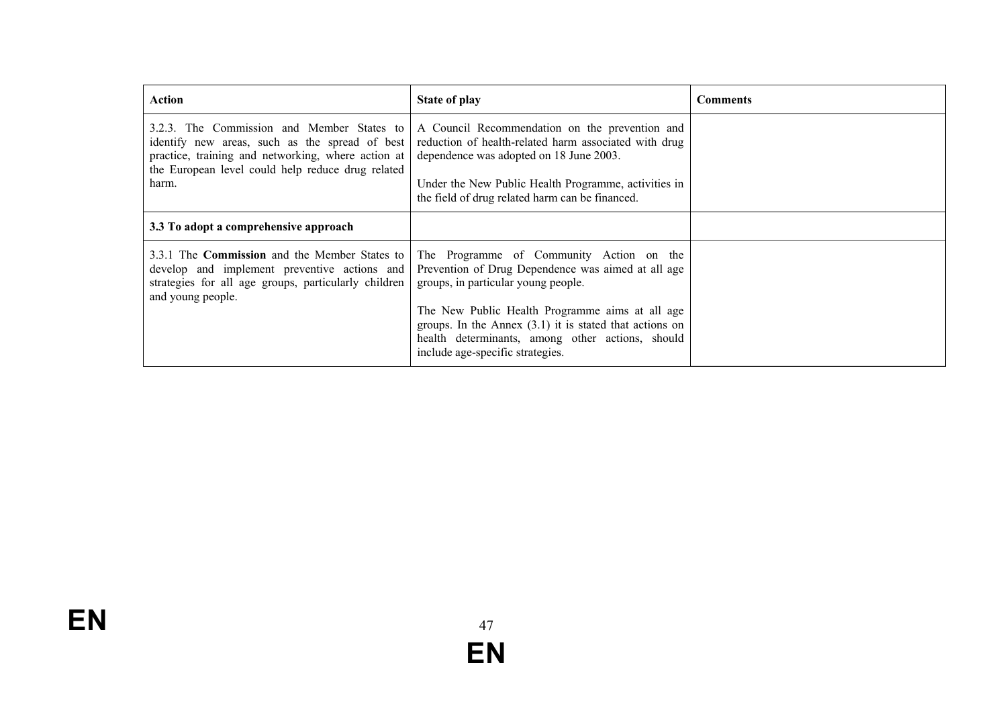| Action                                                                                                                                                                                                           | <b>State of play</b>                                                                                                                                                                                                                                                                                                                          | <b>Comments</b> |
|------------------------------------------------------------------------------------------------------------------------------------------------------------------------------------------------------------------|-----------------------------------------------------------------------------------------------------------------------------------------------------------------------------------------------------------------------------------------------------------------------------------------------------------------------------------------------|-----------------|
| 3.2.3. The Commission and Member States to<br>identify new areas, such as the spread of best<br>practice, training and networking, where action at<br>the European level could help reduce drug related<br>harm. | A Council Recommendation on the prevention and<br>reduction of health-related harm associated with drug<br>dependence was adopted on 18 June 2003.<br>Under the New Public Health Programme, activities in<br>the field of drug related harm can be financed.                                                                                 |                 |
| 3.3 To adopt a comprehensive approach                                                                                                                                                                            |                                                                                                                                                                                                                                                                                                                                               |                 |
| 3.3.1 The <b>Commission</b> and the Member States to<br>develop and implement preventive actions and<br>strategies for all age groups, particularly children<br>and young people.                                | The Programme of Community Action on the<br>Prevention of Drug Dependence was aimed at all age<br>groups, in particular young people.<br>The New Public Health Programme aims at all age<br>groups. In the Annex $(3.1)$ it is stated that actions on<br>health determinants, among other actions, should<br>include age-specific strategies. |                 |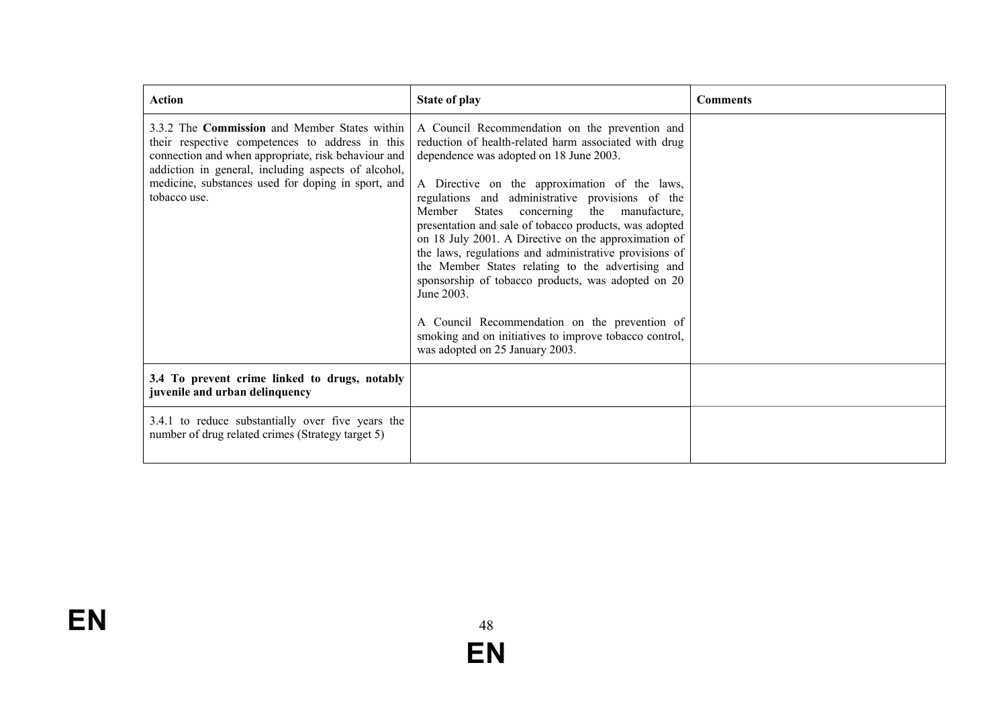| <b>Action</b>                                                                                                                                                                                                                                                                        | <b>State of play</b>                                                                                                                                                                                                                                                                                                                                                                                                                                                                                                                                                                                                                                                                                                                                       | <b>Comments</b> |
|--------------------------------------------------------------------------------------------------------------------------------------------------------------------------------------------------------------------------------------------------------------------------------------|------------------------------------------------------------------------------------------------------------------------------------------------------------------------------------------------------------------------------------------------------------------------------------------------------------------------------------------------------------------------------------------------------------------------------------------------------------------------------------------------------------------------------------------------------------------------------------------------------------------------------------------------------------------------------------------------------------------------------------------------------------|-----------------|
| 3.3.2 The Commission and Member States within<br>their respective competences to address in this<br>connection and when appropriate, risk behaviour and<br>addiction in general, including aspects of alcohol,<br>medicine, substances used for doping in sport, and<br>tobacco use. | A Council Recommendation on the prevention and<br>reduction of health-related harm associated with drug<br>dependence was adopted on 18 June 2003.<br>A Directive on the approximation of the laws,<br>regulations and administrative provisions of the<br>Member States concerning<br>the manufacture,<br>presentation and sale of tobacco products, was adopted<br>on 18 July 2001. A Directive on the approximation of<br>the laws, regulations and administrative provisions of<br>the Member States relating to the advertising and<br>sponsorship of tobacco products, was adopted on 20<br>June 2003.<br>A Council Recommendation on the prevention of<br>smoking and on initiatives to improve tobacco control,<br>was adopted on 25 January 2003. |                 |
| 3.4 To prevent crime linked to drugs, notably<br>juvenile and urban delinquency                                                                                                                                                                                                      |                                                                                                                                                                                                                                                                                                                                                                                                                                                                                                                                                                                                                                                                                                                                                            |                 |
| 3.4.1 to reduce substantially over five years the<br>number of drug related crimes (Strategy target 5)                                                                                                                                                                               |                                                                                                                                                                                                                                                                                                                                                                                                                                                                                                                                                                                                                                                                                                                                                            |                 |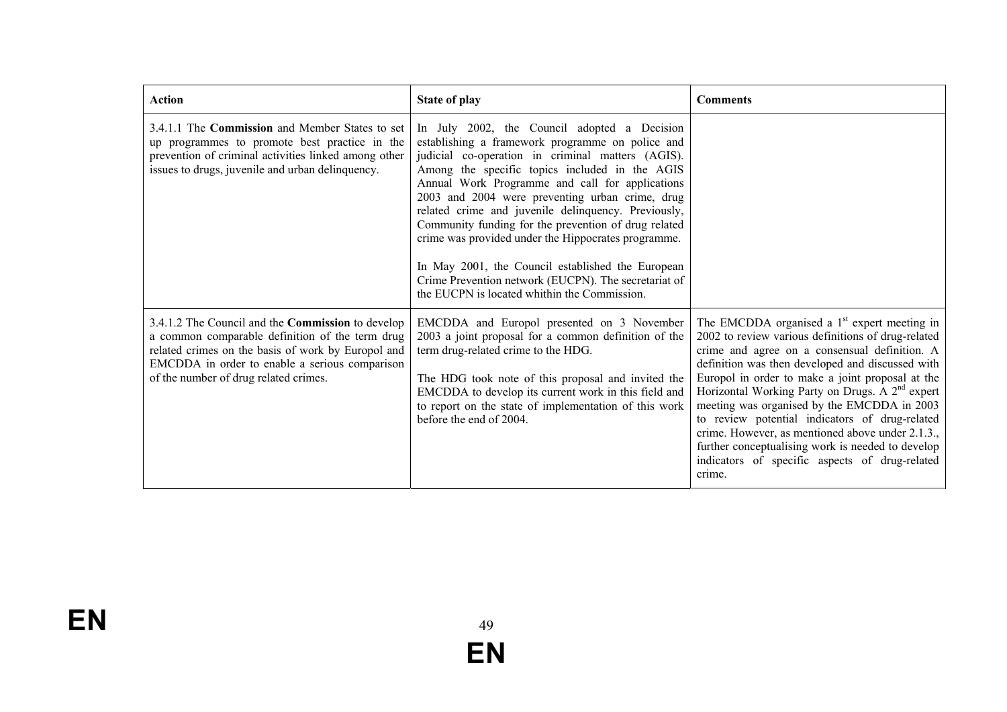| <b>Action</b>                                                                                                                                                                                                                                                | <b>State of play</b>                                                                                                                                                                                                                                                                                                                                                                                                                                                                                                                                                                                                                             | <b>Comments</b>                                                                                                                                                                                                                                                                                                                                                                                                                                                                                                                                                                                    |
|--------------------------------------------------------------------------------------------------------------------------------------------------------------------------------------------------------------------------------------------------------------|--------------------------------------------------------------------------------------------------------------------------------------------------------------------------------------------------------------------------------------------------------------------------------------------------------------------------------------------------------------------------------------------------------------------------------------------------------------------------------------------------------------------------------------------------------------------------------------------------------------------------------------------------|----------------------------------------------------------------------------------------------------------------------------------------------------------------------------------------------------------------------------------------------------------------------------------------------------------------------------------------------------------------------------------------------------------------------------------------------------------------------------------------------------------------------------------------------------------------------------------------------------|
| 3.4.1.1 The Commission and Member States to set<br>up programmes to promote best practice in the<br>prevention of criminal activities linked among other<br>issues to drugs, juvenile and urban delinquency.                                                 | In July 2002, the Council adopted a Decision<br>establishing a framework programme on police and<br>judicial co-operation in criminal matters (AGIS).<br>Among the specific topics included in the AGIS<br>Annual Work Programme and call for applications<br>2003 and 2004 were preventing urban crime, drug<br>related crime and juvenile delinquency. Previously,<br>Community funding for the prevention of drug related<br>crime was provided under the Hippocrates programme.<br>In May 2001, the Council established the European<br>Crime Prevention network (EUCPN). The secretariat of<br>the EUCPN is located whithin the Commission. |                                                                                                                                                                                                                                                                                                                                                                                                                                                                                                                                                                                                    |
| 3.4.1.2 The Council and the <b>Commission</b> to develop<br>a common comparable definition of the term drug<br>related crimes on the basis of work by Europol and<br>EMCDDA in order to enable a serious comparison<br>of the number of drug related crimes. | EMCDDA and Europol presented on 3 November<br>2003 a joint proposal for a common definition of the<br>term drug-related crime to the HDG.<br>The HDG took note of this proposal and invited the<br>EMCDDA to develop its current work in this field and<br>to report on the state of implementation of this work<br>before the end of 2004.                                                                                                                                                                                                                                                                                                      | The EMCDDA organised a $1st$ expert meeting in<br>2002 to review various definitions of drug-related<br>crime and agree on a consensual definition. A<br>definition was then developed and discussed with<br>Europol in order to make a joint proposal at the<br>Horizontal Working Party on Drugs. A 2 <sup>nd</sup> expert<br>meeting was organised by the EMCDDA in 2003<br>to review potential indicators of drug-related<br>crime. However, as mentioned above under 2.1.3.,<br>further conceptualising work is needed to develop<br>indicators of specific aspects of drug-related<br>crime. |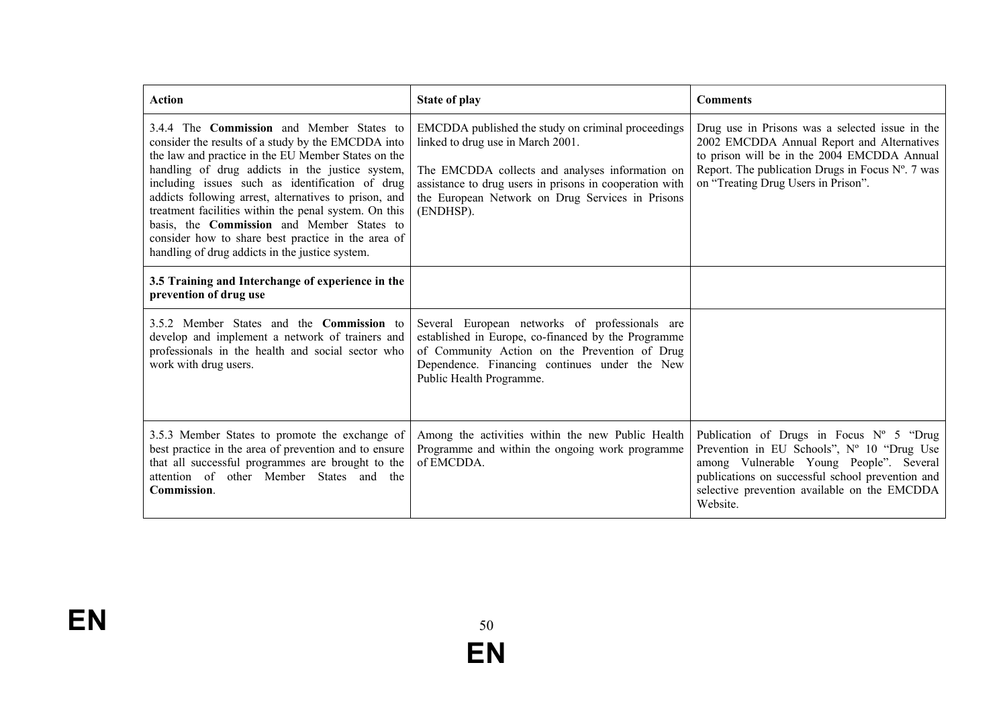| <b>Action</b>                                                                                                                                                                                                                                                                                                                                                                                                                                                                                                                                | <b>State of play</b>                                                                                                                                                                                                                                                   | <b>Comments</b>                                                                                                                                                                                                                                            |
|----------------------------------------------------------------------------------------------------------------------------------------------------------------------------------------------------------------------------------------------------------------------------------------------------------------------------------------------------------------------------------------------------------------------------------------------------------------------------------------------------------------------------------------------|------------------------------------------------------------------------------------------------------------------------------------------------------------------------------------------------------------------------------------------------------------------------|------------------------------------------------------------------------------------------------------------------------------------------------------------------------------------------------------------------------------------------------------------|
| 3.4.4 The Commission and Member States to<br>consider the results of a study by the EMCDDA into<br>the law and practice in the EU Member States on the<br>handling of drug addicts in the justice system,<br>including issues such as identification of drug<br>addicts following arrest, alternatives to prison, and<br>treatment facilities within the penal system. On this<br>basis, the <b>Commission</b> and Member States to<br>consider how to share best practice in the area of<br>handling of drug addicts in the justice system. | EMCDDA published the study on criminal proceedings<br>linked to drug use in March 2001.<br>The EMCDDA collects and analyses information on<br>assistance to drug users in prisons in cooperation with<br>the European Network on Drug Services in Prisons<br>(ENDHSP). | Drug use in Prisons was a selected issue in the<br>2002 EMCDDA Annual Report and Alternatives<br>to prison will be in the 2004 EMCDDA Annual<br>Report. The publication Drugs in Focus $N^{\circ}$ . 7 was<br>on "Treating Drug Users in Prison".          |
| 3.5 Training and Interchange of experience in the<br>prevention of drug use                                                                                                                                                                                                                                                                                                                                                                                                                                                                  |                                                                                                                                                                                                                                                                        |                                                                                                                                                                                                                                                            |
| 3.5.2 Member States and the <b>Commission</b> to<br>develop and implement a network of trainers and<br>professionals in the health and social sector who<br>work with drug users.                                                                                                                                                                                                                                                                                                                                                            | Several European networks of professionals are<br>established in Europe, co-financed by the Programme<br>of Community Action on the Prevention of Drug<br>Dependence. Financing continues under the New<br>Public Health Programme.                                    |                                                                                                                                                                                                                                                            |
| 3.5.3 Member States to promote the exchange of<br>best practice in the area of prevention and to ensure<br>that all successful programmes are brought to the<br>attention of other Member States and the<br>Commission.                                                                                                                                                                                                                                                                                                                      | Among the activities within the new Public Health<br>Programme and within the ongoing work programme<br>of EMCDDA.                                                                                                                                                     | Publication of Drugs in Focus $N^{\circ}$ 5 "Drug<br>Prevention in EU Schools", Nº 10 "Drug Use<br>among Vulnerable Young People". Several<br>publications on successful school prevention and<br>selective prevention available on the EMCDDA<br>Website. |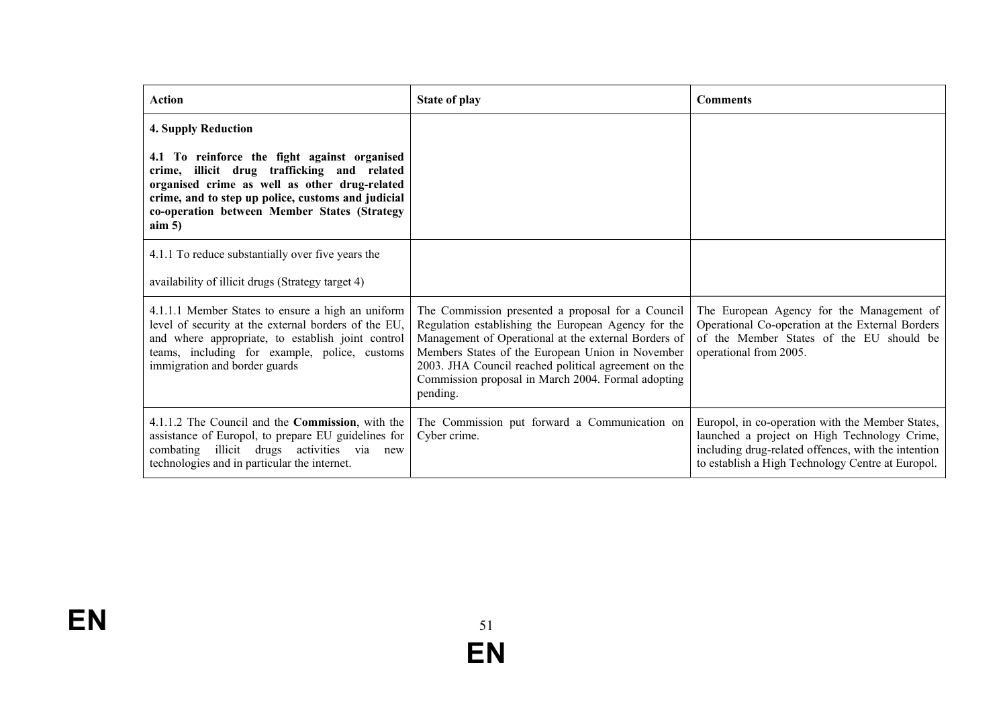| <b>Action</b>                                                                                                                                                                                                                                                  | <b>State of play</b>                                                                                                                                                                                                                                                                                                                           | <b>Comments</b>                                                                                                                                                                                              |
|----------------------------------------------------------------------------------------------------------------------------------------------------------------------------------------------------------------------------------------------------------------|------------------------------------------------------------------------------------------------------------------------------------------------------------------------------------------------------------------------------------------------------------------------------------------------------------------------------------------------|--------------------------------------------------------------------------------------------------------------------------------------------------------------------------------------------------------------|
| <b>4. Supply Reduction</b>                                                                                                                                                                                                                                     |                                                                                                                                                                                                                                                                                                                                                |                                                                                                                                                                                                              |
| 4.1 To reinforce the fight against organised<br>crime, illicit drug trafficking and related<br>organised crime as well as other drug-related<br>crime, and to step up police, customs and judicial<br>co-operation between Member States (Strategy<br>$\lim 5$ |                                                                                                                                                                                                                                                                                                                                                |                                                                                                                                                                                                              |
| 4.1.1 To reduce substantially over five years the                                                                                                                                                                                                              |                                                                                                                                                                                                                                                                                                                                                |                                                                                                                                                                                                              |
| availability of illicit drugs (Strategy target 4)                                                                                                                                                                                                              |                                                                                                                                                                                                                                                                                                                                                |                                                                                                                                                                                                              |
| 4.1.1.1 Member States to ensure a high an uniform<br>level of security at the external borders of the EU,<br>and where appropriate, to establish joint control<br>teams, including for example, police, customs<br>immigration and border guards               | The Commission presented a proposal for a Council<br>Regulation establishing the European Agency for the<br>Management of Operational at the external Borders of<br>Members States of the European Union in November<br>2003. JHA Council reached political agreement on the<br>Commission proposal in March 2004. Formal adopting<br>pending. | The European Agency for the Management of<br>Operational Co-operation at the External Borders<br>of the Member States of the EU should be<br>operational from 2005.                                          |
| 4.1.1.2 The Council and the <b>Commission</b> , with the<br>assistance of Europol, to prepare EU guidelines for<br>combating illicit drugs activities via new<br>technologies and in particular the internet.                                                  | The Commission put forward a Communication on<br>Cyber crime.                                                                                                                                                                                                                                                                                  | Europol, in co-operation with the Member States,<br>launched a project on High Technology Crime,<br>including drug-related offences, with the intention<br>to establish a High Technology Centre at Europol. |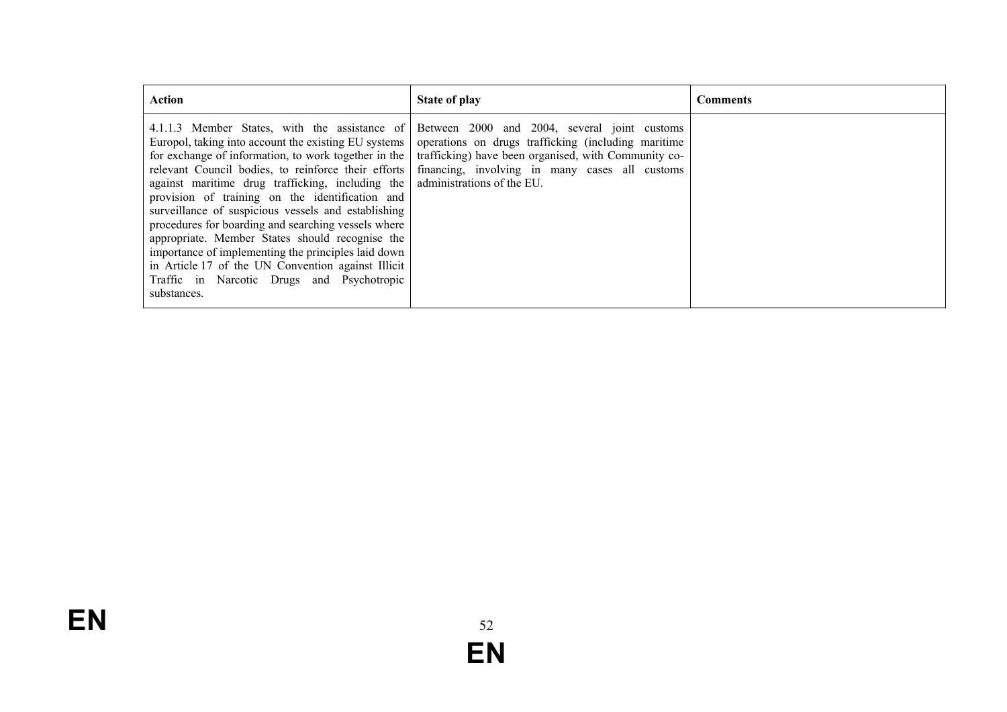| <b>Action</b>                                                                                                                                                                                                                                                                                                                                                                                                                                                                                                                                                                                                                                                          | State of play                                                                                                                                                                                                                               | <b>Comments</b> |
|------------------------------------------------------------------------------------------------------------------------------------------------------------------------------------------------------------------------------------------------------------------------------------------------------------------------------------------------------------------------------------------------------------------------------------------------------------------------------------------------------------------------------------------------------------------------------------------------------------------------------------------------------------------------|---------------------------------------------------------------------------------------------------------------------------------------------------------------------------------------------------------------------------------------------|-----------------|
| 4.1.1.3 Member States, with the assistance of<br>Europol, taking into account the existing EU systems<br>for exchange of information, to work together in the<br>relevant Council bodies, to reinforce their efforts<br>against maritime drug trafficking, including the<br>provision of training on the identification and<br>surveillance of suspicious vessels and establishing<br>procedures for boarding and searching vessels where<br>appropriate. Member States should recognise the<br>importance of implementing the principles laid down<br>in Article 17 of the UN Convention against Illicit<br>Traffic in Narcotic Drugs and Psychotropic<br>substances. | Between 2000 and 2004, several joint customs<br>operations on drugs trafficking (including maritime<br>trafficking) have been organised, with Community co-<br>financing, involving in many cases all customs<br>administrations of the EU. |                 |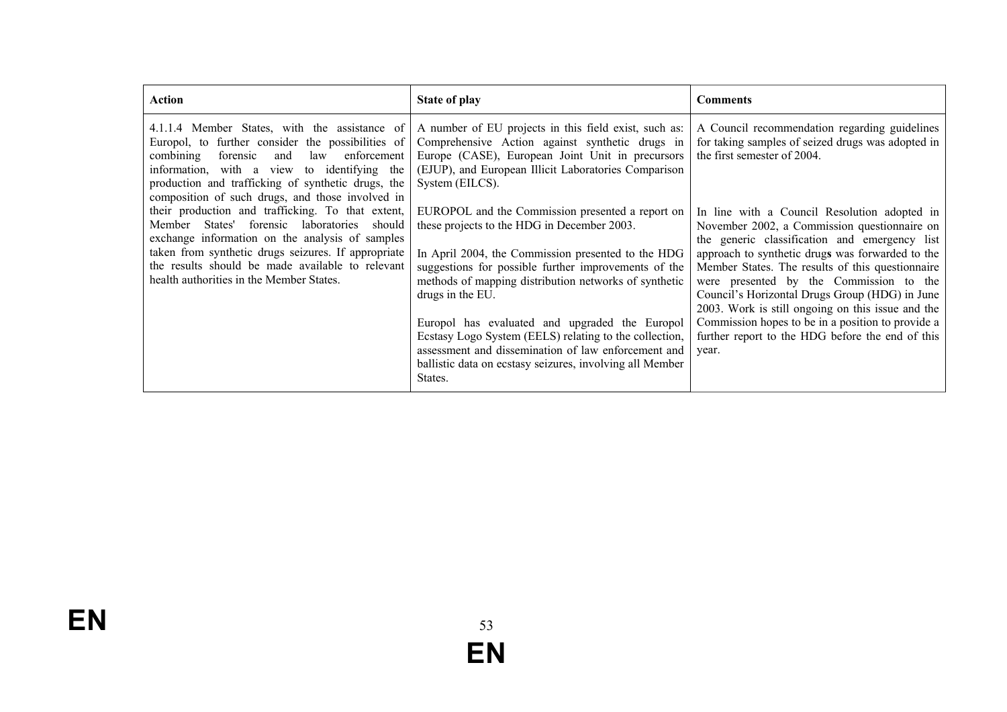| Action                                                                                                                                                                                                                                                                                                              | <b>State of play</b>                                                                                                                                                                                                                                                                                                                                                                                                                                                                                                                 | <b>Comments</b>                                                                                                                                                                                                                                                                                                                                                                                                                                                                                                           |
|---------------------------------------------------------------------------------------------------------------------------------------------------------------------------------------------------------------------------------------------------------------------------------------------------------------------|--------------------------------------------------------------------------------------------------------------------------------------------------------------------------------------------------------------------------------------------------------------------------------------------------------------------------------------------------------------------------------------------------------------------------------------------------------------------------------------------------------------------------------------|---------------------------------------------------------------------------------------------------------------------------------------------------------------------------------------------------------------------------------------------------------------------------------------------------------------------------------------------------------------------------------------------------------------------------------------------------------------------------------------------------------------------------|
| Europol, to further consider the possibilities of<br>enforcement<br>law<br>combining<br>forensic<br>and<br>information, with a view to identifying the<br>production and trafficking of synthetic drugs, the<br>composition of such drugs, and those involved in                                                    | 4.1.1.4 Member States, with the assistance of $\vert$ A number of EU projects in this field exist, such as:<br>Comprehensive Action against synthetic drugs in<br>Europe (CASE), European Joint Unit in precursors<br>(EJUP), and European Illicit Laboratories Comparison<br>System (EILCS).                                                                                                                                                                                                                                        | A Council recommendation regarding guidelines<br>for taking samples of seized drugs was adopted in<br>the first semester of 2004.                                                                                                                                                                                                                                                                                                                                                                                         |
| their production and trafficking. To that extent,<br>forensic laboratories<br>States'<br>Member<br>should<br>exchange information on the analysis of samples<br>taken from synthetic drugs seizures. If appropriate<br>the results should be made available to relevant<br>health authorities in the Member States. | EUROPOL and the Commission presented a report on<br>these projects to the HDG in December 2003.<br>In April 2004, the Commission presented to the HDG<br>suggestions for possible further improvements of the<br>methods of mapping distribution networks of synthetic<br>drugs in the EU.<br>Europol has evaluated and upgraded the Europol<br>Ecstasy Logo System (EELS) relating to the collection,<br>assessment and dissemination of law enforcement and<br>ballistic data on ecstasy seizures, involving all Member<br>States. | In line with a Council Resolution adopted in<br>November 2002, a Commission questionnaire on<br>the generic classification and emergency list<br>approach to synthetic drugs was forwarded to the<br>Member States. The results of this questionnaire<br>were presented by the Commission to the<br>Council's Horizontal Drugs Group (HDG) in June<br>2003. Work is still ongoing on this issue and the<br>Commission hopes to be in a position to provide a<br>further report to the HDG before the end of this<br>year. |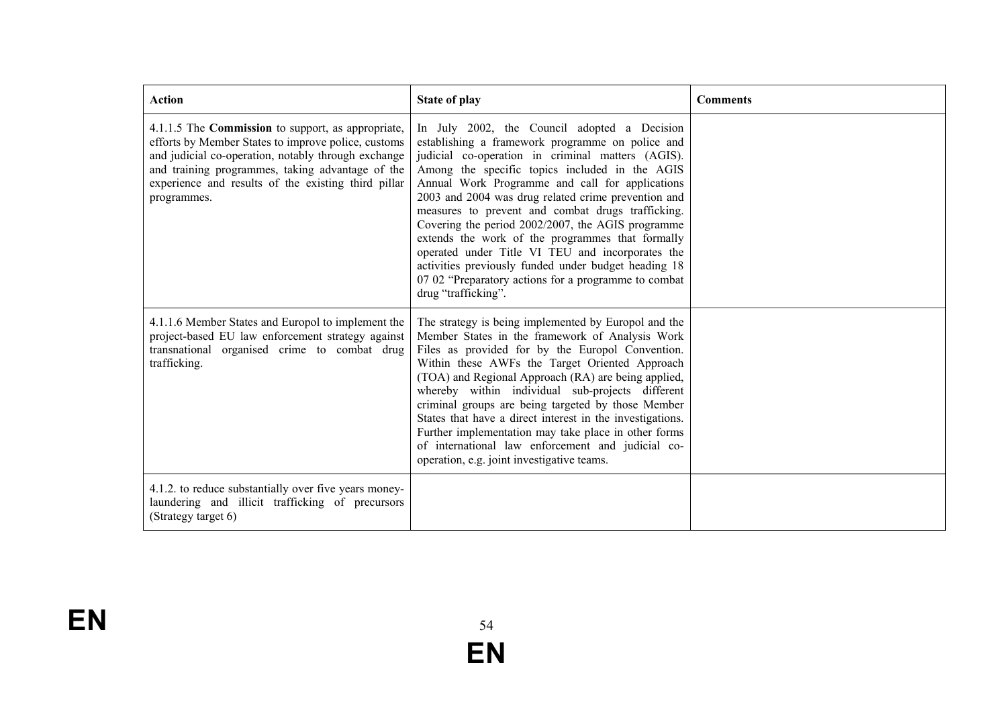| <b>Action</b>                                                                                                                                                                                                                                                                                     | <b>State of play</b>                                                                                                                                                                                                                                                                                                                                                                                                                                                                                                                                                                                                                                                       | <b>Comments</b> |
|---------------------------------------------------------------------------------------------------------------------------------------------------------------------------------------------------------------------------------------------------------------------------------------------------|----------------------------------------------------------------------------------------------------------------------------------------------------------------------------------------------------------------------------------------------------------------------------------------------------------------------------------------------------------------------------------------------------------------------------------------------------------------------------------------------------------------------------------------------------------------------------------------------------------------------------------------------------------------------------|-----------------|
| 4.1.1.5 The <b>Commission</b> to support, as appropriate,<br>efforts by Member States to improve police, customs<br>and judicial co-operation, notably through exchange<br>and training programmes, taking advantage of the<br>experience and results of the existing third pillar<br>programmes. | In July 2002, the Council adopted a Decision<br>establishing a framework programme on police and<br>judicial co-operation in criminal matters (AGIS).<br>Among the specific topics included in the AGIS<br>Annual Work Programme and call for applications<br>2003 and 2004 was drug related crime prevention and<br>measures to prevent and combat drugs trafficking.<br>Covering the period 2002/2007, the AGIS programme<br>extends the work of the programmes that formally<br>operated under Title VI TEU and incorporates the<br>activities previously funded under budget heading 18<br>07 02 "Preparatory actions for a programme to combat<br>drug "trafficking". |                 |
| 4.1.1.6 Member States and Europol to implement the<br>project-based EU law enforcement strategy against<br>transnational organised crime to combat drug<br>trafficking.                                                                                                                           | The strategy is being implemented by Europol and the<br>Member States in the framework of Analysis Work<br>Files as provided for by the Europol Convention.<br>Within these AWFs the Target Oriented Approach<br>(TOA) and Regional Approach (RA) are being applied,<br>whereby within individual sub-projects different<br>criminal groups are being targeted by those Member<br>States that have a direct interest in the investigations.<br>Further implementation may take place in other forms<br>of international law enforcement and judicial co-<br>operation, e.g. joint investigative teams.                                                                     |                 |
| 4.1.2. to reduce substantially over five years money-<br>laundering and illicit trafficking of precursors<br>(Strategy target 6)                                                                                                                                                                  |                                                                                                                                                                                                                                                                                                                                                                                                                                                                                                                                                                                                                                                                            |                 |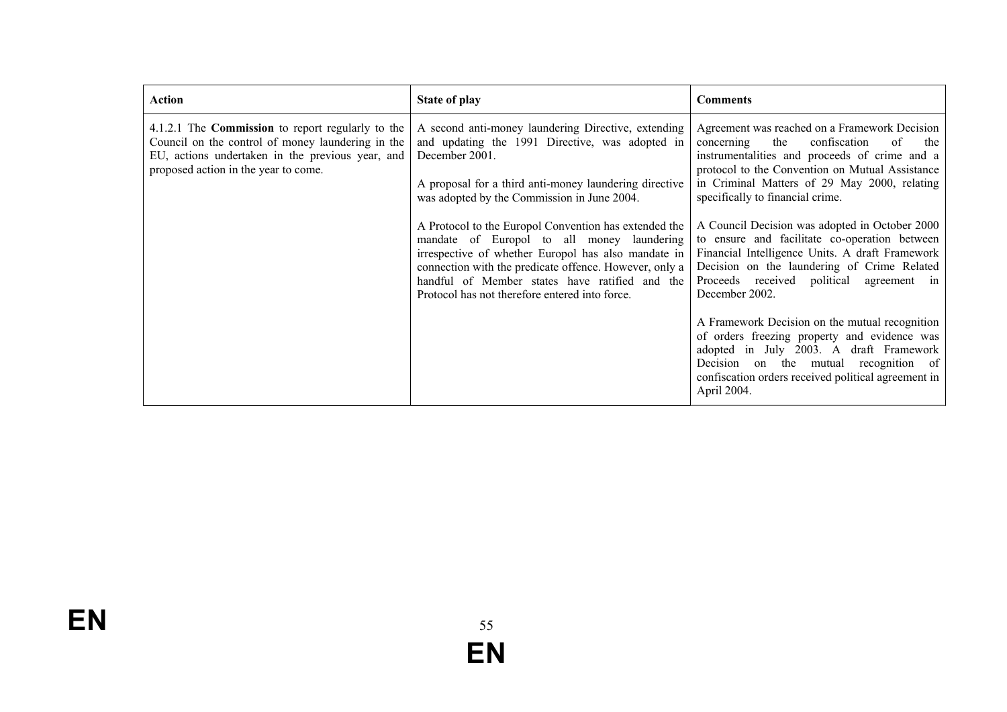| <b>Action</b>                                                                                                                                                                                             | State of play                                                                                                                                                                                                                                                                                                                                                                                                                                                                                                                                                 | <b>Comments</b>                                                                                                                                                                                                                                                                                                                                                                                                                                                                                                                                                                                                                                                                                                                                                                                                           |
|-----------------------------------------------------------------------------------------------------------------------------------------------------------------------------------------------------------|---------------------------------------------------------------------------------------------------------------------------------------------------------------------------------------------------------------------------------------------------------------------------------------------------------------------------------------------------------------------------------------------------------------------------------------------------------------------------------------------------------------------------------------------------------------|---------------------------------------------------------------------------------------------------------------------------------------------------------------------------------------------------------------------------------------------------------------------------------------------------------------------------------------------------------------------------------------------------------------------------------------------------------------------------------------------------------------------------------------------------------------------------------------------------------------------------------------------------------------------------------------------------------------------------------------------------------------------------------------------------------------------------|
| 4.1.2.1 The <b>Commission</b> to report regularly to the<br>Council on the control of money laundering in the<br>EU, actions undertaken in the previous year, and<br>proposed action in the year to come. | A second anti-money laundering Directive, extending<br>and updating the 1991 Directive, was adopted in<br>December 2001.<br>A proposal for a third anti-money laundering directive<br>was adopted by the Commission in June 2004.<br>A Protocol to the Europol Convention has extended the<br>mandate of Europol to all money laundering<br>irrespective of whether Europol has also mandate in<br>connection with the predicate offence. However, only a<br>handful of Member states have ratified and the<br>Protocol has not therefore entered into force. | Agreement was reached on a Framework Decision<br>confiscation<br>the<br>concerning<br>of<br>the<br>instrumentalities and proceeds of crime and a<br>protocol to the Convention on Mutual Assistance<br>in Criminal Matters of 29 May 2000, relating<br>specifically to financial crime.<br>A Council Decision was adopted in October 2000<br>to ensure and facilitate co-operation between<br>Financial Intelligence Units. A draft Framework<br>Decision on the laundering of Crime Related<br>Proceeds received political<br>agreement in<br>December 2002.<br>A Framework Decision on the mutual recognition<br>of orders freezing property and evidence was<br>adopted in July 2003. A draft Framework<br>Decision on the mutual recognition of<br>confiscation orders received political agreement in<br>April 2004. |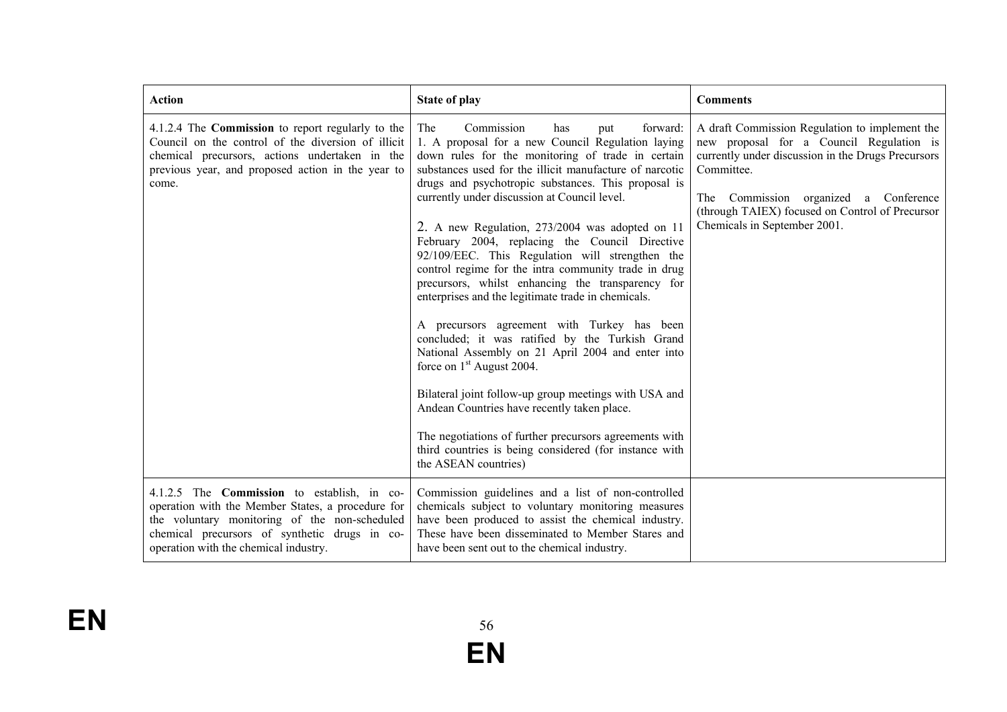| <b>Action</b>                                                                                                                                                                                                                                      | <b>State of play</b>                                                                                                                                                                                                                                                                                                                                                                                                                                                                                                                                                                                                                                                                                                                                                                                                                                                                                                                                                                                                                                                                                   | <b>Comments</b>                                                                                                                                                                                                                                                                            |
|----------------------------------------------------------------------------------------------------------------------------------------------------------------------------------------------------------------------------------------------------|--------------------------------------------------------------------------------------------------------------------------------------------------------------------------------------------------------------------------------------------------------------------------------------------------------------------------------------------------------------------------------------------------------------------------------------------------------------------------------------------------------------------------------------------------------------------------------------------------------------------------------------------------------------------------------------------------------------------------------------------------------------------------------------------------------------------------------------------------------------------------------------------------------------------------------------------------------------------------------------------------------------------------------------------------------------------------------------------------------|--------------------------------------------------------------------------------------------------------------------------------------------------------------------------------------------------------------------------------------------------------------------------------------------|
| 4.1.2.4 The <b>Commission</b> to report regularly to the<br>Council on the control of the diversion of illicit<br>chemical precursors, actions undertaken in the<br>previous year, and proposed action in the year to<br>come.                     | Commission<br>forward:<br>The<br>has<br>put<br>1. A proposal for a new Council Regulation laying<br>down rules for the monitoring of trade in certain<br>substances used for the illicit manufacture of narcotic<br>drugs and psychotropic substances. This proposal is<br>currently under discussion at Council level.<br>2. A new Regulation, 273/2004 was adopted on 11<br>February 2004, replacing the Council Directive<br>92/109/EEC. This Regulation will strengthen the<br>control regime for the intra community trade in drug<br>precursors, whilst enhancing the transparency for<br>enterprises and the legitimate trade in chemicals.<br>A precursors agreement with Turkey has been<br>concluded; it was ratified by the Turkish Grand<br>National Assembly on 21 April 2004 and enter into<br>force on 1 <sup>st</sup> August 2004.<br>Bilateral joint follow-up group meetings with USA and<br>Andean Countries have recently taken place.<br>The negotiations of further precursors agreements with<br>third countries is being considered (for instance with<br>the ASEAN countries) | A draft Commission Regulation to implement the<br>new proposal for a Council Regulation is<br>currently under discussion in the Drugs Precursors<br>Committee.<br>The Commission organized a Conference<br>(through TAIEX) focused on Control of Precursor<br>Chemicals in September 2001. |
| 4.1.2.5 The <b>Commission</b> to establish, in co-<br>operation with the Member States, a procedure for<br>the voluntary monitoring of the non-scheduled<br>chemical precursors of synthetic drugs in co-<br>operation with the chemical industry. | Commission guidelines and a list of non-controlled<br>chemicals subject to voluntary monitoring measures<br>have been produced to assist the chemical industry.<br>These have been disseminated to Member Stares and<br>have been sent out to the chemical industry.                                                                                                                                                                                                                                                                                                                                                                                                                                                                                                                                                                                                                                                                                                                                                                                                                                   |                                                                                                                                                                                                                                                                                            |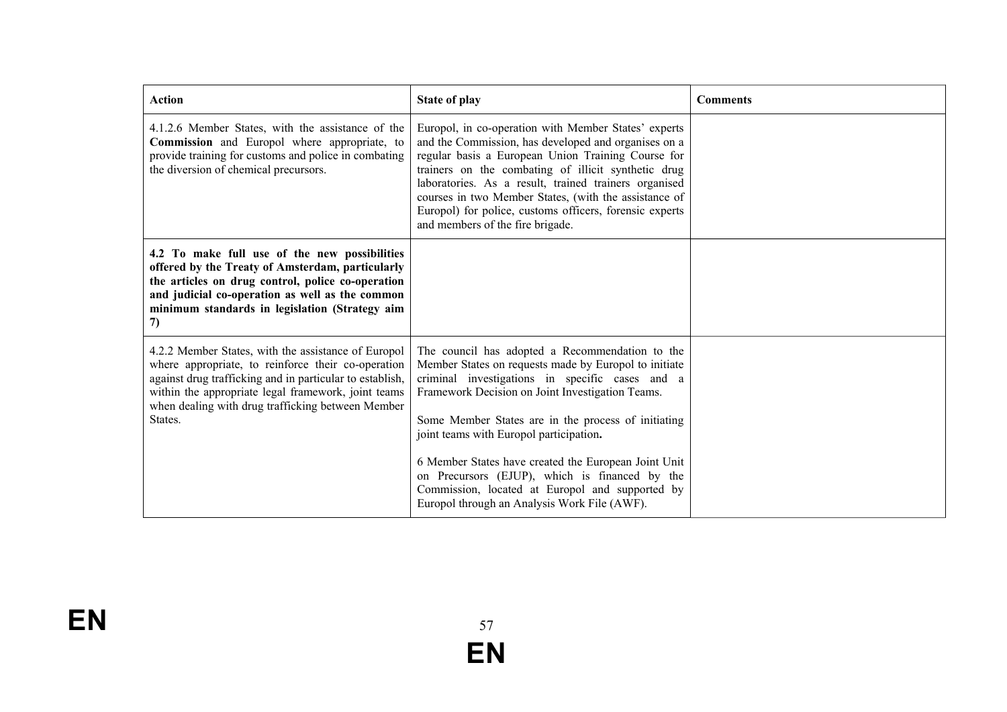| <b>Action</b>                                                                                                                                                                                                                                                                                | <b>State of play</b>                                                                                                                                                                                                                                                                                                                                                                                                                       | <b>Comments</b> |
|----------------------------------------------------------------------------------------------------------------------------------------------------------------------------------------------------------------------------------------------------------------------------------------------|--------------------------------------------------------------------------------------------------------------------------------------------------------------------------------------------------------------------------------------------------------------------------------------------------------------------------------------------------------------------------------------------------------------------------------------------|-----------------|
| 4.1.2.6 Member States, with the assistance of the<br>Commission and Europol where appropriate, to<br>provide training for customs and police in combating<br>the diversion of chemical precursors.                                                                                           | Europol, in co-operation with Member States' experts<br>and the Commission, has developed and organises on a<br>regular basis a European Union Training Course for<br>trainers on the combating of illicit synthetic drug<br>laboratories. As a result, trained trainers organised<br>courses in two Member States, (with the assistance of<br>Europol) for police, customs officers, forensic experts<br>and members of the fire brigade. |                 |
| 4.2 To make full use of the new possibilities<br>offered by the Treaty of Amsterdam, particularly<br>the articles on drug control, police co-operation<br>and judicial co-operation as well as the common<br>minimum standards in legislation (Strategy aim<br>7)                            |                                                                                                                                                                                                                                                                                                                                                                                                                                            |                 |
| 4.2.2 Member States, with the assistance of Europol<br>where appropriate, to reinforce their co-operation<br>against drug trafficking and in particular to establish,<br>within the appropriate legal framework, joint teams<br>when dealing with drug trafficking between Member<br>States. | The council has adopted a Recommendation to the<br>Member States on requests made by Europol to initiate<br>criminal investigations in specific cases and a<br>Framework Decision on Joint Investigation Teams.<br>Some Member States are in the process of initiating<br>joint teams with Europol participation.<br>6 Member States have created the European Joint Unit                                                                  |                 |
|                                                                                                                                                                                                                                                                                              | on Precursors (EJUP), which is financed by the<br>Commission, located at Europol and supported by<br>Europol through an Analysis Work File (AWF).                                                                                                                                                                                                                                                                                          |                 |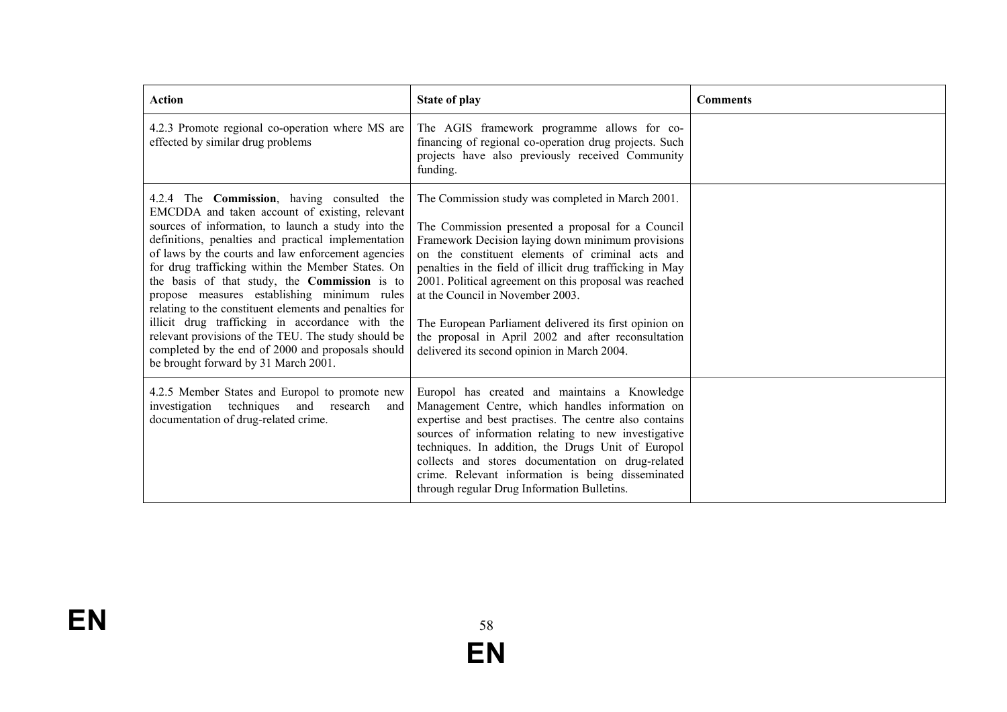| <b>Action</b>                                                                                                                                                                                                                                                                                                                                                                                                                                                                                                                                                                                                                                                                                        | State of play                                                                                                                                                                                                                                                                                                                                                                                                                                                                                                                              | <b>Comments</b> |
|------------------------------------------------------------------------------------------------------------------------------------------------------------------------------------------------------------------------------------------------------------------------------------------------------------------------------------------------------------------------------------------------------------------------------------------------------------------------------------------------------------------------------------------------------------------------------------------------------------------------------------------------------------------------------------------------------|--------------------------------------------------------------------------------------------------------------------------------------------------------------------------------------------------------------------------------------------------------------------------------------------------------------------------------------------------------------------------------------------------------------------------------------------------------------------------------------------------------------------------------------------|-----------------|
| 4.2.3 Promote regional co-operation where MS are<br>effected by similar drug problems                                                                                                                                                                                                                                                                                                                                                                                                                                                                                                                                                                                                                | The AGIS framework programme allows for co-<br>financing of regional co-operation drug projects. Such<br>projects have also previously received Community<br>funding.                                                                                                                                                                                                                                                                                                                                                                      |                 |
| 4.2.4 The <b>Commission</b> , having consulted the<br>EMCDDA and taken account of existing, relevant<br>sources of information, to launch a study into the<br>definitions, penalties and practical implementation<br>of laws by the courts and law enforcement agencies<br>for drug trafficking within the Member States. On<br>the basis of that study, the <b>Commission</b> is to<br>propose measures establishing minimum rules<br>relating to the constituent elements and penalties for<br>illicit drug trafficking in accordance with the<br>relevant provisions of the TEU. The study should be<br>completed by the end of 2000 and proposals should<br>be brought forward by 31 March 2001. | The Commission study was completed in March 2001.<br>The Commission presented a proposal for a Council<br>Framework Decision laying down minimum provisions<br>on the constituent elements of criminal acts and<br>penalties in the field of illicit drug trafficking in May<br>2001. Political agreement on this proposal was reached<br>at the Council in November 2003.<br>The European Parliament delivered its first opinion on<br>the proposal in April 2002 and after reconsultation<br>delivered its second opinion in March 2004. |                 |
| 4.2.5 Member States and Europol to promote new<br>techniques and research<br>investigation<br>and<br>documentation of drug-related crime.                                                                                                                                                                                                                                                                                                                                                                                                                                                                                                                                                            | Europol has created and maintains a Knowledge<br>Management Centre, which handles information on<br>expertise and best practises. The centre also contains<br>sources of information relating to new investigative<br>techniques. In addition, the Drugs Unit of Europol<br>collects and stores documentation on drug-related<br>crime. Relevant information is being disseminated<br>through regular Drug Information Bulletins.                                                                                                          |                 |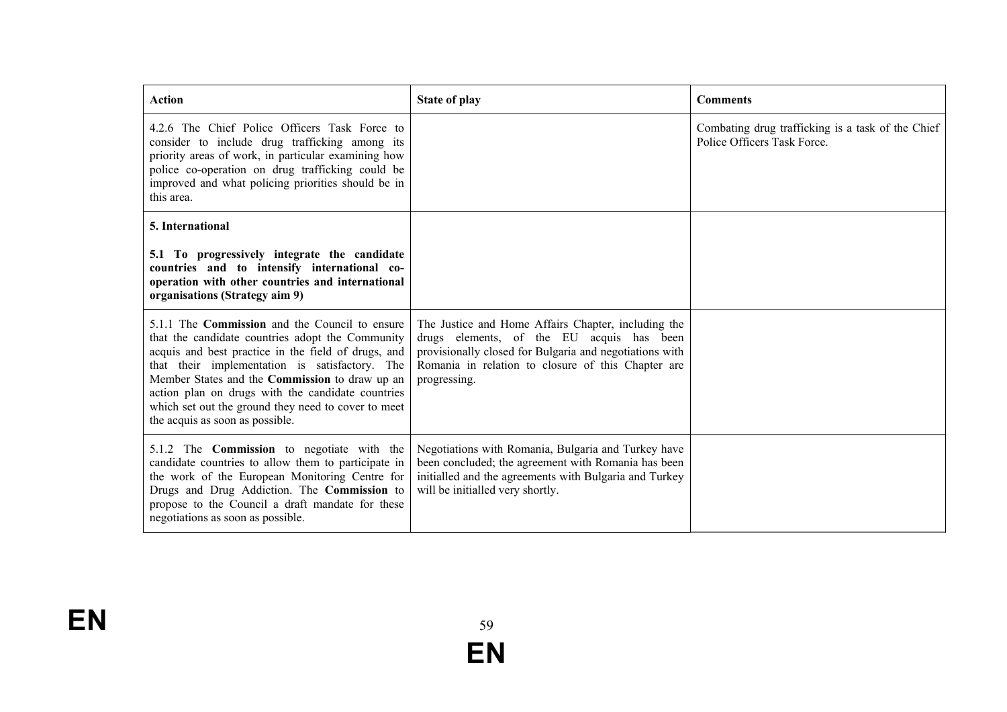| <b>Action</b>                                                                                                                                                                                                                                                                                                                                                                                                       | <b>State of play</b>                                                                                                                                                                                                              | <b>Comments</b>                                                                  |
|---------------------------------------------------------------------------------------------------------------------------------------------------------------------------------------------------------------------------------------------------------------------------------------------------------------------------------------------------------------------------------------------------------------------|-----------------------------------------------------------------------------------------------------------------------------------------------------------------------------------------------------------------------------------|----------------------------------------------------------------------------------|
| 4.2.6 The Chief Police Officers Task Force to<br>consider to include drug trafficking among its<br>priority areas of work, in particular examining how<br>police co-operation on drug trafficking could be<br>improved and what policing priorities should be in<br>this area.                                                                                                                                      |                                                                                                                                                                                                                                   | Combating drug trafficking is a task of the Chief<br>Police Officers Task Force. |
| 5. International                                                                                                                                                                                                                                                                                                                                                                                                    |                                                                                                                                                                                                                                   |                                                                                  |
| 5.1 To progressively integrate the candidate<br>countries and to intensify international co-<br>operation with other countries and international<br>organisations (Strategy aim 9)                                                                                                                                                                                                                                  |                                                                                                                                                                                                                                   |                                                                                  |
| 5.1.1 The <b>Commission</b> and the Council to ensure<br>that the candidate countries adopt the Community<br>acquis and best practice in the field of drugs, and<br>that their implementation is satisfactory. The<br>Member States and the Commission to draw up an<br>action plan on drugs with the candidate countries<br>which set out the ground they need to cover to meet<br>the acquis as soon as possible. | The Justice and Home Affairs Chapter, including the<br>drugs elements, of the EU acquis has been<br>provisionally closed for Bulgaria and negotiations with<br>Romania in relation to closure of this Chapter are<br>progressing. |                                                                                  |
| 5.1.2 The <b>Commission</b> to negotiate with the<br>candidate countries to allow them to participate in<br>the work of the European Monitoring Centre for<br>Drugs and Drug Addiction. The Commission to<br>propose to the Council a draft mandate for these<br>negotiations as soon as possible.                                                                                                                  | Negotiations with Romania, Bulgaria and Turkey have<br>been concluded; the agreement with Romania has been<br>initialled and the agreements with Bulgaria and Turkey<br>will be initialled very shortly.                          |                                                                                  |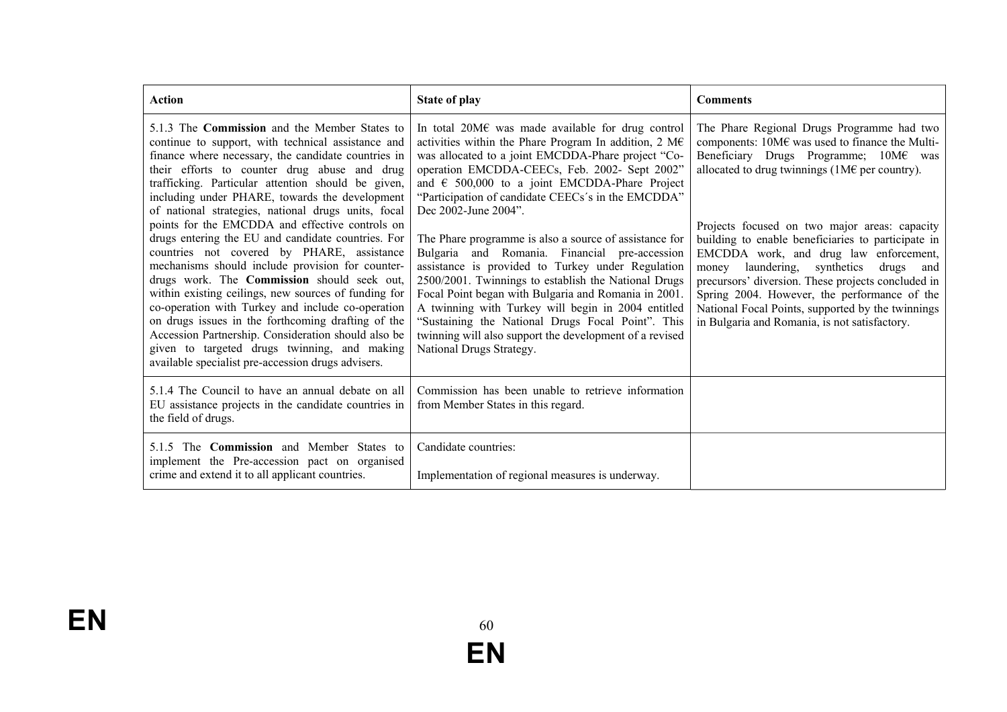| Action                                                                                                                                                                                                                                                                                                                                                                                                                                                                                                                                                                                                                                                                                                                                                                                                                                                                                                                                                                     | <b>State of play</b>                                                                                                                                                                                                                                                                                                                                                                                                                                                                                                                                                                                                                                                                                                                                                                                                                                               | <b>Comments</b>                                                                                                                                                                                                                                                                                                                                                                                                                                                                                                                                                                                                 |
|----------------------------------------------------------------------------------------------------------------------------------------------------------------------------------------------------------------------------------------------------------------------------------------------------------------------------------------------------------------------------------------------------------------------------------------------------------------------------------------------------------------------------------------------------------------------------------------------------------------------------------------------------------------------------------------------------------------------------------------------------------------------------------------------------------------------------------------------------------------------------------------------------------------------------------------------------------------------------|--------------------------------------------------------------------------------------------------------------------------------------------------------------------------------------------------------------------------------------------------------------------------------------------------------------------------------------------------------------------------------------------------------------------------------------------------------------------------------------------------------------------------------------------------------------------------------------------------------------------------------------------------------------------------------------------------------------------------------------------------------------------------------------------------------------------------------------------------------------------|-----------------------------------------------------------------------------------------------------------------------------------------------------------------------------------------------------------------------------------------------------------------------------------------------------------------------------------------------------------------------------------------------------------------------------------------------------------------------------------------------------------------------------------------------------------------------------------------------------------------|
| 5.1.3 The <b>Commission</b> and the Member States to<br>continue to support, with technical assistance and<br>finance where necessary, the candidate countries in<br>their efforts to counter drug abuse and drug<br>trafficking. Particular attention should be given,<br>including under PHARE, towards the development<br>of national strategies, national drugs units, focal<br>points for the EMCDDA and effective controls on<br>drugs entering the EU and candidate countries. For<br>countries not covered by PHARE, assistance<br>mechanisms should include provision for counter-<br>drugs work. The Commission should seek out,<br>within existing ceilings, new sources of funding for<br>co-operation with Turkey and include co-operation<br>on drugs issues in the forthcoming drafting of the<br>Accession Partnership. Consideration should also be<br>given to targeted drugs twinning, and making<br>available specialist pre-accession drugs advisers. | In total 20M $\epsilon$ was made available for drug control<br>activities within the Phare Program In addition, $2 \text{ M} \in$<br>was allocated to a joint EMCDDA-Phare project "Co-<br>operation EMCDDA-CEECs, Feb. 2002- Sept 2002"<br>and $\epsilon$ 500,000 to a joint EMCDDA-Phare Project<br>"Participation of candidate CEECs's in the EMCDDA"<br>Dec 2002-June 2004".<br>The Phare programme is also a source of assistance for<br>Bulgaria and Romania. Financial pre-accession<br>assistance is provided to Turkey under Regulation<br>2500/2001. Twinnings to establish the National Drugs<br>Focal Point began with Bulgaria and Romania in 2001.<br>A twinning with Turkey will begin in 2004 entitled<br>"Sustaining the National Drugs Focal Point". This<br>twinning will also support the development of a revised<br>National Drugs Strategy. | The Phare Regional Drugs Programme had two<br>components: 10M€ was used to finance the Multi-<br>Beneficiary Drugs Programme; 10M€ was<br>allocated to drug twinnings (1M $\epsilon$ per country).<br>Projects focused on two major areas: capacity<br>building to enable beneficiaries to participate in<br>EMCDDA work, and drug law enforcement,<br>laundering, synthetics<br>drugs and<br>money<br>precursors' diversion. These projects concluded in<br>Spring 2004. However, the performance of the<br>National Focal Points, supported by the twinnings<br>in Bulgaria and Romania, is not satisfactory. |
| 5.1.4 The Council to have an annual debate on all<br>EU assistance projects in the candidate countries in<br>the field of drugs.                                                                                                                                                                                                                                                                                                                                                                                                                                                                                                                                                                                                                                                                                                                                                                                                                                           | Commission has been unable to retrieve information<br>from Member States in this regard.                                                                                                                                                                                                                                                                                                                                                                                                                                                                                                                                                                                                                                                                                                                                                                           |                                                                                                                                                                                                                                                                                                                                                                                                                                                                                                                                                                                                                 |
| 5.1.5 The <b>Commission</b> and Member States to<br>implement the Pre-accession pact on organised<br>crime and extend it to all applicant countries.                                                                                                                                                                                                                                                                                                                                                                                                                                                                                                                                                                                                                                                                                                                                                                                                                       | Candidate countries:<br>Implementation of regional measures is underway.                                                                                                                                                                                                                                                                                                                                                                                                                                                                                                                                                                                                                                                                                                                                                                                           |                                                                                                                                                                                                                                                                                                                                                                                                                                                                                                                                                                                                                 |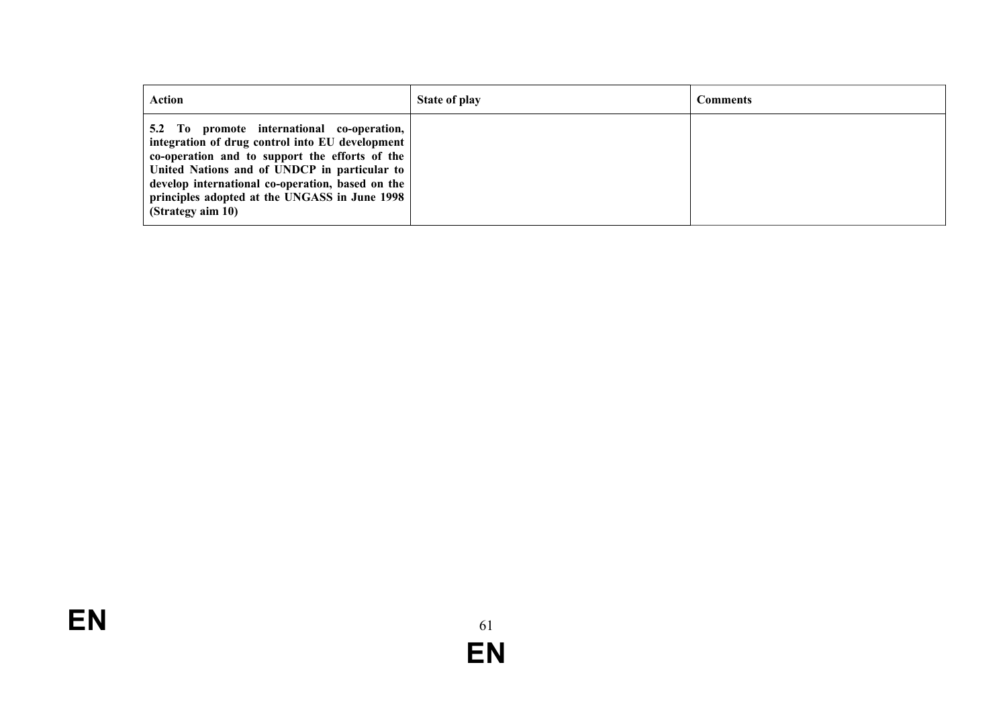| <b>Action</b>                                                                                                                                                                                                                                                                                                             | <b>State of play</b> | Comments |
|---------------------------------------------------------------------------------------------------------------------------------------------------------------------------------------------------------------------------------------------------------------------------------------------------------------------------|----------------------|----------|
| 5.2 To promote international co-operation,<br>integration of drug control into EU development<br>co-operation and to support the efforts of the<br>United Nations and of UNDCP in particular to<br>develop international co-operation, based on the<br>principles adopted at the UNGASS in June 1998<br>(Strategy aim 10) |                      |          |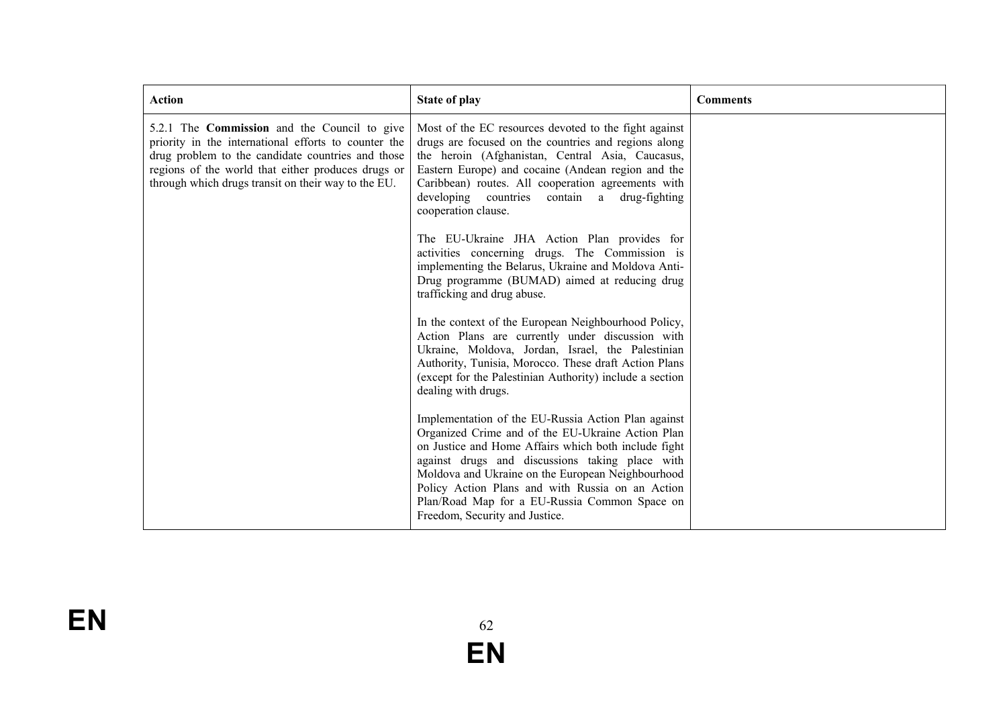| <b>Action</b>                                                                                                                                                                                                                                                                 | <b>State of play</b>                                                                                                                                                                                                                                                                                                                                                                                            | <b>Comments</b> |
|-------------------------------------------------------------------------------------------------------------------------------------------------------------------------------------------------------------------------------------------------------------------------------|-----------------------------------------------------------------------------------------------------------------------------------------------------------------------------------------------------------------------------------------------------------------------------------------------------------------------------------------------------------------------------------------------------------------|-----------------|
| 5.2.1 The <b>Commission</b> and the Council to give<br>priority in the international efforts to counter the<br>drug problem to the candidate countries and those<br>regions of the world that either produces drugs or<br>through which drugs transit on their way to the EU. | Most of the EC resources devoted to the fight against<br>drugs are focused on the countries and regions along<br>the heroin (Afghanistan, Central Asia, Caucasus,<br>Eastern Europe) and cocaine (Andean region and the<br>Caribbean) routes. All cooperation agreements with<br>developing countries contain a drug-fighting<br>cooperation clause.                                                            |                 |
|                                                                                                                                                                                                                                                                               | The EU-Ukraine JHA Action Plan provides for<br>activities concerning drugs. The Commission is<br>implementing the Belarus, Ukraine and Moldova Anti-<br>Drug programme (BUMAD) aimed at reducing drug<br>trafficking and drug abuse.                                                                                                                                                                            |                 |
|                                                                                                                                                                                                                                                                               | In the context of the European Neighbourhood Policy,<br>Action Plans are currently under discussion with<br>Ukraine, Moldova, Jordan, Israel, the Palestinian<br>Authority, Tunisia, Morocco. These draft Action Plans<br>(except for the Palestinian Authority) include a section<br>dealing with drugs.                                                                                                       |                 |
|                                                                                                                                                                                                                                                                               | Implementation of the EU-Russia Action Plan against<br>Organized Crime and of the EU-Ukraine Action Plan<br>on Justice and Home Affairs which both include fight<br>against drugs and discussions taking place with<br>Moldova and Ukraine on the European Neighbourhood<br>Policy Action Plans and with Russia on an Action<br>Plan/Road Map for a EU-Russia Common Space on<br>Freedom, Security and Justice. |                 |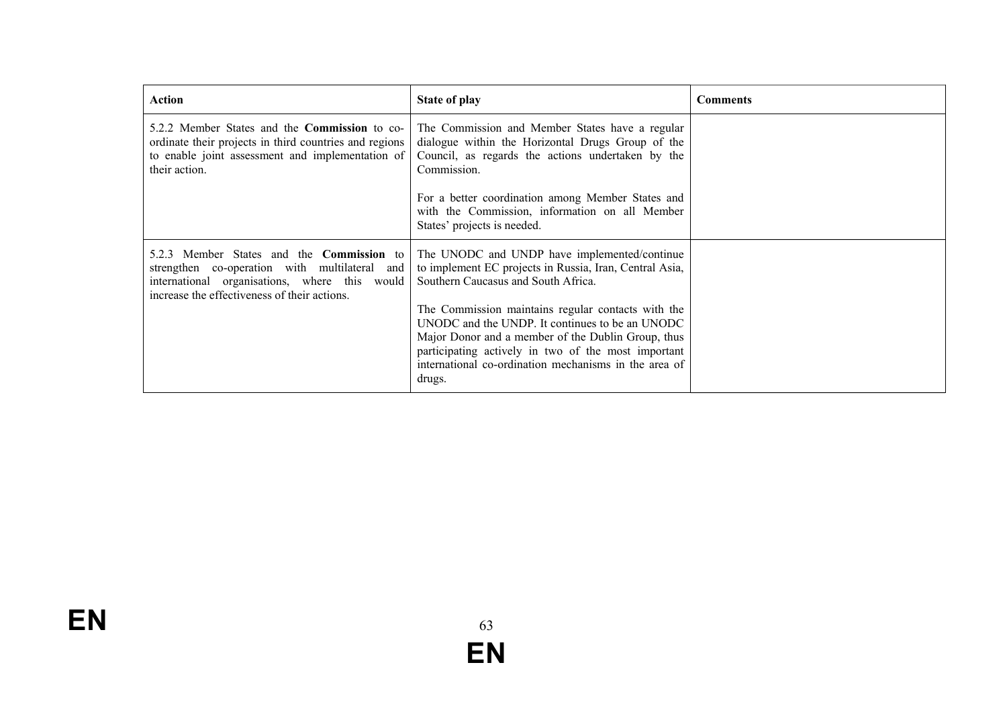| Action                                                                                                                                                                                             | <b>State of play</b>                                                                                                                                                                                                                                                        | <b>Comments</b> |
|----------------------------------------------------------------------------------------------------------------------------------------------------------------------------------------------------|-----------------------------------------------------------------------------------------------------------------------------------------------------------------------------------------------------------------------------------------------------------------------------|-----------------|
| 5.2.2 Member States and the <b>Commission</b> to co-<br>ordinate their projects in third countries and regions<br>to enable joint assessment and implementation of<br>their action.                | The Commission and Member States have a regular<br>dialogue within the Horizontal Drugs Group of the<br>Council, as regards the actions undertaken by the<br>Commission.                                                                                                    |                 |
|                                                                                                                                                                                                    | For a better coordination among Member States and<br>with the Commission, information on all Member<br>States' projects is needed.                                                                                                                                          |                 |
| 5.2.3 Member States and the <b>Commission</b> to<br>strengthen co-operation with multilateral and<br>international organisations, where this would<br>increase the effectiveness of their actions. | The UNODC and UNDP have implemented/continue<br>to implement EC projects in Russia, Iran, Central Asia,<br>Southern Caucasus and South Africa.                                                                                                                              |                 |
|                                                                                                                                                                                                    | The Commission maintains regular contacts with the<br>UNODC and the UNDP. It continues to be an UNODC<br>Major Donor and a member of the Dublin Group, thus<br>participating actively in two of the most important<br>international co-ordination mechanisms in the area of |                 |
|                                                                                                                                                                                                    | drugs.                                                                                                                                                                                                                                                                      |                 |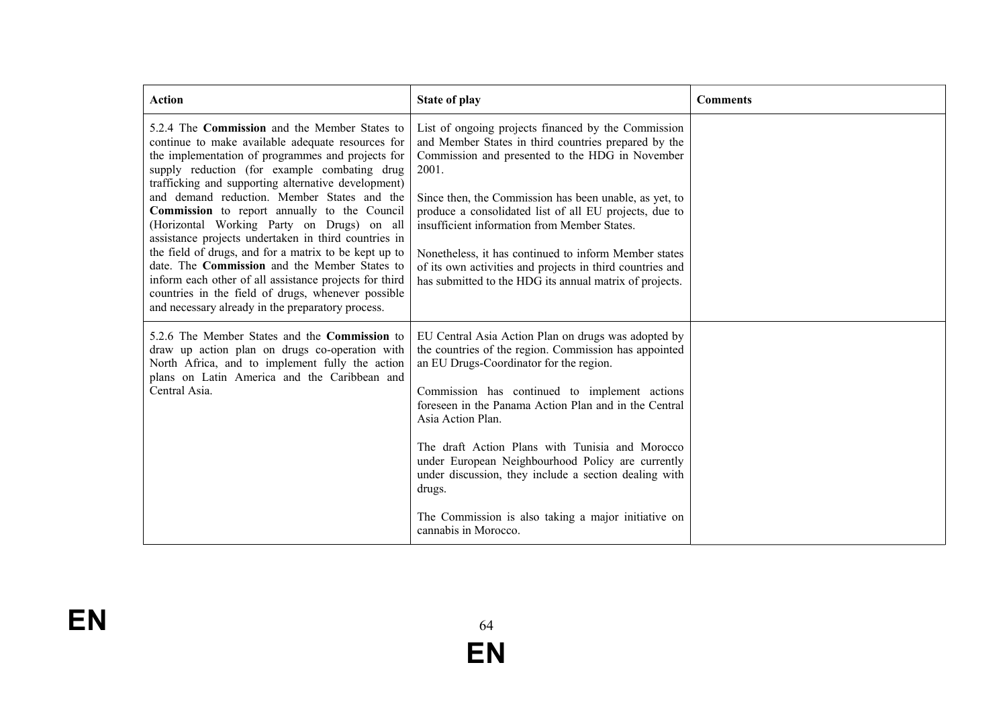| <b>Action</b>                                                                                                                                                                                                                                                                                                                                                                                                                                                                                                                                                                                                                                                                                                                                             | <b>State of play</b>                                                                                                                                                                                                                                                                                                                                                                                                                                                                                                                             | <b>Comments</b> |
|-----------------------------------------------------------------------------------------------------------------------------------------------------------------------------------------------------------------------------------------------------------------------------------------------------------------------------------------------------------------------------------------------------------------------------------------------------------------------------------------------------------------------------------------------------------------------------------------------------------------------------------------------------------------------------------------------------------------------------------------------------------|--------------------------------------------------------------------------------------------------------------------------------------------------------------------------------------------------------------------------------------------------------------------------------------------------------------------------------------------------------------------------------------------------------------------------------------------------------------------------------------------------------------------------------------------------|-----------------|
| 5.2.4 The <b>Commission</b> and the Member States to<br>continue to make available adequate resources for<br>the implementation of programmes and projects for<br>supply reduction (for example combating drug<br>trafficking and supporting alternative development)<br>and demand reduction. Member States and the<br>Commission to report annually to the Council<br>(Horizontal Working Party on Drugs) on all<br>assistance projects undertaken in third countries in<br>the field of drugs, and for a matrix to be kept up to<br>date. The Commission and the Member States to<br>inform each other of all assistance projects for third<br>countries in the field of drugs, whenever possible<br>and necessary already in the preparatory process. | List of ongoing projects financed by the Commission<br>and Member States in third countries prepared by the<br>Commission and presented to the HDG in November<br>2001.<br>Since then, the Commission has been unable, as yet, to<br>produce a consolidated list of all EU projects, due to<br>insufficient information from Member States.<br>Nonetheless, it has continued to inform Member states<br>of its own activities and projects in third countries and<br>has submitted to the HDG its annual matrix of projects.                     |                 |
| 5.2.6 The Member States and the Commission to<br>draw up action plan on drugs co-operation with<br>North Africa, and to implement fully the action<br>plans on Latin America and the Caribbean and<br>Central Asia.                                                                                                                                                                                                                                                                                                                                                                                                                                                                                                                                       | EU Central Asia Action Plan on drugs was adopted by<br>the countries of the region. Commission has appointed<br>an EU Drugs-Coordinator for the region.<br>Commission has continued to implement actions<br>foreseen in the Panama Action Plan and in the Central<br>Asia Action Plan.<br>The draft Action Plans with Tunisia and Morocco<br>under European Neighbourhood Policy are currently<br>under discussion, they include a section dealing with<br>drugs.<br>The Commission is also taking a major initiative on<br>cannabis in Morocco. |                 |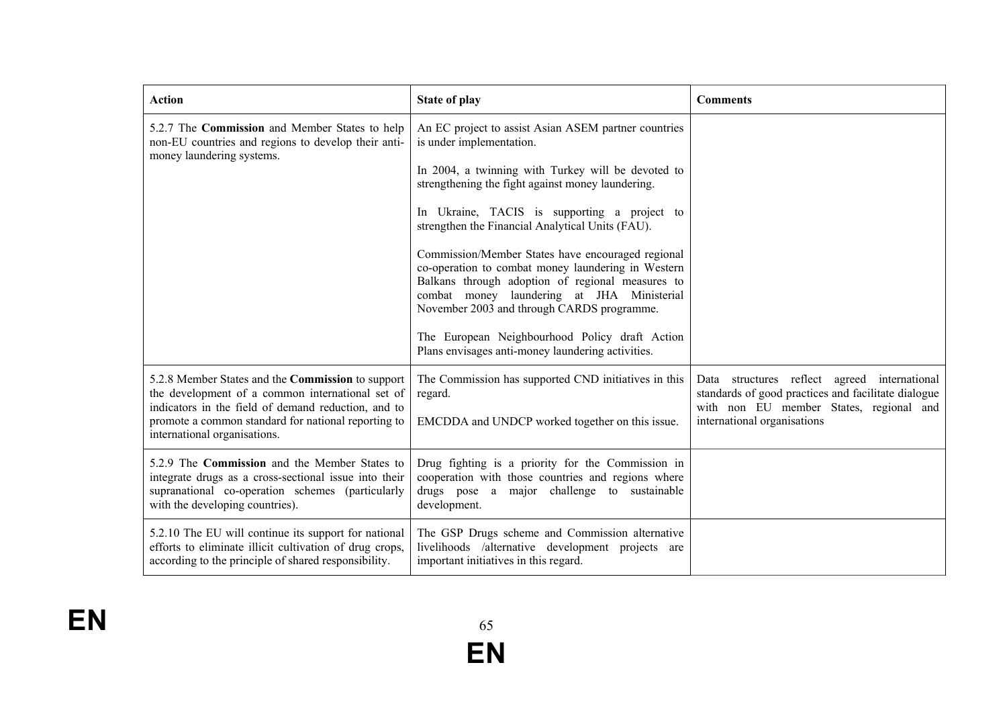| <b>Action</b>                                                                                                                                                                                                                                       | <b>State of play</b>                                                                                                                                                                                                                                                                                                                                                                                                                                                                                                                                                                                                                                              | <b>Comments</b>                                                                                                                                                               |
|-----------------------------------------------------------------------------------------------------------------------------------------------------------------------------------------------------------------------------------------------------|-------------------------------------------------------------------------------------------------------------------------------------------------------------------------------------------------------------------------------------------------------------------------------------------------------------------------------------------------------------------------------------------------------------------------------------------------------------------------------------------------------------------------------------------------------------------------------------------------------------------------------------------------------------------|-------------------------------------------------------------------------------------------------------------------------------------------------------------------------------|
| 5.2.7 The Commission and Member States to help<br>non-EU countries and regions to develop their anti-<br>money laundering systems.                                                                                                                  | An EC project to assist Asian ASEM partner countries<br>is under implementation.<br>In 2004, a twinning with Turkey will be devoted to<br>strengthening the fight against money laundering.<br>In Ukraine, TACIS is supporting a project to<br>strengthen the Financial Analytical Units (FAU).<br>Commission/Member States have encouraged regional<br>co-operation to combat money laundering in Western<br>Balkans through adoption of regional measures to<br>combat money laundering at JHA Ministerial<br>November 2003 and through CARDS programme.<br>The European Neighbourhood Policy draft Action<br>Plans envisages anti-money laundering activities. |                                                                                                                                                                               |
| 5.2.8 Member States and the Commission to support<br>the development of a common international set of<br>indicators in the field of demand reduction, and to<br>promote a common standard for national reporting to<br>international organisations. | The Commission has supported CND initiatives in this<br>regard.<br>EMCDDA and UNDCP worked together on this issue.                                                                                                                                                                                                                                                                                                                                                                                                                                                                                                                                                | Data structures reflect agreed international<br>standards of good practices and facilitate dialogue<br>with non EU member States, regional and<br>international organisations |
| 5.2.9 The Commission and the Member States to<br>integrate drugs as a cross-sectional issue into their<br>supranational co-operation schemes (particularly<br>with the developing countries).                                                       | Drug fighting is a priority for the Commission in<br>cooperation with those countries and regions where<br>drugs pose a major challenge to sustainable<br>development.                                                                                                                                                                                                                                                                                                                                                                                                                                                                                            |                                                                                                                                                                               |
| 5.2.10 The EU will continue its support for national<br>efforts to eliminate illicit cultivation of drug crops,<br>according to the principle of shared responsibility.                                                                             | The GSP Drugs scheme and Commission alternative<br>livelihoods /alternative development projects are<br>important initiatives in this regard.                                                                                                                                                                                                                                                                                                                                                                                                                                                                                                                     |                                                                                                                                                                               |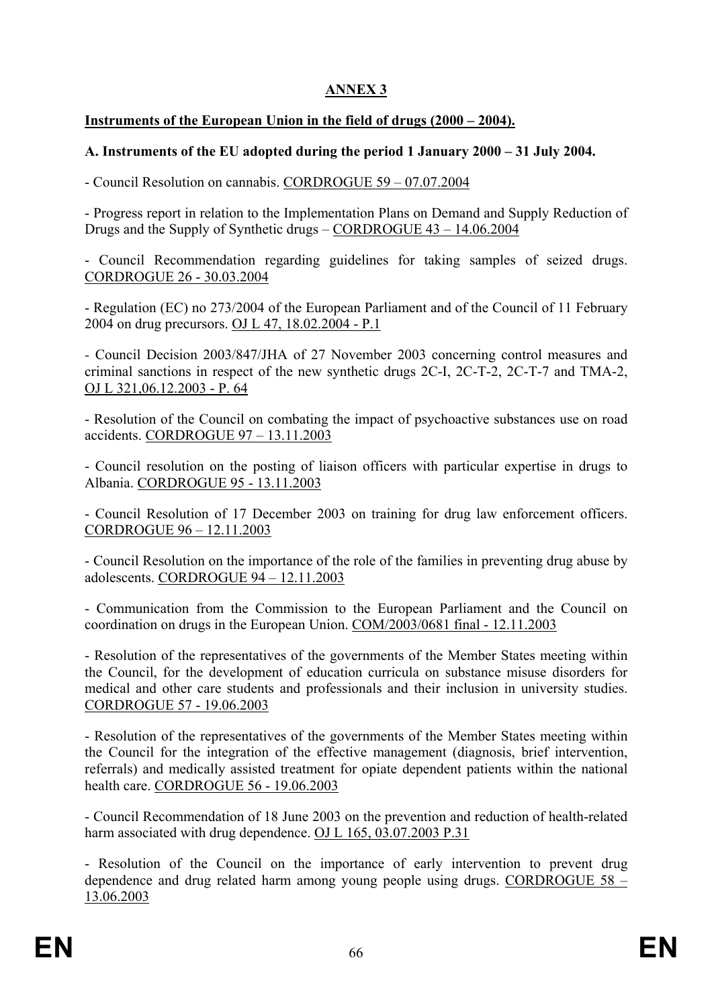# **ANNEX 3**

# **Instruments of the European Union in the field of drugs (2000 – 2004).**

# **A. Instruments of the EU adopted during the period 1 January 2000 – 31 July 2004.**

- Council Resolution on cannabis. CORDROGUE 59 – 07.07.2004

- Progress report in relation to the Implementation Plans on Demand and Supply Reduction of Drugs and the Supply of Synthetic drugs – CORDROGUE 43 – 14.06.2004

- Council Recommendation regarding guidelines for taking samples of seized drugs. CORDROGUE 26 - 30.03.2004

- Regulation (EC) no 273/2004 of the European Parliament and of the Council of 11 February 2004 on drug precursors. OJ L 47, 18.02.2004 - P.1

*-* Council Decision 2003/847/JHA of 27 November 2003 concerning control measures and criminal sanctions in respect of the new synthetic drugs 2C-I, 2C-T-2, 2C-T-7 and TMA-2, OJ L 321,06.12.2003 - P. 64

- Resolution of the Council on combating the impact of psychoactive substances use on road accidents. CORDROGUE 97 – 13.11.2003

- Council resolution on the posting of liaison officers with particular expertise in drugs to Albania. CORDROGUE 95 - 13.11.2003

- Council Resolution of 17 December 2003 on training for drug law enforcement officers. CORDROGUE 96 – 12.11.2003

- Council Resolution on the importance of the role of the families in preventing drug abuse by adolescents. CORDROGUE  $94 - 12.11.2003$ 

- Communication from the Commission to the European Parliament and the Council on coordination on drugs in the European Union. COM/2003/0681 final - 12.11.2003

- Resolution of the representatives of the governments of the Member States meeting within the Council, for the development of education curricula on substance misuse disorders for medical and other care students and professionals and their inclusion in university studies. CORDROGUE 57 - 19.06.2003

- Resolution of the representatives of the governments of the Member States meeting within the Council for the integration of the effective management (diagnosis, brief intervention, referrals) and medically assisted treatment for opiate dependent patients within the national health care. CORDROGUE 56 - 19.06.2003

- Council Recommendation of 18 June 2003 on the prevention and reduction of health-related harm associated with drug dependence. OJ L 165, 03.07.2003 P.31

- Resolution of the Council on the importance of early intervention to prevent drug dependence and drug related harm among young people using drugs. CORDROGUE 58 – 13.06.2003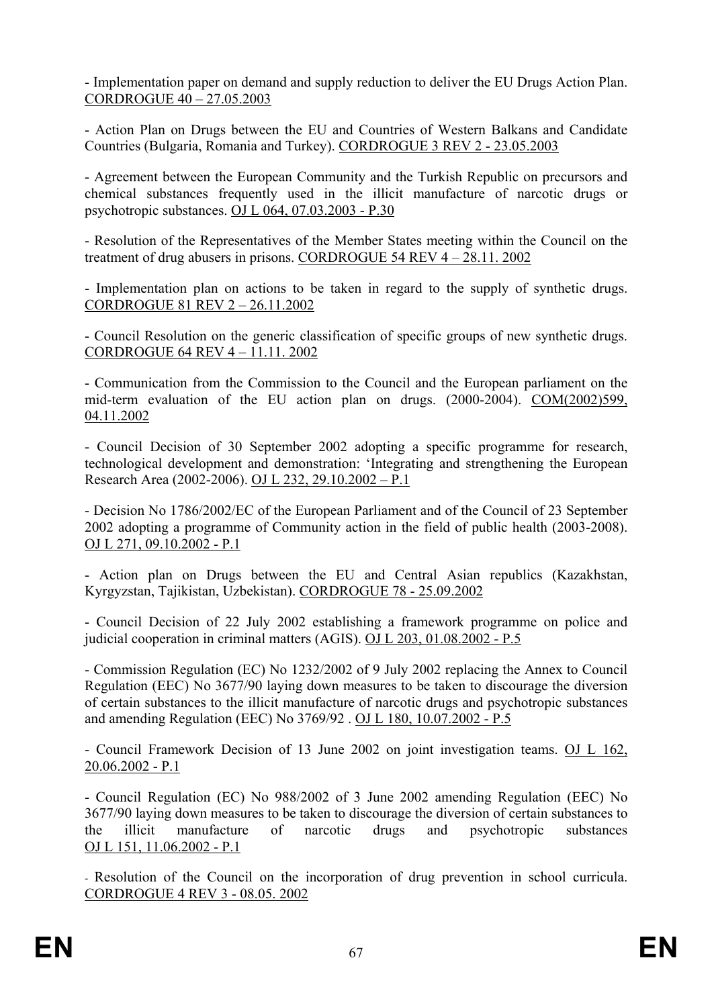- Implementation paper on demand and supply reduction to deliver the EU Drugs Action Plan. CORDROGUE 40 – 27.05.2003

- Action Plan on Drugs between the EU and Countries of Western Balkans and Candidate Countries (Bulgaria, Romania and Turkey). CORDROGUE 3 REV 2 - 23.05.2003

- Agreement between the European Community and the Turkish Republic on precursors and chemical substances frequently used in the illicit manufacture of narcotic drugs or psychotropic substances. OJ L 064, 07.03.2003 - P.30

- Resolution of the Representatives of the Member States meeting within the Council on the treatment of drug abusers in prisons. CORDROGUE 54 REV 4 – 28.11. 2002

- Implementation plan on actions to be taken in regard to the supply of synthetic drugs. CORDROGUE 81 REV 2 – 26.11.2002

- Council Resolution on the generic classification of specific groups of new synthetic drugs. CORDROGUE 64 REV 4 – 11.11. 2002

- Communication from the Commission to the Council and the European parliament on the mid-term evaluation of the EU action plan on drugs. (2000-2004). COM(2002)599, 04.11.2002

- Council Decision of 30 September 2002 adopting a specific programme for research, technological development and demonstration: 'Integrating and strengthening the European Research Area (2002-2006). OJ L 232, 29.10.2002 – P.1

- Decision No 1786/2002/EC of the European Parliament and of the Council of 23 September 2002 adopting a programme of Community action in the field of public health (2003-2008). OJ L 271, 09.10.2002 - P.1

- Action plan on Drugs between the EU and Central Asian republics (Kazakhstan, Kyrgyzstan, Tajikistan, Uzbekistan). CORDROGUE 78 - 25.09.2002

- Council Decision of 22 July 2002 establishing a framework programme on police and judicial cooperation in criminal matters (AGIS). OJ L 203, 01.08.2002 - P.5

- Commission Regulation (EC) No 1232/2002 of 9 July 2002 replacing the Annex to Council Regulation (EEC) No 3677/90 laying down measures to be taken to discourage the diversion of certain substances to the illicit manufacture of narcotic drugs and psychotropic substances and amending Regulation (EEC) No 3769/92 . OJ L 180, 10.07.2002 - P.5

- Council Framework Decision of 13 June 2002 on joint investigation teams. OJ L 162, 20.06.2002 - P.1

- Council Regulation (EC) No 988/2002 of 3 June 2002 amending Regulation (EEC) No 3677/90 laying down measures to be taken to discourage the diversion of certain substances to the illicit manufacture of narcotic drugs and psychotropic substances OJ L 151, 11.06.2002 - P.1

- Resolution of the Council on the incorporation of drug prevention in school curricula. CORDROGUE 4 REV 3 - 08.05. 2002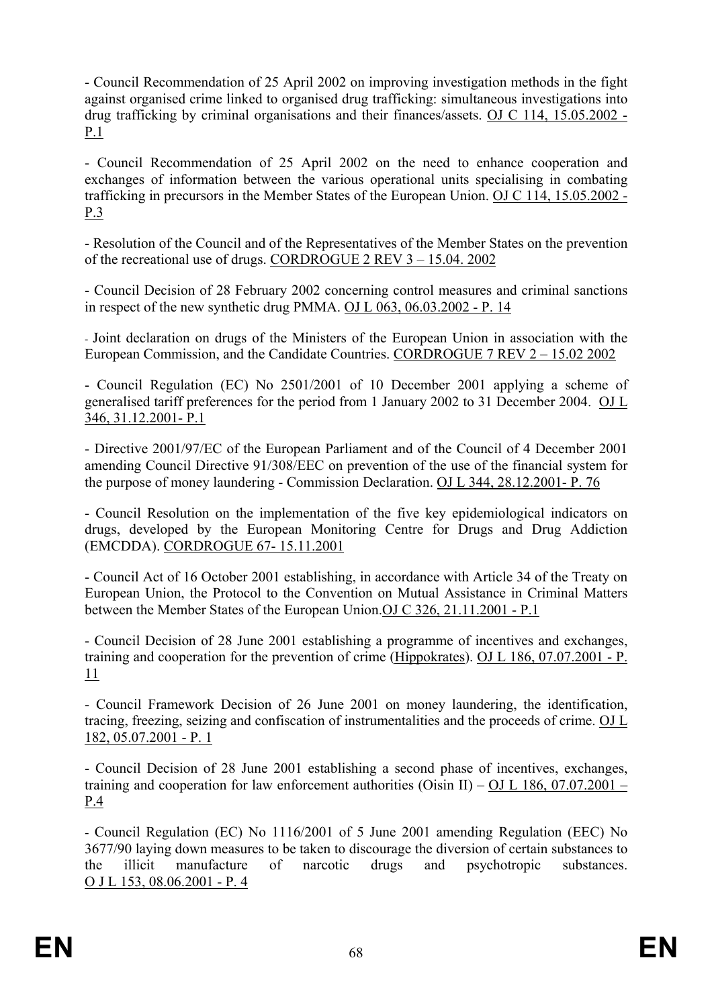- Council Recommendation of 25 April 2002 on improving investigation methods in the fight against organised crime linked to organised drug trafficking: simultaneous investigations into drug trafficking by criminal organisations and their finances/assets. OJ C 114, 15.05.2002 - P.1

- Council Recommendation of 25 April 2002 on the need to enhance cooperation and exchanges of information between the various operational units specialising in combating trafficking in precursors in the Member States of the European Union. OJ C 114, 15.05.2002 - P.3

- Resolution of the Council and of the Representatives of the Member States on the prevention of the recreational use of drugs. CORDROGUE 2 REV 3 – 15.04. 2002

- Council Decision of 28 February 2002 concerning control measures and criminal sanctions in respect of the new synthetic drug PMMA. OJ L 063, 06.03.2002 - P. 14

- Joint declaration on drugs of the Ministers of the European Union in association with the European Commission, and the Candidate Countries. CORDROGUE 7 REV 2 – 15.02 2002

- Council Regulation (EC) No 2501/2001 of 10 December 2001 applying a scheme of generalised tariff preferences for the period from 1 January 2002 to 31 December 2004. OJ L 346, 31.12.2001- P.1

- Directive 2001/97/EC of the European Parliament and of the Council of 4 December 2001 amending Council Directive 91/308/EEC on prevention of the use of the financial system for the purpose of money laundering - Commission Declaration. OJ L 344, 28.12.2001- P. 76

- Council Resolution on the implementation of the five key epidemiological indicators on drugs, developed by the European Monitoring Centre for Drugs and Drug Addiction (EMCDDA). CORDROGUE 67- 15.11.2001

- Council Act of 16 October 2001 establishing, in accordance with Article 34 of the Treaty on European Union, the Protocol to the Convention on Mutual Assistance in Criminal Matters between the Member States of the European Union.OJ C 326, 21.11.2001 - P.1

- Council Decision of 28 June 2001 establishing a programme of incentives and exchanges, training and cooperation for the prevention of crime (Hippokrates). OJ L 186, 07.07.2001 - P. 11

- Council Framework Decision of 26 June 2001 on money laundering, the identification, tracing, freezing, seizing and confiscation of instrumentalities and the proceeds of crime. OJ L 182, 05.07.2001 - P. 1

- Council Decision of 28 June 2001 establishing a second phase of incentives, exchanges, training and cooperation for law enforcement authorities (Oisin II) – OJ L 186, 07.07.2001 – P.4

- Council Regulation (EC) No 1116/2001 of 5 June 2001 amending Regulation (EEC) No 3677/90 laying down measures to be taken to discourage the diversion of certain substances to the illicit manufacture of narcotic drugs and psychotropic substances. O J L 153, 08.06.2001 - P. 4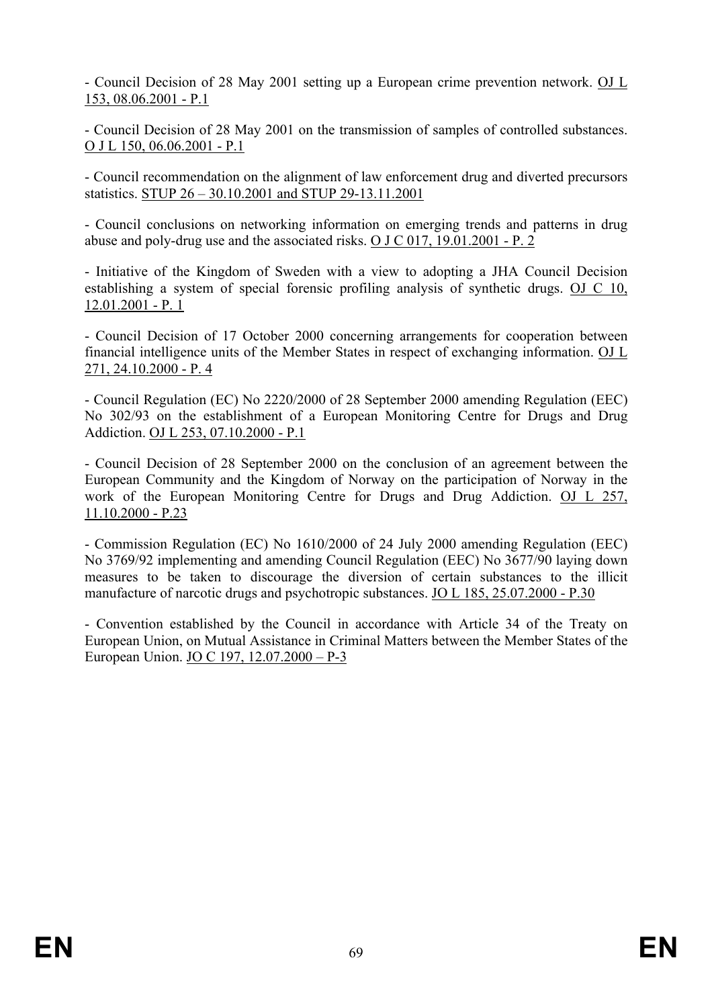- Council Decision of 28 May 2001 setting up a European crime prevention network. OJ L 153, 08.06.2001 - P.1

- Council Decision of 28 May 2001 on the transmission of samples of controlled substances. O J L 150, 06.06.2001 - P.1

- Council recommendation on the alignment of law enforcement drug and diverted precursors statistics. STUP 26 – 30.10.2001 and STUP 29-13.11.2001

- Council conclusions on networking information on emerging trends and patterns in drug abuse and poly-drug use and the associated risks. O J C 017, 19.01.2001 - P. 2

- Initiative of the Kingdom of Sweden with a view to adopting a JHA Council Decision establishing a system of special forensic profiling analysis of synthetic drugs. OJ C 10, 12.01.2001 - P. 1

- Council Decision of 17 October 2000 concerning arrangements for cooperation between financial intelligence units of the Member States in respect of exchanging information. OJ L 271, 24.10.2000 - P. 4

- Council Regulation (EC) No 2220/2000 of 28 September 2000 amending Regulation (EEC) No 302/93 on the establishment of a European Monitoring Centre for Drugs and Drug Addiction. OJ L 253, 07.10.2000 - P.1

- Council Decision of 28 September 2000 on the conclusion of an agreement between the European Community and the Kingdom of Norway on the participation of Norway in the work of the European Monitoring Centre for Drugs and Drug Addiction. OJ L 257, 11.10.2000 - P.23

- Commission Regulation (EC) No 1610/2000 of 24 July 2000 amending Regulation (EEC) No 3769/92 implementing and amending Council Regulation (EEC) No 3677/90 laying down measures to be taken to discourage the diversion of certain substances to the illicit manufacture of narcotic drugs and psychotropic substances. JO L 185, 25.07.2000 - P.30

- Convention established by the Council in accordance with Article 34 of the Treaty on European Union, on Mutual Assistance in Criminal Matters between the Member States of the European Union. JO C 197, 12.07.2000 – P-3